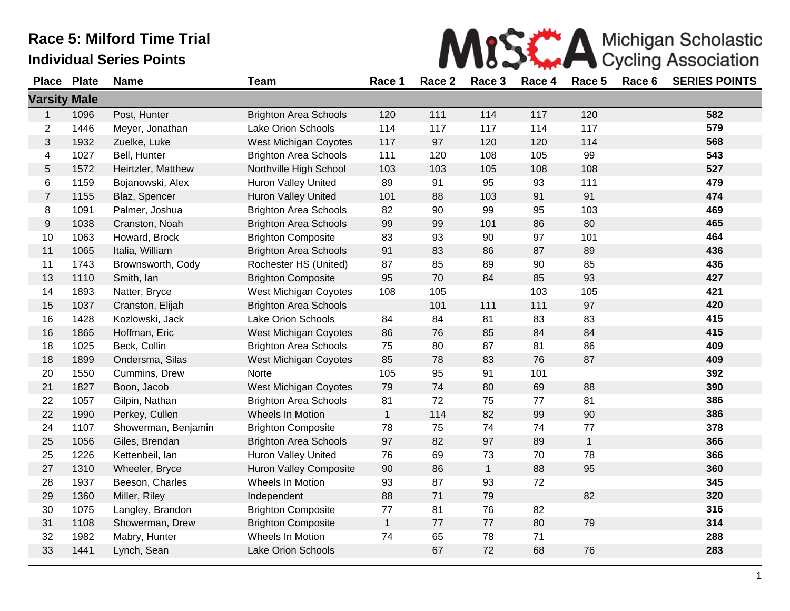|                     |              | <b>Race 5: Milford Time Trial</b> |                              |              |        |              |        | Michigan Scholastic |        |                            |
|---------------------|--------------|-----------------------------------|------------------------------|--------------|--------|--------------|--------|---------------------|--------|----------------------------|
|                     |              | <b>Individual Series Points</b>   |                              |              |        |              |        |                     |        | <b>Cycling Association</b> |
| <b>Place</b>        | <b>Plate</b> | <b>Name</b>                       | <b>Team</b>                  | Race 1       | Race 2 | Race 3       | Race 4 | Race 5              | Race 6 | <b>SERIES POINTS</b>       |
| <b>Varsity Male</b> |              |                                   |                              |              |        |              |        |                     |        |                            |
| 1                   | 1096         | Post, Hunter                      | <b>Brighton Area Schools</b> | 120          | 111    | 114          | 117    | 120                 |        | 582                        |
| $\overline{2}$      | 1446         | Meyer, Jonathan                   | Lake Orion Schools           | 114          | 117    | 117          | 114    | 117                 |        | 579                        |
| 3                   | 1932         | Zuelke, Luke                      | West Michigan Coyotes        | 117          | 97     | 120          | 120    | 114                 |        | 568                        |
| 4                   | 1027         | Bell, Hunter                      | <b>Brighton Area Schools</b> | 111          | 120    | 108          | 105    | 99                  |        | 543                        |
| 5                   | 1572         | Heirtzler, Matthew                | Northville High School       | 103          | 103    | 105          | 108    | 108                 |        | 527                        |
| 6                   | 1159         | Bojanowski, Alex                  | <b>Huron Valley United</b>   | 89           | 91     | 95           | 93     | 111                 |        | 479                        |
| $\overline{7}$      | 1155         | Blaz, Spencer                     | <b>Huron Valley United</b>   | 101          | 88     | 103          | 91     | 91                  |        | 474                        |
| 8                   | 1091         | Palmer, Joshua                    | <b>Brighton Area Schools</b> | 82           | 90     | 99           | 95     | 103                 |        | 469                        |
| 9                   | 1038         | Cranston, Noah                    | <b>Brighton Area Schools</b> | 99           | 99     | 101          | 86     | 80                  |        | 465                        |
| 10                  | 1063         | Howard, Brock                     | <b>Brighton Composite</b>    | 83           | 93     | 90           | 97     | 101                 |        | 464                        |
| 11                  | 1065         | Italia, William                   | <b>Brighton Area Schools</b> | 91           | 83     | 86           | 87     | 89                  |        | 436                        |
| 11                  | 1743         | Brownsworth, Cody                 | Rochester HS (United)        | 87           | 85     | 89           | 90     | 85                  |        | 436                        |
| 13                  | 1110         | Smith, Ian                        | <b>Brighton Composite</b>    | 95           | 70     | 84           | 85     | 93                  |        | 427                        |
| 14                  | 1893         | Natter, Bryce                     | West Michigan Coyotes        | 108          | 105    |              | 103    | 105                 |        | 421                        |
| 15                  | 1037         | Cranston, Elijah                  | <b>Brighton Area Schools</b> |              | 101    | 111          | 111    | 97                  |        | 420                        |
| 16                  | 1428         | Kozlowski, Jack                   | Lake Orion Schools           | 84           | 84     | 81           | 83     | 83                  |        | 415                        |
| 16                  | 1865         | Hoffman, Eric                     | West Michigan Coyotes        | 86           | 76     | 85           | 84     | 84                  |        | 415                        |
| 18                  | 1025         | Beck, Collin                      | <b>Brighton Area Schools</b> | 75           | 80     | 87           | 81     | 86                  |        | 409                        |
| 18                  | 1899         | Ondersma, Silas                   | West Michigan Coyotes        | 85           | 78     | 83           | 76     | 87                  |        | 409                        |
| 20                  | 1550         | Cummins, Drew                     | Norte                        | 105          | 95     | 91           | 101    |                     |        | 392                        |
| 21                  | 1827         | Boon, Jacob                       | West Michigan Coyotes        | 79           | 74     | 80           | 69     | 88                  |        | 390                        |
| 22                  | 1057         | Gilpin, Nathan                    | <b>Brighton Area Schools</b> | 81           | 72     | 75           | 77     | 81                  |        | 386                        |
| 22                  | 1990         | Perkey, Cullen                    | Wheels In Motion             | $\mathbf{1}$ | 114    | 82           | 99     | 90                  |        | 386                        |
| 24                  | 1107         | Showerman, Benjamin               | <b>Brighton Composite</b>    | 78           | 75     | 74           | 74     | 77                  |        | 378                        |
| 25                  | 1056         | Giles, Brendan                    | <b>Brighton Area Schools</b> | 97           | 82     | 97           | 89     | $\mathbf{1}$        |        | 366                        |
| 25                  | 1226         | Kettenbeil, Ian                   | <b>Huron Valley United</b>   | 76           | 69     | 73           | 70     | 78                  |        | 366                        |
| 27                  | 1310         | Wheeler, Bryce                    | Huron Valley Composite       | 90           | 86     | $\mathbf{1}$ | 88     | 95                  |        | 360                        |
| 28                  | 1937         | Beeson, Charles                   | Wheels In Motion             | 93           | 87     | 93           | 72     |                     |        | 345                        |
| 29                  | 1360         | Miller, Riley                     | Independent                  | 88           | 71     | 79           |        | 82                  |        | 320                        |
| 30                  | 1075         | Langley, Brandon                  | <b>Brighton Composite</b>    | $77$         | 81     | 76           | 82     |                     |        | 316                        |
| 31                  | 1108         | Showerman, Drew                   | <b>Brighton Composite</b>    | $\mathbf{1}$ | 77     | 77           | 80     | 79                  |        | 314                        |

 1982 Mabry, Hunter Wheels In Motion 74 65 78 71 **288** 1441 Lynch, Sean Lake Orion Schools 67 72 68 76 **283**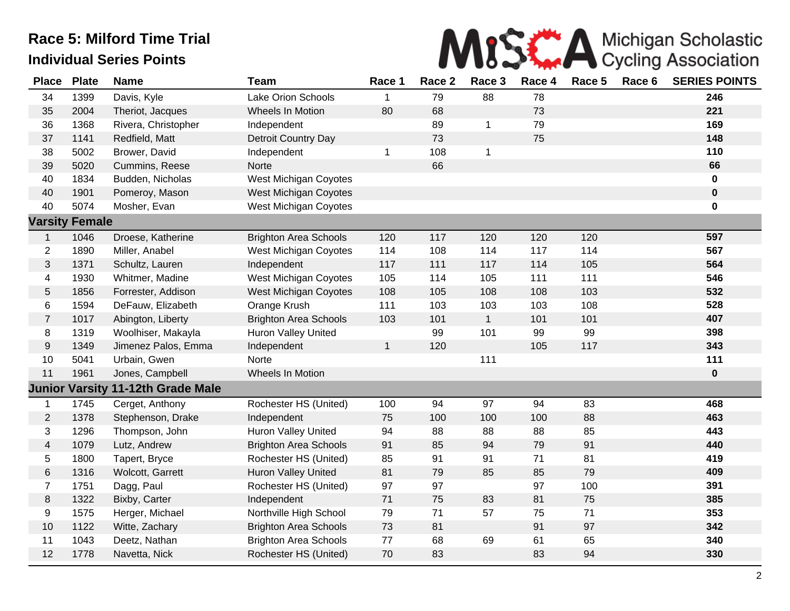

| <b>Place</b>   | <b>Plate</b>          | <b>Name</b>         | <b>Team</b>                  | Race 1       | Race 2 | Race 3       | Race 4 | Race 5 | Race 6 | <b>SERIES POINTS</b> |
|----------------|-----------------------|---------------------|------------------------------|--------------|--------|--------------|--------|--------|--------|----------------------|
| 34             | 1399                  | Davis, Kyle         | Lake Orion Schools           | 1            | 79     | 88           | 78     |        |        | 246                  |
| 35             | 2004                  | Theriot, Jacques    | Wheels In Motion             | 80           | 68     |              | 73     |        |        | 221                  |
| 36             | 1368                  | Rivera, Christopher | Independent                  |              | 89     | 1            | 79     |        |        | 169                  |
| 37             | 1141                  | Redfield, Matt      | Detroit Country Day          |              | 73     |              | 75     |        |        | 148                  |
| 38             | 5002                  | Brower, David       | Independent                  | $\mathbf 1$  | 108    | 1            |        |        |        | 110                  |
| 39             | 5020                  | Cummins, Reese      | Norte                        |              | 66     |              |        |        |        | 66                   |
| 40             | 1834                  | Budden, Nicholas    | West Michigan Coyotes        |              |        |              |        |        |        | $\pmb{0}$            |
| 40             | 1901                  | Pomeroy, Mason      | <b>West Michigan Coyotes</b> |              |        |              |        |        |        | $\bf{0}$             |
| 40             | 5074                  | Mosher, Evan        | <b>West Michigan Coyotes</b> |              |        |              |        |        |        | 0                    |
|                | <b>Varsity Female</b> |                     |                              |              |        |              |        |        |        |                      |
| $\mathbf 1$    | 1046                  | Droese, Katherine   | <b>Brighton Area Schools</b> | 120          | 117    | 120          | 120    | 120    |        | 597                  |
| $\overline{2}$ | 1890                  | Miller, Anabel      | West Michigan Coyotes        | 114          | 108    | 114          | 117    | 114    |        | 567                  |
| 3              | 1371                  | Schultz, Lauren     | Independent                  | 117          | 111    | 117          | 114    | 105    |        | 564                  |
| 4              | 1930                  | Whitmer, Madine     | <b>West Michigan Coyotes</b> | 105          | 114    | 105          | 111    | 111    |        | 546                  |
| 5              | 1856                  | Forrester, Addison  | <b>West Michigan Coyotes</b> | 108          | 105    | 108          | 108    | 103    |        | 532                  |
| 6              | 1594                  | DeFauw, Elizabeth   | Orange Krush                 | 111          | 103    | 103          | 103    | 108    |        | 528                  |
| $\overline{7}$ | 1017                  | Abington, Liberty   | <b>Brighton Area Schools</b> | 103          | 101    | $\mathbf{1}$ | 101    | 101    |        | 407                  |
| 8              | 1319                  | Woolhiser, Makayla  | Huron Valley United          |              | 99     | 101          | 99     | 99     |        | 398                  |
| 9              | 1349                  | Jimenez Palos, Emma | Independent                  | $\mathbf{1}$ | 120    |              | 105    | 117    |        | 343                  |
| 10             | 5041                  | Urbain, Gwen        | Norte                        |              |        | 111          |        |        |        | 111                  |
| 11             | 1961                  | Jones, Campbell     | Wheels In Motion             |              |        |              |        |        |        | $\mathbf 0$          |
|                | <b>Junior Varsity</b> | 11-12th Grade Male  |                              |              |        |              |        |        |        |                      |
| 1              | 1745                  | Cerget, Anthony     | Rochester HS (United)        | 100          | 94     | 97           | 94     | 83     |        | 468                  |
| $\overline{2}$ | 1378                  | Stephenson, Drake   | Independent                  | 75           | 100    | 100          | 100    | 88     |        | 463                  |
| 3              | 1296                  | Thompson, John      | <b>Huron Valley United</b>   | 94           | 88     | 88           | 88     | 85     |        | 443                  |
| $\overline{4}$ | 1079                  | Lutz, Andrew        | <b>Brighton Area Schools</b> | 91           | 85     | 94           | 79     | 91     |        | 440                  |
| 5              | 1800                  | Tapert, Bryce       | Rochester HS (United)        | 85           | 91     | 91           | 71     | 81     |        | 419                  |
| 6              | 1316                  | Wolcott, Garrett    | <b>Huron Valley United</b>   | 81           | 79     | 85           | 85     | 79     |        | 409                  |
| $\overline{7}$ | 1751                  | Dagg, Paul          | Rochester HS (United)        | 97           | 97     |              | 97     | 100    |        | 391                  |
| 8              | 1322                  | Bixby, Carter       | Independent                  | 71           | 75     | 83           | 81     | 75     |        | 385                  |
| 9              | 1575                  | Herger, Michael     | Northville High School       | 79           | 71     | 57           | 75     | 71     |        | 353                  |
| $10$           | 1122                  | Witte, Zachary      | <b>Brighton Area Schools</b> | 73           | 81     |              | 91     | 97     |        | 342                  |
| 11             | 1043                  | Deetz, Nathan       | <b>Brighton Area Schools</b> | 77           | 68     | 69           | 61     | 65     |        | 340                  |
| 12             | 1778                  | Navetta, Nick       | Rochester HS (United)        | 70           | 83     |              | 83     | 94     |        | 330                  |
|                |                       |                     |                              |              |        |              |        |        |        |                      |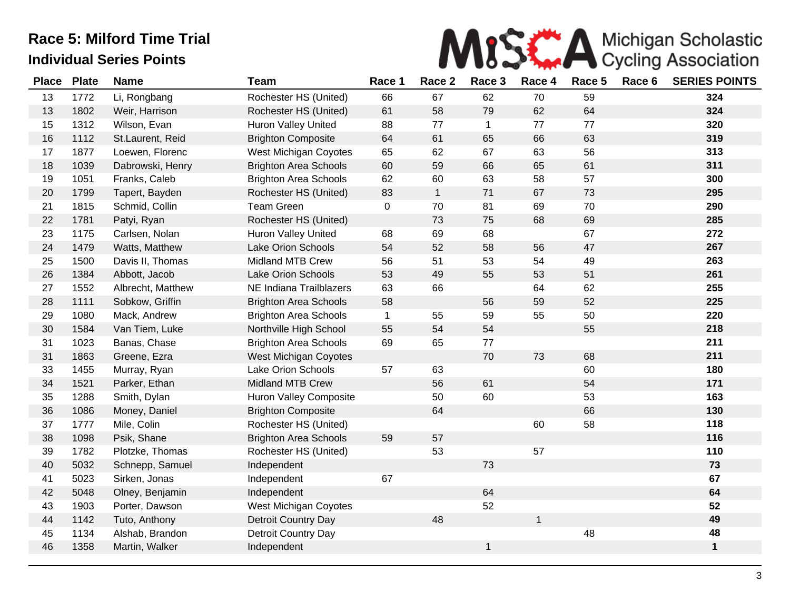

| <b>Place</b> | <b>Plate</b> | <b>Name</b>       | <b>Team</b>                   | Race 1       | Race 2       | Race 3      | Race 4       | Race 5 | Race 6 | <b>SERIES POINTS</b> |
|--------------|--------------|-------------------|-------------------------------|--------------|--------------|-------------|--------------|--------|--------|----------------------|
| 13           | 1772         | Li, Rongbang      | Rochester HS (United)         | 66           | 67           | 62          | 70           | 59     |        | 324                  |
| 13           | 1802         | Weir, Harrison    | Rochester HS (United)         | 61           | 58           | 79          | 62           | 64     |        | 324                  |
| 15           | 1312         | Wilson, Evan      | <b>Huron Valley United</b>    | 88           | 77           | $\mathbf 1$ | 77           | 77     |        | 320                  |
| 16           | 1112         | St.Laurent, Reid  | <b>Brighton Composite</b>     | 64           | 61           | 65          | 66           | 63     |        | 319                  |
| 17           | 1877         | Loewen, Florenc   | West Michigan Coyotes         | 65           | 62           | 67          | 63           | 56     |        | 313                  |
| 18           | 1039         | Dabrowski, Henry  | <b>Brighton Area Schools</b>  | 60           | 59           | 66          | 65           | 61     |        | 311                  |
| 19           | 1051         | Franks, Caleb     | <b>Brighton Area Schools</b>  | 62           | 60           | 63          | 58           | 57     |        | 300                  |
| 20           | 1799         | Tapert, Bayden    | Rochester HS (United)         | 83           | $\mathbf{1}$ | 71          | 67           | 73     |        | 295                  |
| 21           | 1815         | Schmid, Collin    | <b>Team Green</b>             | $\pmb{0}$    | 70           | 81          | 69           | 70     |        | 290                  |
| 22           | 1781         | Patyi, Ryan       | Rochester HS (United)         |              | 73           | 75          | 68           | 69     |        | 285                  |
| 23           | 1175         | Carlsen, Nolan    | Huron Valley United           | 68           | 69           | 68          |              | 67     |        | 272                  |
| 24           | 1479         | Watts, Matthew    | Lake Orion Schools            | 54           | 52           | 58          | 56           | 47     |        | 267                  |
| 25           | 1500         | Davis II, Thomas  | Midland MTB Crew              | 56           | 51           | 53          | 54           | 49     |        | 263                  |
| 26           | 1384         | Abbott, Jacob     | Lake Orion Schools            | 53           | 49           | 55          | 53           | 51     |        | 261                  |
| 27           | 1552         | Albrecht, Matthew | NE Indiana Trailblazers       | 63           | 66           |             | 64           | 62     |        | 255                  |
| 28           | 1111         | Sobkow, Griffin   | <b>Brighton Area Schools</b>  | 58           |              | 56          | 59           | 52     |        | 225                  |
| 29           | 1080         | Mack, Andrew      | <b>Brighton Area Schools</b>  | $\mathbf{1}$ | 55           | 59          | 55           | 50     |        | 220                  |
| 30           | 1584         | Van Tiem, Luke    | Northville High School        | 55           | 54           | 54          |              | 55     |        | 218                  |
| 31           | 1023         | Banas, Chase      | <b>Brighton Area Schools</b>  | 69           | 65           | 77          |              |        |        | 211                  |
| 31           | 1863         | Greene, Ezra      | West Michigan Coyotes         |              |              | 70          | 73           | 68     |        | 211                  |
| 33           | 1455         | Murray, Ryan      | Lake Orion Schools            | 57           | 63           |             |              | 60     |        | 180                  |
| 34           | 1521         | Parker, Ethan     | Midland MTB Crew              |              | 56           | 61          |              | 54     |        | 171                  |
| 35           | 1288         | Smith, Dylan      | <b>Huron Valley Composite</b> |              | 50           | 60          |              | 53     |        | 163                  |
| 36           | 1086         | Money, Daniel     | <b>Brighton Composite</b>     |              | 64           |             |              | 66     |        | 130                  |
| 37           | 1777         | Mile, Colin       | Rochester HS (United)         |              |              |             | 60           | 58     |        | 118                  |
| 38           | 1098         | Psik, Shane       | <b>Brighton Area Schools</b>  | 59           | 57           |             |              |        |        | 116                  |
| 39           | 1782         | Plotzke, Thomas   | Rochester HS (United)         |              | 53           |             | 57           |        |        | 110                  |
| 40           | 5032         | Schnepp, Samuel   | Independent                   |              |              | 73          |              |        |        | 73                   |
| 41           | 5023         | Sirken, Jonas     | Independent                   | 67           |              |             |              |        |        | 67                   |
| 42           | 5048         | Olney, Benjamin   | Independent                   |              |              | 64          |              |        |        | 64                   |
| 43           | 1903         | Porter, Dawson    | West Michigan Coyotes         |              |              | 52          |              |        |        | 52                   |
| 44           | 1142         | Tuto, Anthony     | Detroit Country Day           |              | 48           |             | $\mathbf{1}$ |        |        | 49                   |
| 45           | 1134         | Alshab, Brandon   | Detroit Country Day           |              |              |             |              | 48     |        | 48                   |
| 46           | 1358         | Martin, Walker    | Independent                   |              |              | 1           |              |        |        | $\mathbf 1$          |
|              |              |                   |                               |              |              |             |              |        |        |                      |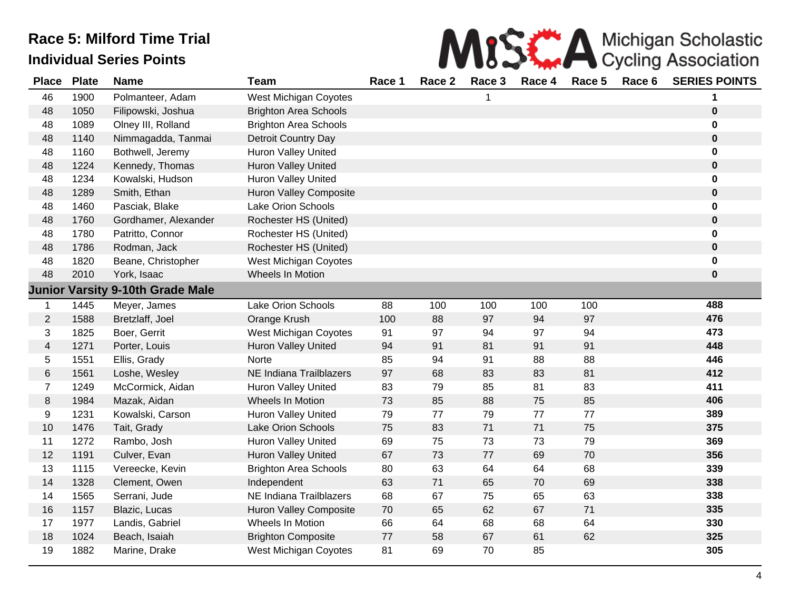| MISS A Michigan Scholastic                                     |  |
|----------------------------------------------------------------|--|
| $A$ Desa $2$ Desa $2$ Desa $A$ Desa $E$ Desa $E$ CEDIEC DOINTC |  |

| <b>Place</b>   | <b>Plate</b> | <b>Name</b>                             | <b>Team</b>                    | Race 1 | Race 2 | Race 3 | Race 4  | Race 5 | Race 6 | <b>SERIES POINTS</b> |
|----------------|--------------|-----------------------------------------|--------------------------------|--------|--------|--------|---------|--------|--------|----------------------|
| 46             | 1900         | Polmanteer, Adam                        | West Michigan Coyotes          |        |        |        |         |        |        |                      |
| 48             | 1050         | Filipowski, Joshua                      | <b>Brighton Area Schools</b>   |        |        |        |         |        |        | $\bf{0}$             |
| 48             | 1089         | Olney III, Rolland                      | <b>Brighton Area Schools</b>   |        |        |        |         |        |        | $\mathbf 0$          |
| 48             | 1140         | Nimmagadda, Tanmai                      | Detroit Country Day            |        |        |        |         |        |        | $\mathbf 0$          |
| 48             | 1160         | Bothwell, Jeremy                        | <b>Huron Valley United</b>     |        |        |        |         |        |        | $\mathbf 0$          |
| 48             | 1224         | Kennedy, Thomas                         | Huron Valley United            |        |        |        |         |        |        | $\mathbf 0$          |
| 48             | 1234         | Kowalski, Hudson                        | Huron Valley United            |        |        |        |         |        |        | $\mathbf 0$          |
| 48             | 1289         | Smith, Ethan                            | Huron Valley Composite         |        |        |        |         |        |        | $\mathbf 0$          |
| 48             | 1460         | Pasciak, Blake                          | Lake Orion Schools             |        |        |        |         |        |        | 0                    |
| 48             | 1760         | Gordhamer, Alexander                    | Rochester HS (United)          |        |        |        |         |        |        | $\mathbf 0$          |
| 48             | 1780         | Patritto, Connor                        | Rochester HS (United)          |        |        |        |         |        |        | $\mathbf 0$          |
| 48             | 1786         | Rodman, Jack                            | Rochester HS (United)          |        |        |        |         |        |        | $\bf{0}$             |
| 48             | 1820         | Beane, Christopher                      | West Michigan Coyotes          |        |        |        |         |        |        | $\mathbf 0$          |
| 48             | 2010         | York, Isaac                             | <b>Wheels In Motion</b>        |        |        |        |         |        |        | $\bf{0}$             |
|                |              | <b>Junior Varsity 9-10th Grade Male</b> |                                |        |        |        |         |        |        |                      |
| 1              | 1445         | Meyer, James                            | Lake Orion Schools             | 88     | 100    | 100    | 100     | 100    |        | 488                  |
| $\overline{2}$ | 1588         | Bretzlaff, Joel                         | Orange Krush                   | 100    | 88     | 97     | 94      | 97     |        | 476                  |
| 3              | 1825         | Boer, Gerrit                            | West Michigan Coyotes          | 91     | 97     | 94     | 97      | 94     |        | 473                  |
| $\overline{4}$ | 1271         | Porter, Louis                           | Huron Valley United            | 94     | 91     | 81     | 91      | 91     |        | 448                  |
| 5              | 1551         | Ellis, Grady                            | Norte                          | 85     | 94     | 91     | 88      | 88     |        | 446                  |
| 6              | 1561         | Loshe, Wesley                           | <b>NE Indiana Trailblazers</b> | 97     | 68     | 83     | 83      | 81     |        | 412                  |
| $\overline{7}$ | 1249         | McCormick, Aidan                        | <b>Huron Valley United</b>     | 83     | 79     | 85     | 81      | 83     |        | 411                  |
| 8              | 1984         | Mazak, Aidan                            | Wheels In Motion               | 73     | 85     | 88     | 75      | 85     |        | 406                  |
| 9              | 1231         | Kowalski, Carson                        | Huron Valley United            | 79     | 77     | 79     | $77 \,$ | 77     |        | 389                  |
| 10             | 1476         | Tait, Grady                             | Lake Orion Schools             | 75     | 83     | 71     | 71      | 75     |        | 375                  |
| 11             | 1272         | Rambo, Josh                             | Huron Valley United            | 69     | 75     | 73     | 73      | 79     |        | 369                  |
| 12             | 1191         | Culver, Evan                            | <b>Huron Valley United</b>     | 67     | 73     | 77     | 69      | 70     |        | 356                  |
| 13             | 1115         | Vereecke, Kevin                         | <b>Brighton Area Schools</b>   | 80     | 63     | 64     | 64      | 68     |        | 339                  |
| 14             | 1328         | Clement, Owen                           | Independent                    | 63     | 71     | 65     | 70      | 69     |        | 338                  |
| 14             | 1565         | Serrani, Jude                           | NE Indiana Trailblazers        | 68     | 67     | 75     | 65      | 63     |        | 338                  |
| 16             | 1157         | Blazic, Lucas                           | Huron Valley Composite         | 70     | 65     | 62     | 67      | 71     |        | 335                  |
| 17             | 1977         | Landis, Gabriel                         | Wheels In Motion               | 66     | 64     | 68     | 68      | 64     |        | 330                  |
| 18             | 1024         | Beach, Isaiah                           | <b>Brighton Composite</b>      | 77     | 58     | 67     | 61      | 62     |        | 325                  |
| 19             | 1882         | Marine, Drake                           | West Michigan Coyotes          | 81     | 69     | 70     | 85      |        |        | 305                  |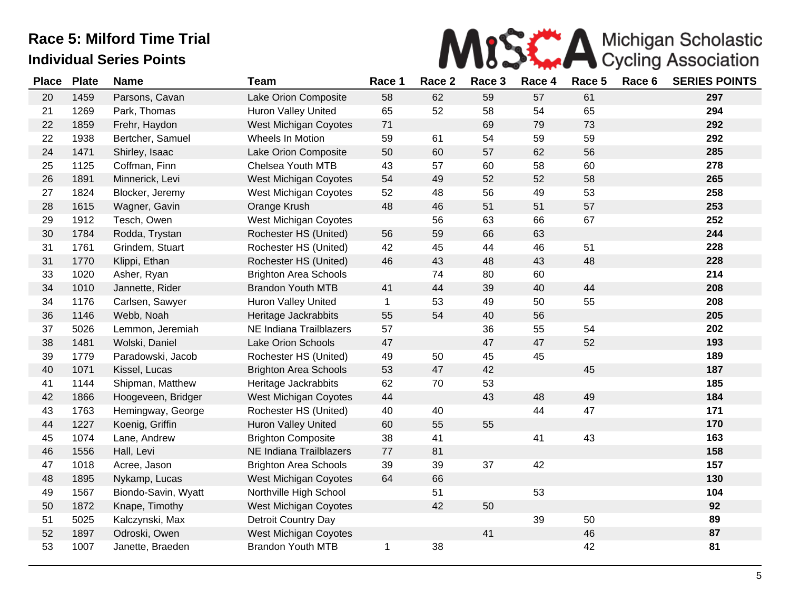

| <b>Place</b> | <b>Plate</b> | <b>Name</b>         | <b>Team</b>                  | Race 1       | Race 2 | Race 3 | Race 4 | Race 5 | Race 6 | <b>SERIES POINTS</b> |
|--------------|--------------|---------------------|------------------------------|--------------|--------|--------|--------|--------|--------|----------------------|
| 20           | 1459         | Parsons, Cavan      | Lake Orion Composite         | 58           | 62     | 59     | 57     | 61     |        | 297                  |
| 21           | 1269         | Park, Thomas        | <b>Huron Valley United</b>   | 65           | 52     | 58     | 54     | 65     |        | 294                  |
| 22           | 1859         | Frehr, Haydon       | West Michigan Coyotes        | 71           |        | 69     | 79     | 73     |        | 292                  |
| 22           | 1938         | Bertcher, Samuel    | Wheels In Motion             | 59           | 61     | 54     | 59     | 59     |        | 292                  |
| 24           | 1471         | Shirley, Isaac      | Lake Orion Composite         | 50           | 60     | 57     | 62     | 56     |        | 285                  |
| 25           | 1125         | Coffman, Finn       | Chelsea Youth MTB            | 43           | 57     | 60     | 58     | 60     |        | 278                  |
| 26           | 1891         | Minnerick, Levi     | West Michigan Coyotes        | 54           | 49     | 52     | 52     | 58     |        | 265                  |
| 27           | 1824         | Blocker, Jeremy     | West Michigan Coyotes        | 52           | 48     | 56     | 49     | 53     |        | 258                  |
| 28           | 1615         | Wagner, Gavin       | Orange Krush                 | 48           | 46     | 51     | 51     | 57     |        | 253                  |
| 29           | 1912         | Tesch, Owen         | West Michigan Coyotes        |              | 56     | 63     | 66     | 67     |        | 252                  |
| 30           | 1784         | Rodda, Trystan      | Rochester HS (United)        | 56           | 59     | 66     | 63     |        |        | 244                  |
| 31           | 1761         | Grindem, Stuart     | Rochester HS (United)        | 42           | 45     | 44     | 46     | 51     |        | 228                  |
| 31           | 1770         | Klippi, Ethan       | Rochester HS (United)        | 46           | 43     | 48     | 43     | 48     |        | 228                  |
| 33           | 1020         | Asher, Ryan         | <b>Brighton Area Schools</b> |              | 74     | 80     | 60     |        |        | 214                  |
| 34           | 1010         | Jannette, Rider     | <b>Brandon Youth MTB</b>     | 41           | 44     | 39     | 40     | 44     |        | 208                  |
| 34           | 1176         | Carlsen, Sawyer     | <b>Huron Valley United</b>   | $\mathbf{1}$ | 53     | 49     | 50     | 55     |        | 208                  |
| 36           | 1146         | Webb, Noah          | Heritage Jackrabbits         | 55           | 54     | 40     | 56     |        |        | 205                  |
| 37           | 5026         | Lemmon, Jeremiah    | NE Indiana Trailblazers      | 57           |        | 36     | 55     | 54     |        | 202                  |
| 38           | 1481         | Wolski, Daniel      | <b>Lake Orion Schools</b>    | 47           |        | 47     | 47     | 52     |        | 193                  |
| 39           | 1779         | Paradowski, Jacob   | Rochester HS (United)        | 49           | 50     | 45     | 45     |        |        | 189                  |
| 40           | 1071         | Kissel, Lucas       | <b>Brighton Area Schools</b> | 53           | 47     | 42     |        | 45     |        | 187                  |
| 41           | 1144         | Shipman, Matthew    | Heritage Jackrabbits         | 62           | 70     | 53     |        |        |        | 185                  |
| 42           | 1866         | Hoogeveen, Bridger  | West Michigan Coyotes        | 44           |        | 43     | 48     | 49     |        | 184                  |
| 43           | 1763         | Hemingway, George   | Rochester HS (United)        | 40           | 40     |        | 44     | 47     |        | 171                  |
| 44           | 1227         | Koenig, Griffin     | <b>Huron Valley United</b>   | 60           | 55     | 55     |        |        |        | 170                  |
| 45           | 1074         | Lane, Andrew        | <b>Brighton Composite</b>    | 38           | 41     |        | 41     | 43     |        | 163                  |
| 46           | 1556         | Hall, Levi          | NE Indiana Trailblazers      | 77           | 81     |        |        |        |        | 158                  |
| 47           | 1018         | Acree, Jason        | <b>Brighton Area Schools</b> | 39           | 39     | 37     | 42     |        |        | 157                  |
| 48           | 1895         | Nykamp, Lucas       | West Michigan Coyotes        | 64           | 66     |        |        |        |        | 130                  |
| 49           | 1567         | Biondo-Savin, Wyatt | Northville High School       |              | 51     |        | 53     |        |        | 104                  |
| 50           | 1872         | Knape, Timothy      | West Michigan Coyotes        |              | 42     | 50     |        |        |        | 92                   |
| 51           | 5025         | Kalczynski, Max     | Detroit Country Day          |              |        |        | 39     | 50     |        | 89                   |
| 52           | 1897         | Odroski, Owen       | West Michigan Coyotes        |              |        | 41     |        | 46     |        | 87                   |
| 53           | 1007         | Janette, Braeden    | <b>Brandon Youth MTB</b>     | $\mathbf 1$  | 38     |        |        | 42     |        | 81                   |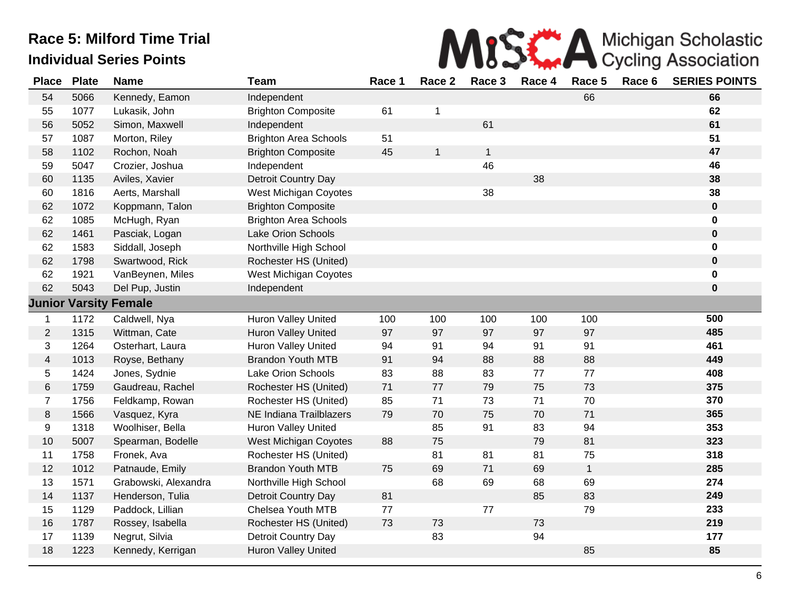

| <b>Place</b>            | <b>Plate</b> | <b>Name</b>                  | <b>Team</b>                  | Race 1 | Race 2       | Race 3       | Race 4 | Race 5       | Race 6 | <b>SERIES POINTS</b> |
|-------------------------|--------------|------------------------------|------------------------------|--------|--------------|--------------|--------|--------------|--------|----------------------|
| 54                      | 5066         | Kennedy, Eamon               | Independent                  |        |              |              |        | 66           |        | 66                   |
| 55                      | 1077         | Lukasik, John                | <b>Brighton Composite</b>    | 61     | 1            |              |        |              |        | 62                   |
| 56                      | 5052         | Simon, Maxwell               | Independent                  |        |              | 61           |        |              |        | 61                   |
| 57                      | 1087         | Morton, Riley                | <b>Brighton Area Schools</b> | 51     |              |              |        |              |        | 51                   |
| 58                      | 1102         | Rochon, Noah                 | <b>Brighton Composite</b>    | 45     | $\mathbf{1}$ | $\mathbf{1}$ |        |              |        | 47                   |
| 59                      | 5047         | Crozier, Joshua              | Independent                  |        |              | 46           |        |              |        | 46                   |
| 60                      | 1135         | Aviles, Xavier               | Detroit Country Day          |        |              |              | 38     |              |        | 38                   |
| 60                      | 1816         | Aerts, Marshall              | West Michigan Coyotes        |        |              | 38           |        |              |        | 38                   |
| 62                      | 1072         | Koppmann, Talon              | <b>Brighton Composite</b>    |        |              |              |        |              |        | $\mathbf 0$          |
| 62                      | 1085         | McHugh, Ryan                 | <b>Brighton Area Schools</b> |        |              |              |        |              |        | 0                    |
| 62                      | 1461         | Pasciak, Logan               | Lake Orion Schools           |        |              |              |        |              |        | $\pmb{0}$            |
| 62                      | 1583         | Siddall, Joseph              | Northville High School       |        |              |              |        |              |        | 0                    |
| 62                      | 1798         | Swartwood, Rick              | Rochester HS (United)        |        |              |              |        |              |        | $\pmb{0}$            |
| 62                      | 1921         | VanBeynen, Miles             | West Michigan Coyotes        |        |              |              |        |              |        | $\pmb{0}$            |
| 62                      | 5043         | Del Pup, Justin              | Independent                  |        |              |              |        |              |        | $\bf{0}$             |
|                         |              | <b>Junior Varsity Female</b> |                              |        |              |              |        |              |        |                      |
| $\mathbf 1$             | 1172         | Caldwell, Nya                | Huron Valley United          | 100    | 100          | 100          | 100    | 100          |        | 500                  |
| $\overline{2}$          | 1315         | Wittman, Cate                | <b>Huron Valley United</b>   | 97     | 97           | 97           | 97     | 97           |        | 485                  |
| 3                       | 1264         | Osterhart, Laura             | Huron Valley United          | 94     | 91           | 94           | 91     | 91           |        | 461                  |
| $\overline{\mathbf{4}}$ | 1013         | Royse, Bethany               | <b>Brandon Youth MTB</b>     | 91     | 94           | 88           | 88     | 88           |        | 449                  |
| 5                       | 1424         | Jones, Sydnie                | Lake Orion Schools           | 83     | 88           | 83           | 77     | 77           |        | 408                  |
| 6                       | 1759         | Gaudreau, Rachel             | Rochester HS (United)        | 71     | 77           | 79           | 75     | 73           |        | 375                  |
| $\overline{7}$          | 1756         | Feldkamp, Rowan              | Rochester HS (United)        | 85     | 71           | 73           | 71     | 70           |        | 370                  |
| 8                       | 1566         | Vasquez, Kyra                | NE Indiana Trailblazers      | 79     | 70           | 75           | 70     | 71           |        | 365                  |
| 9                       | 1318         | Woolhiser, Bella             | <b>Huron Valley United</b>   |        | 85           | 91           | 83     | 94           |        | 353                  |
| 10                      | 5007         | Spearman, Bodelle            | West Michigan Coyotes        | 88     | 75           |              | 79     | 81           |        | 323                  |
| 11                      | 1758         | Fronek, Ava                  | Rochester HS (United)        |        | 81           | 81           | 81     | 75           |        | 318                  |
| 12                      | 1012         | Patnaude, Emily              | <b>Brandon Youth MTB</b>     | 75     | 69           | 71           | 69     | $\mathbf{1}$ |        | 285                  |
| 13                      | 1571         | Grabowski, Alexandra         | Northville High School       |        | 68           | 69           | 68     | 69           |        | 274                  |
| 14                      | 1137         | Henderson, Tulia             | Detroit Country Day          | 81     |              |              | 85     | 83           |        | 249                  |
| 15                      | 1129         | Paddock, Lillian             | Chelsea Youth MTB            | 77     |              | 77           |        | 79           |        | 233                  |
| 16                      | 1787         | Rossey, Isabella             | Rochester HS (United)        | 73     | 73           |              | 73     |              |        | 219                  |
| 17                      | 1139         | Negrut, Silvia               | Detroit Country Day          |        | 83           |              | 94     |              |        | 177                  |
| 18                      | 1223         | Kennedy, Kerrigan            | Huron Valley United          |        |              |              |        | 85           |        | 85                   |
|                         |              |                              |                              |        |              |              |        |              |        |                      |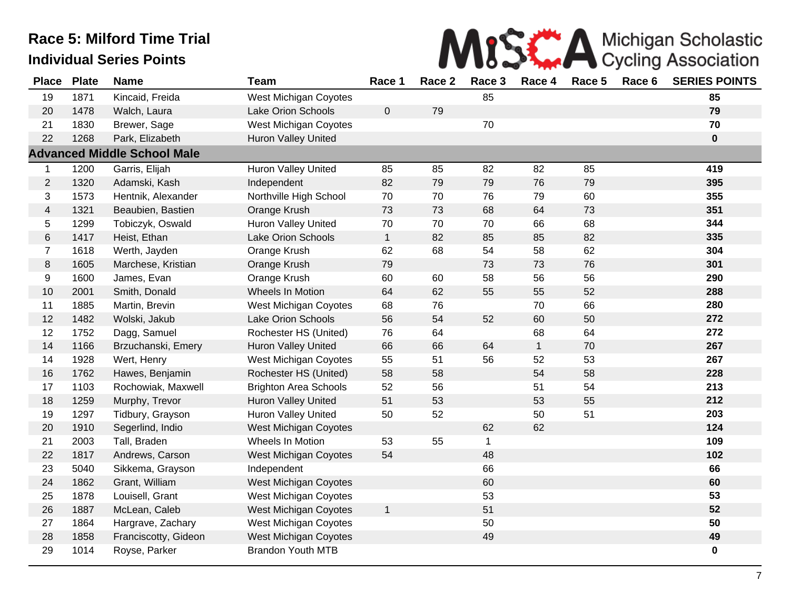

| <b>Place</b>            | <b>Plate</b> | <b>Name</b>                        | <b>Team</b>                  | Race 1       | Race 2 | Race 3       | Race 4       | Race 5 | Race 6 | <b>SERIES POINTS</b> |
|-------------------------|--------------|------------------------------------|------------------------------|--------------|--------|--------------|--------------|--------|--------|----------------------|
| 19                      | 1871         | Kincaid, Freida                    | <b>West Michigan Coyotes</b> |              |        | 85           |              |        |        | 85                   |
| 20                      | 1478         | Walch, Laura                       | Lake Orion Schools           | $\pmb{0}$    | 79     |              |              |        |        | 79                   |
| 21                      | 1830         | Brewer, Sage                       | West Michigan Coyotes        |              |        | 70           |              |        |        | 70                   |
| 22                      | 1268         | Park, Elizabeth                    | <b>Huron Valley United</b>   |              |        |              |              |        |        | $\mathbf 0$          |
|                         |              | <b>Advanced Middle School Male</b> |                              |              |        |              |              |        |        |                      |
| 1                       | 1200         | Garris, Elijah                     | Huron Valley United          | 85           | 85     | 82           | 82           | 85     |        | 419                  |
| $\overline{c}$          | 1320         | Adamski, Kash                      | Independent                  | 82           | 79     | 79           | 76           | 79     |        | 395                  |
| 3                       | 1573         | Hentnik, Alexander                 | Northville High School       | 70           | 70     | 76           | 79           | 60     |        | 355                  |
| $\overline{\mathbf{4}}$ | 1321         | Beaubien, Bastien                  | Orange Krush                 | 73           | 73     | 68           | 64           | 73     |        | 351                  |
| 5                       | 1299         | Tobiczyk, Oswald                   | Huron Valley United          | 70           | 70     | 70           | 66           | 68     |        | 344                  |
| 6                       | 1417         | Heist, Ethan                       | Lake Orion Schools           | $\mathbf{1}$ | 82     | 85           | 85           | 82     |        | 335                  |
| $\overline{7}$          | 1618         | Werth, Jayden                      | Orange Krush                 | 62           | 68     | 54           | 58           | 62     |        | 304                  |
| 8                       | 1605         | Marchese, Kristian                 | Orange Krush                 | 79           |        | 73           | 73           | 76     |        | 301                  |
| 9                       | 1600         | James, Evan                        | Orange Krush                 | 60           | 60     | 58           | 56           | 56     |        | 290                  |
| 10                      | 2001         | Smith, Donald                      | Wheels In Motion             | 64           | 62     | 55           | 55           | 52     |        | 288                  |
| 11                      | 1885         | Martin, Brevin                     | West Michigan Coyotes        | 68           | 76     |              | 70           | 66     |        | 280                  |
| 12                      | 1482         | Wolski, Jakub                      | Lake Orion Schools           | 56           | 54     | 52           | 60           | 50     |        | 272                  |
| 12                      | 1752         | Dagg, Samuel                       | Rochester HS (United)        | 76           | 64     |              | 68           | 64     |        | 272                  |
| 14                      | 1166         | Brzuchanski, Emery                 | <b>Huron Valley United</b>   | 66           | 66     | 64           | $\mathbf{1}$ | 70     |        | 267                  |
| 14                      | 1928         | Wert, Henry                        | <b>West Michigan Coyotes</b> | 55           | 51     | 56           | 52           | 53     |        | 267                  |
| 16                      | 1762         | Hawes, Benjamin                    | Rochester HS (United)        | 58           | 58     |              | 54           | 58     |        | 228                  |
| 17                      | 1103         | Rochowiak, Maxwell                 | <b>Brighton Area Schools</b> | 52           | 56     |              | 51           | 54     |        | 213                  |
| 18                      | 1259         | Murphy, Trevor                     | <b>Huron Valley United</b>   | 51           | 53     |              | 53           | 55     |        | 212                  |
| 19                      | 1297         | Tidbury, Grayson                   | Huron Valley United          | 50           | 52     |              | 50           | 51     |        | 203                  |
| 20                      | 1910         | Segerlind, Indio                   | <b>West Michigan Coyotes</b> |              |        | 62           | 62           |        |        | 124                  |
| 21                      | 2003         | Tall, Braden                       | Wheels In Motion             | 53           | 55     | $\mathbf{1}$ |              |        |        | 109                  |
| 22                      | 1817         | Andrews, Carson                    | <b>West Michigan Coyotes</b> | 54           |        | 48           |              |        |        | 102                  |
| 23                      | 5040         | Sikkema, Grayson                   | Independent                  |              |        | 66           |              |        |        | 66                   |
| 24                      | 1862         | Grant, William                     | West Michigan Coyotes        |              |        | 60           |              |        |        | 60                   |
| 25                      | 1878         | Louisell, Grant                    | <b>West Michigan Coyotes</b> |              |        | 53           |              |        |        | 53                   |
| 26                      | 1887         | McLean, Caleb                      | <b>West Michigan Coyotes</b> | $\mathbf{1}$ |        | 51           |              |        |        | 52                   |
| 27                      | 1864         | Hargrave, Zachary                  | <b>West Michigan Coyotes</b> |              |        | 50           |              |        |        | 50                   |
| 28                      | 1858         | Franciscotty, Gideon               | West Michigan Coyotes        |              |        | 49           |              |        |        | 49                   |
| 29                      | 1014         | Royse, Parker                      | <b>Brandon Youth MTB</b>     |              |        |              |              |        |        | 0                    |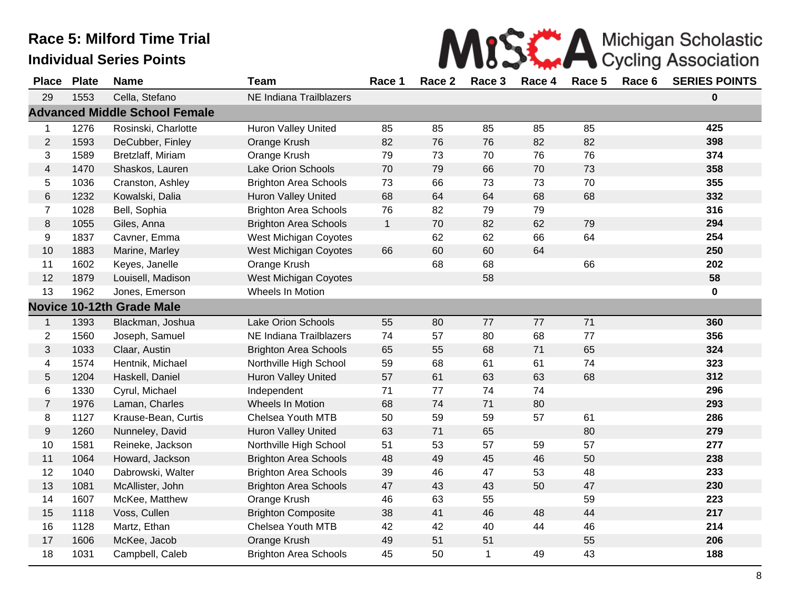

| <b>Place</b>     | <b>Plate</b> | <b>Name</b>                          | <b>Team</b>                  | Race 1       | Race 2 | Race 3 | Race 4 | Race 5 | Race 6 | <b>SERIES POINTS</b> |
|------------------|--------------|--------------------------------------|------------------------------|--------------|--------|--------|--------|--------|--------|----------------------|
| 29               | 1553         | Cella, Stefano                       | NE Indiana Trailblazers      |              |        |        |        |        |        | 0                    |
|                  |              | <b>Advanced Middle School Female</b> |                              |              |        |        |        |        |        |                      |
| $\mathbf{1}$     | 1276         | Rosinski, Charlotte                  | <b>Huron Valley United</b>   | 85           | 85     | 85     | 85     | 85     |        | 425                  |
| $\overline{2}$   | 1593         | DeCubber, Finley                     | Orange Krush                 | 82           | 76     | 76     | 82     | 82     |        | 398                  |
| 3                | 1589         | Bretzlaff, Miriam                    | Orange Krush                 | 79           | 73     | 70     | 76     | 76     |        | 374                  |
| $\overline{4}$   | 1470         | Shaskos, Lauren                      | Lake Orion Schools           | 70           | 79     | 66     | 70     | 73     |        | 358                  |
| 5                | 1036         | Cranston, Ashley                     | <b>Brighton Area Schools</b> | 73           | 66     | 73     | 73     | 70     |        | 355                  |
| $\,6$            | 1232         | Kowalski, Dalia                      | Huron Valley United          | 68           | 64     | 64     | 68     | 68     |        | 332                  |
| $\overline{7}$   | 1028         | Bell, Sophia                         | <b>Brighton Area Schools</b> | 76           | 82     | 79     | 79     |        |        | 316                  |
| $\,8\,$          | 1055         | Giles, Anna                          | <b>Brighton Area Schools</b> | $\mathbf{1}$ | 70     | 82     | 62     | 79     |        | 294                  |
| 9                | 1837         | Cavner, Emma                         | <b>West Michigan Coyotes</b> |              | 62     | 62     | 66     | 64     |        | 254                  |
| 10               | 1883         | Marine, Marley                       | West Michigan Coyotes        | 66           | 60     | 60     | 64     |        |        | 250                  |
| 11               | 1602         | Keyes, Janelle                       | Orange Krush                 |              | 68     | 68     |        | 66     |        | 202                  |
| 12               | 1879         | Louisell, Madison                    | <b>West Michigan Coyotes</b> |              |        | 58     |        |        |        | 58                   |
| 13               | 1962         | Jones, Emerson                       | Wheels In Motion             |              |        |        |        |        |        | 0                    |
|                  |              | <b>Novice 10-12th Grade Male</b>     |                              |              |        |        |        |        |        |                      |
| $\mathbf{1}$     | 1393         | Blackman, Joshua                     | Lake Orion Schools           | 55           | 80     | 77     | 77     | 71     |        | 360                  |
| $\overline{c}$   | 1560         | Joseph, Samuel                       | NE Indiana Trailblazers      | 74           | 57     | 80     | 68     | 77     |        | 356                  |
| $\mathfrak{S}$   | 1033         | Claar, Austin                        | <b>Brighton Area Schools</b> | 65           | 55     | 68     | 71     | 65     |        | 324                  |
| 4                | 1574         | Hentnik, Michael                     | Northville High School       | 59           | 68     | 61     | 61     | 74     |        | 323                  |
| 5                | 1204         | Haskell, Daniel                      | <b>Huron Valley United</b>   | 57           | 61     | 63     | 63     | 68     |        | 312                  |
| 6                | 1330         | Cyrul, Michael                       | Independent                  | 71           | 77     | 74     | 74     |        |        | 296                  |
| $\overline{7}$   | 1976         | Laman, Charles                       | Wheels In Motion             | 68           | 74     | 71     | 80     |        |        | 293                  |
| 8                | 1127         | Krause-Bean, Curtis                  | Chelsea Youth MTB            | 50           | 59     | 59     | 57     | 61     |        | 286                  |
| $\boldsymbol{9}$ | 1260         | Nunneley, David                      | <b>Huron Valley United</b>   | 63           | 71     | 65     |        | 80     |        | 279                  |
| 10               | 1581         | Reineke, Jackson                     | Northville High School       | 51           | 53     | 57     | 59     | 57     |        | 277                  |
| 11               | 1064         | Howard, Jackson                      | <b>Brighton Area Schools</b> | 48           | 49     | 45     | 46     | 50     |        | 238                  |
| 12               | 1040         | Dabrowski, Walter                    | <b>Brighton Area Schools</b> | 39           | 46     | 47     | 53     | 48     |        | 233                  |
| 13               | 1081         | McAllister, John                     | <b>Brighton Area Schools</b> | 47           | 43     | 43     | 50     | 47     |        | 230                  |
| 14               | 1607         | McKee, Matthew                       | Orange Krush                 | 46           | 63     | 55     |        | 59     |        | 223                  |
| 15               | 1118         | Voss, Cullen                         | <b>Brighton Composite</b>    | 38           | 41     | 46     | 48     | 44     |        | 217                  |
| 16               | 1128         | Martz, Ethan                         | <b>Chelsea Youth MTB</b>     | 42           | 42     | 40     | 44     | 46     |        | 214                  |
| 17               | 1606         | McKee, Jacob                         | Orange Krush                 | 49           | 51     | 51     |        | 55     |        | 206                  |
| 18               | 1031         | Campbell, Caleb                      | <b>Brighton Area Schools</b> | 45           | 50     | 1      | 49     | 43     |        | 188                  |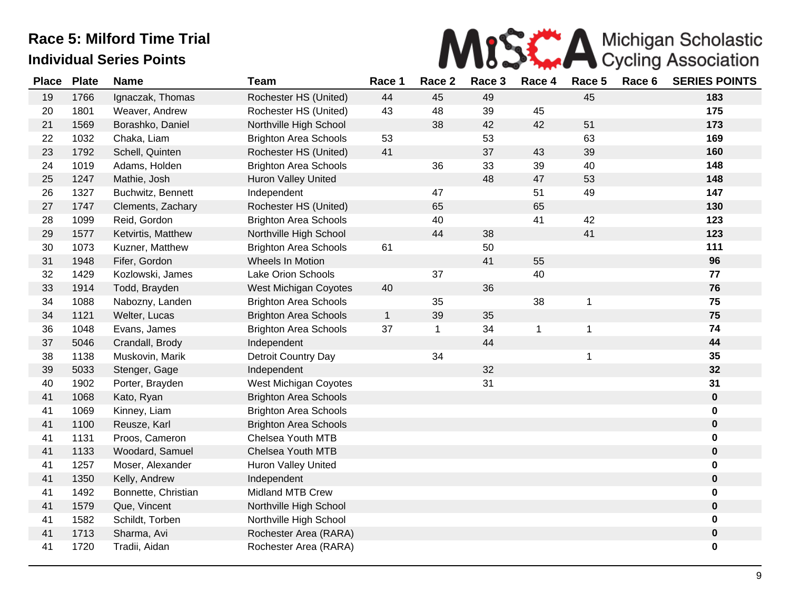

| <b>Place</b> | <b>Plate</b> | <b>Name</b>         | <b>Team</b>                  | Race 1       | Race 2      | Race 3 | Race 4 | Race 5       | Race 6 | <b>SERIES POINTS</b> |
|--------------|--------------|---------------------|------------------------------|--------------|-------------|--------|--------|--------------|--------|----------------------|
| 19           | 1766         | Ignaczak, Thomas    | Rochester HS (United)        | 44           | 45          | 49     |        | 45           |        | 183                  |
| 20           | 1801         | Weaver, Andrew      | Rochester HS (United)        | 43           | 48          | 39     | 45     |              |        | 175                  |
| 21           | 1569         | Borashko, Daniel    | Northville High School       |              | 38          | 42     | 42     | 51           |        | 173                  |
| 22           | 1032         | Chaka, Liam         | <b>Brighton Area Schools</b> | 53           |             | 53     |        | 63           |        | 169                  |
| 23           | 1792         | Schell, Quinten     | Rochester HS (United)        | 41           |             | 37     | 43     | 39           |        | 160                  |
| 24           | 1019         | Adams, Holden       | <b>Brighton Area Schools</b> |              | 36          | 33     | 39     | 40           |        | 148                  |
| 25           | 1247         | Mathie, Josh        | Huron Valley United          |              |             | 48     | 47     | 53           |        | 148                  |
| 26           | 1327         | Buchwitz, Bennett   | Independent                  |              | 47          |        | 51     | 49           |        | 147                  |
| 27           | 1747         | Clements, Zachary   | Rochester HS (United)        |              | 65          |        | 65     |              |        | 130                  |
| 28           | 1099         | Reid, Gordon        | <b>Brighton Area Schools</b> |              | 40          |        | 41     | 42           |        | 123                  |
| 29           | 1577         | Ketvirtis, Matthew  | Northville High School       |              | 44          | 38     |        | 41           |        | 123                  |
| 30           | 1073         | Kuzner, Matthew     | <b>Brighton Area Schools</b> | 61           |             | 50     |        |              |        | 111                  |
| 31           | 1948         | Fifer, Gordon       | Wheels In Motion             |              |             | 41     | 55     |              |        | 96                   |
| 32           | 1429         | Kozlowski, James    | Lake Orion Schools           |              | 37          |        | 40     |              |        | 77                   |
| 33           | 1914         | Todd, Brayden       | West Michigan Coyotes        | 40           |             | 36     |        |              |        | 76                   |
| 34           | 1088         | Nabozny, Landen     | <b>Brighton Area Schools</b> |              | 35          |        | 38     | $\mathbf{1}$ |        | 75                   |
| 34           | 1121         | Welter, Lucas       | <b>Brighton Area Schools</b> | $\mathbf{1}$ | 39          | 35     |        |              |        | 75                   |
| 36           | 1048         | Evans, James        | <b>Brighton Area Schools</b> | 37           | $\mathbf 1$ | 34     | 1      | $\mathbf{1}$ |        | 74                   |
| 37           | 5046         | Crandall, Brody     | Independent                  |              |             | 44     |        |              |        | 44                   |
| 38           | 1138         | Muskovin, Marik     | Detroit Country Day          |              | 34          |        |        | 1            |        | 35                   |
| 39           | 5033         | Stenger, Gage       | Independent                  |              |             | 32     |        |              |        | 32                   |
| 40           | 1902         | Porter, Brayden     | West Michigan Coyotes        |              |             | 31     |        |              |        | 31                   |
| 41           | 1068         | Kato, Ryan          | <b>Brighton Area Schools</b> |              |             |        |        |              |        | $\boldsymbol{0}$     |
| 41           | 1069         | Kinney, Liam        | <b>Brighton Area Schools</b> |              |             |        |        |              |        | 0                    |
| 41           | 1100         | Reusze, Karl        | <b>Brighton Area Schools</b> |              |             |        |        |              |        | $\boldsymbol{0}$     |
| 41           | 1131         | Proos, Cameron      | Chelsea Youth MTB            |              |             |        |        |              |        | 0                    |
| 41           | 1133         | Woodard, Samuel     | Chelsea Youth MTB            |              |             |        |        |              |        | 0                    |
| 41           | 1257         | Moser, Alexander    | <b>Huron Valley United</b>   |              |             |        |        |              |        | 0                    |
| 41           | 1350         | Kelly, Andrew       | Independent                  |              |             |        |        |              |        | $\boldsymbol{0}$     |
| 41           | 1492         | Bonnette, Christian | Midland MTB Crew             |              |             |        |        |              |        | 0                    |
| 41           | 1579         | Que, Vincent        | Northville High School       |              |             |        |        |              |        | 0                    |
| 41           | 1582         | Schildt, Torben     | Northville High School       |              |             |        |        |              |        | 0                    |
| 41           | 1713         | Sharma, Avi         | Rochester Area (RARA)        |              |             |        |        |              |        | $\mathbf 0$          |
| 41           | 1720         | Tradii, Aidan       | Rochester Area (RARA)        |              |             |        |        |              |        | 0                    |
|              |              |                     |                              |              |             |        |        |              |        |                      |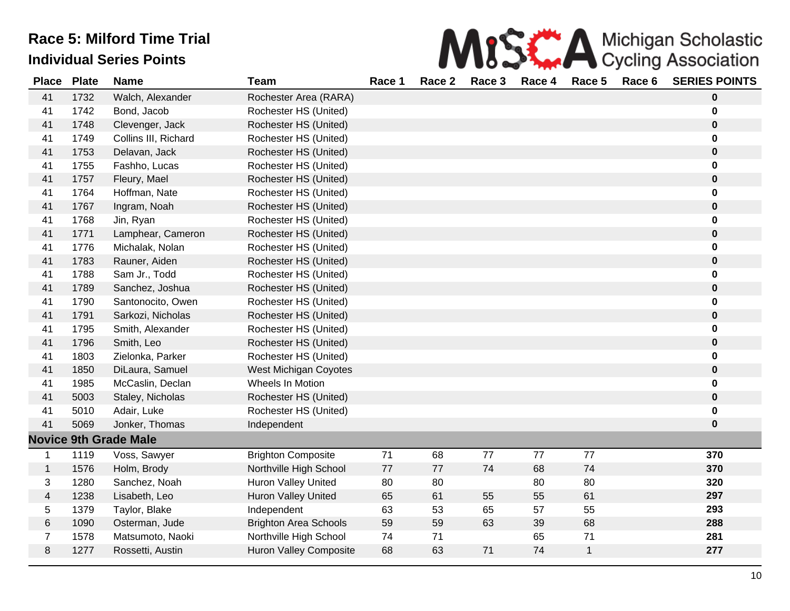|  |  |  | MISE A Michigan Scholastic                            |  |
|--|--|--|-------------------------------------------------------|--|
|  |  |  | re 1 Race 2 Race 3 Race 4 Race 5 Race 6 SERIES POINTS |  |

| <b>Place</b>   | <b>Plate</b> | <b>Name</b>                  | Team                          | Race 1 | Race 2 | Race 3 | Race 4 | Race 5       | Race 6 | <b>SERIES POINTS</b> |
|----------------|--------------|------------------------------|-------------------------------|--------|--------|--------|--------|--------------|--------|----------------------|
| 41             | 1732         | Walch, Alexander             | Rochester Area (RARA)         |        |        |        |        |              |        | $\bf{0}$             |
| 41             | 1742         | Bond, Jacob                  | Rochester HS (United)         |        |        |        |        |              |        | $\bf{0}$             |
| 41             | 1748         | Clevenger, Jack              | Rochester HS (United)         |        |        |        |        |              |        | $\bf{0}$             |
| 41             | 1749         | Collins III, Richard         | Rochester HS (United)         |        |        |        |        |              |        | $\mathbf 0$          |
| 41             | 1753         | Delavan, Jack                | Rochester HS (United)         |        |        |        |        |              |        | $\mathbf 0$          |
| 41             | 1755         | Fashho, Lucas                | Rochester HS (United)         |        |        |        |        |              |        | $\bf{0}$             |
| 41             | 1757         | Fleury, Mael                 | Rochester HS (United)         |        |        |        |        |              |        | $\bf{0}$             |
| 41             | 1764         | Hoffman, Nate                | Rochester HS (United)         |        |        |        |        |              |        | 0                    |
| 41             | 1767         | Ingram, Noah                 | Rochester HS (United)         |        |        |        |        |              |        | $\mathbf 0$          |
| 41             | 1768         | Jin, Ryan                    | Rochester HS (United)         |        |        |        |        |              |        | $\bf{0}$             |
| 41             | 1771         | Lamphear, Cameron            | Rochester HS (United)         |        |        |        |        |              |        | $\bf{0}$             |
| 41             | 1776         | Michalak, Nolan              | Rochester HS (United)         |        |        |        |        |              |        | 0                    |
| 41             | 1783         | Rauner, Aiden                | Rochester HS (United)         |        |        |        |        |              |        | $\pmb{0}$            |
| 41             | 1788         | Sam Jr., Todd                | Rochester HS (United)         |        |        |        |        |              |        | $\mathbf 0$          |
| 41             | 1789         | Sanchez, Joshua              | Rochester HS (United)         |        |        |        |        |              |        | $\mathbf 0$          |
| 41             | 1790         | Santonocito, Owen            | Rochester HS (United)         |        |        |        |        |              |        | $\bf{0}$             |
| 41             | 1791         | Sarkozi, Nicholas            | Rochester HS (United)         |        |        |        |        |              |        | $\bf{0}$             |
| 41             | 1795         | Smith, Alexander             | Rochester HS (United)         |        |        |        |        |              |        | 0                    |
| 41             | 1796         | Smith, Leo                   | Rochester HS (United)         |        |        |        |        |              |        | $\bf{0}$             |
| 41             | 1803         | Zielonka, Parker             | Rochester HS (United)         |        |        |        |        |              |        | $\mathbf 0$          |
| 41             | 1850         | DiLaura, Samuel              | West Michigan Coyotes         |        |        |        |        |              |        | $\bf{0}$             |
| 41             | 1985         | McCaslin, Declan             | Wheels In Motion              |        |        |        |        |              |        | 0                    |
| 41             | 5003         | Staley, Nicholas             | Rochester HS (United)         |        |        |        |        |              |        | $\mathbf 0$          |
| 41             | 5010         | Adair, Luke                  | Rochester HS (United)         |        |        |        |        |              |        | $\mathbf 0$          |
| 41             | 5069         | Jonker, Thomas               | Independent                   |        |        |        |        |              |        | $\bf{0}$             |
|                |              | <b>Novice 9th Grade Male</b> |                               |        |        |        |        |              |        |                      |
| $\mathbf{1}$   | 1119         | Voss, Sawyer                 | <b>Brighton Composite</b>     | 71     | 68     | 77     | 77     | 77           |        | 370                  |
| $\mathbf{1}$   | 1576         | Holm, Brody                  | Northville High School        | 77     | 77     | 74     | 68     | 74           |        | 370                  |
| 3              | 1280         | Sanchez, Noah                | Huron Valley United           | 80     | 80     |        | 80     | 80           |        | 320                  |
| 4              | 1238         | Lisabeth, Leo                | <b>Huron Valley United</b>    | 65     | 61     | 55     | 55     | 61           |        | 297                  |
| 5              | 1379         | Taylor, Blake                | Independent                   | 63     | 53     | 65     | 57     | 55           |        | 293                  |
| 6              | 1090         | Osterman, Jude               | <b>Brighton Area Schools</b>  | 59     | 59     | 63     | 39     | 68           |        | 288                  |
| $\overline{7}$ | 1578         | Matsumoto, Naoki             | Northville High School        | 74     | 71     |        | 65     | 71           |        | 281                  |
| 8              | 1277         | Rossetti, Austin             | <b>Huron Valley Composite</b> | 68     | 63     | 71     | 74     | $\mathbf{1}$ |        | 277                  |
|                |              |                              |                               |        |        |        |        |              |        |                      |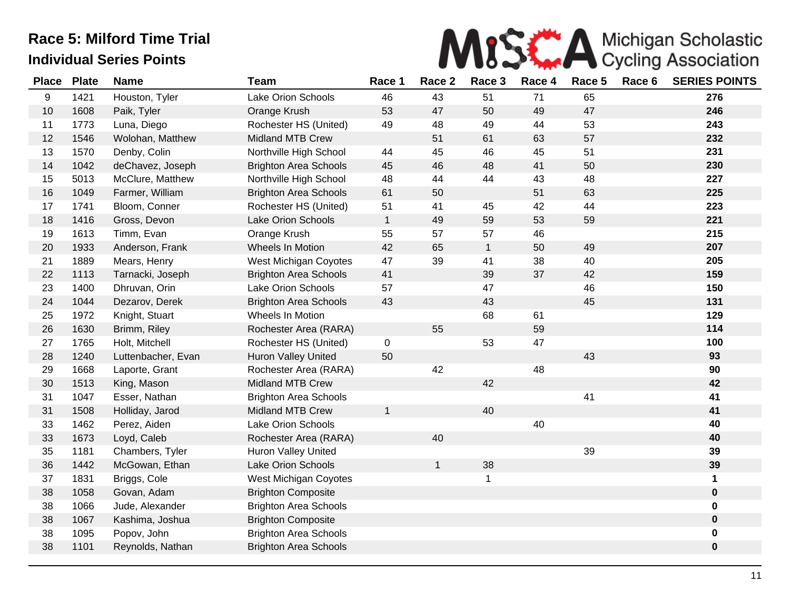

| <b>Place</b> | <b>Plate</b> | <b>Name</b>        | <b>Team</b>                  | Race 1       | Race 2       | Race 3       | Race 4 | Race 5 | Race 6 | <b>SERIES POINTS</b> |
|--------------|--------------|--------------------|------------------------------|--------------|--------------|--------------|--------|--------|--------|----------------------|
| 9            | 1421         | Houston, Tyler     | Lake Orion Schools           | 46           | 43           | 51           | 71     | 65     |        | 276                  |
| 10           | 1608         | Paik, Tyler        | Orange Krush                 | 53           | 47           | 50           | 49     | 47     |        | 246                  |
| 11           | 1773         | Luna, Diego        | Rochester HS (United)        | 49           | 48           | 49           | 44     | 53     |        | 243                  |
| 12           | 1546         | Wolohan, Matthew   | Midland MTB Crew             |              | 51           | 61           | 63     | 57     |        | 232                  |
| 13           | 1570         | Denby, Colin       | Northville High School       | 44           | 45           | 46           | 45     | 51     |        | 231                  |
| 14           | 1042         | deChavez, Joseph   | <b>Brighton Area Schools</b> | 45           | 46           | 48           | 41     | 50     |        | 230                  |
| 15           | 5013         | McClure, Matthew   | Northville High School       | 48           | 44           | 44           | 43     | 48     |        | 227                  |
| 16           | 1049         | Farmer, William    | <b>Brighton Area Schools</b> | 61           | 50           |              | 51     | 63     |        | 225                  |
| 17           | 1741         | Bloom, Conner      | Rochester HS (United)        | 51           | 41           | 45           | 42     | 44     |        | 223                  |
| 18           | 1416         | Gross, Devon       | <b>Lake Orion Schools</b>    | $\mathbf{1}$ | 49           | 59           | 53     | 59     |        | 221                  |
| 19           | 1613         | Timm, Evan         | Orange Krush                 | 55           | 57           | 57           | 46     |        |        | 215                  |
| 20           | 1933         | Anderson, Frank    | Wheels In Motion             | 42           | 65           | $\mathbf{1}$ | 50     | 49     |        | 207                  |
| 21           | 1889         | Mears, Henry       | West Michigan Coyotes        | 47           | 39           | 41           | 38     | 40     |        | 205                  |
| 22           | 1113         | Tarnacki, Joseph   | <b>Brighton Area Schools</b> | 41           |              | 39           | 37     | 42     |        | 159                  |
| 23           | 1400         | Dhruvan, Orin      | Lake Orion Schools           | 57           |              | 47           |        | 46     |        | 150                  |
| 24           | 1044         | Dezarov, Derek     | <b>Brighton Area Schools</b> | 43           |              | 43           |        | 45     |        | 131                  |
| 25           | 1972         | Knight, Stuart     | Wheels In Motion             |              |              | 68           | 61     |        |        | 129                  |
| 26           | 1630         | Brimm, Riley       | Rochester Area (RARA)        |              | 55           |              | 59     |        |        | 114                  |
| 27           | 1765         | Holt, Mitchell     | Rochester HS (United)        | 0            |              | 53           | 47     |        |        | 100                  |
| 28           | 1240         | Luttenbacher, Evan | Huron Valley United          | 50           |              |              |        | 43     |        | 93                   |
| 29           | 1668         | Laporte, Grant     | Rochester Area (RARA)        |              | 42           |              | 48     |        |        | 90                   |
| 30           | 1513         | King, Mason        | Midland MTB Crew             |              |              | 42           |        |        |        | 42                   |
| 31           | 1047         | Esser, Nathan      | <b>Brighton Area Schools</b> |              |              |              |        | 41     |        | 41                   |
| 31           | 1508         | Holliday, Jarod    | <b>Midland MTB Crew</b>      | $\mathbf{1}$ |              | 40           |        |        |        | 41                   |
| 33           | 1462         | Perez, Aiden       | Lake Orion Schools           |              |              |              | 40     |        |        | 40                   |
| 33           | 1673         | Loyd, Caleb        | Rochester Area (RARA)        |              | 40           |              |        |        |        | 40                   |
| 35           | 1181         | Chambers, Tyler    | <b>Huron Valley United</b>   |              |              |              |        | 39     |        | 39                   |
| 36           | 1442         | McGowan, Ethan     | Lake Orion Schools           |              | $\mathbf{1}$ | 38           |        |        |        | 39                   |
| 37           | 1831         | Briggs, Cole       | West Michigan Coyotes        |              |              | 1            |        |        |        | 1                    |
| 38           | 1058         | Govan, Adam        | <b>Brighton Composite</b>    |              |              |              |        |        |        | $\pmb{0}$            |
| 38           | 1066         | Jude, Alexander    | <b>Brighton Area Schools</b> |              |              |              |        |        |        | 0                    |
| 38           | 1067         | Kashima, Joshua    | <b>Brighton Composite</b>    |              |              |              |        |        |        | $\pmb{0}$            |
| 38           | 1095         | Popov, John        | <b>Brighton Area Schools</b> |              |              |              |        |        |        | 0                    |
| 38           | 1101         | Reynolds, Nathan   | <b>Brighton Area Schools</b> |              |              |              |        |        |        | $\pmb{0}$            |
|              |              |                    |                              |              |              |              |        |        |        |                      |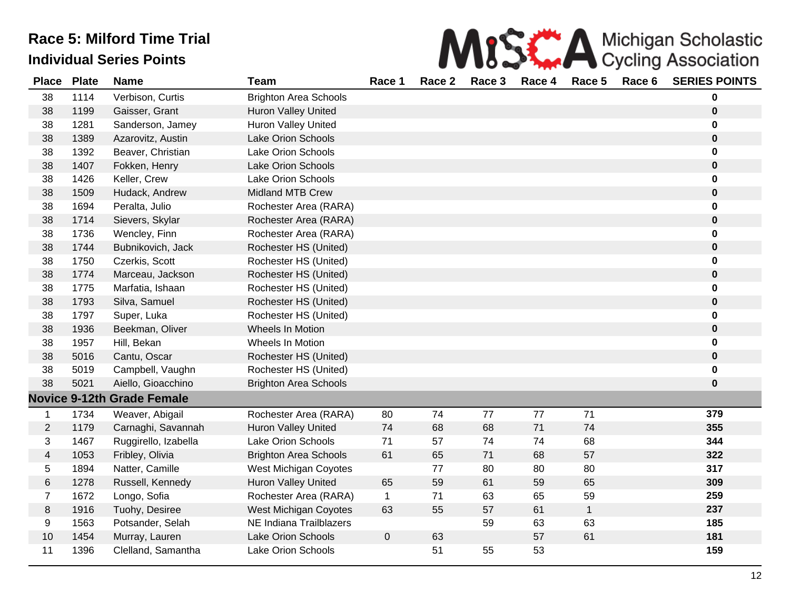|        |  |  | MISS A Michigan Scholastic                       |  |
|--------|--|--|--------------------------------------------------|--|
| Race 1 |  |  | Race 2 Race 3 Race 4 Race 5 Race 6 SERIES POINTS |  |

| <b>Place</b>             | <b>Plate</b> | <b>Name</b>                       | <b>Team</b>                  | Race 1       | Race 2 | Race 3 | Race 4 | Race 5       | Race 6 | <b>SERIES POINTS</b> |
|--------------------------|--------------|-----------------------------------|------------------------------|--------------|--------|--------|--------|--------------|--------|----------------------|
| 38                       | 1114         | Verbison, Curtis                  | <b>Brighton Area Schools</b> |              |        |        |        |              |        | 0                    |
| 38                       | 1199         | Gaisser, Grant                    | <b>Huron Valley United</b>   |              |        |        |        |              |        | $\bf{0}$             |
| 38                       | 1281         | Sanderson, Jamey                  | <b>Huron Valley United</b>   |              |        |        |        |              |        | 0                    |
| 38                       | 1389         | Azarovitz, Austin                 | Lake Orion Schools           |              |        |        |        |              |        | $\pmb{0}$            |
| 38                       | 1392         | Beaver, Christian                 | Lake Orion Schools           |              |        |        |        |              |        | 0                    |
| 38                       | 1407         | Fokken, Henry                     | Lake Orion Schools           |              |        |        |        |              |        | $\pmb{0}$            |
| 38                       | 1426         | Keller, Crew                      | <b>Lake Orion Schools</b>    |              |        |        |        |              |        | 0                    |
| 38                       | 1509         | Hudack, Andrew                    | <b>Midland MTB Crew</b>      |              |        |        |        |              |        | $\pmb{0}$            |
| 38                       | 1694         | Peralta, Julio                    | Rochester Area (RARA)        |              |        |        |        |              |        | 0                    |
| 38                       | 1714         | Sievers, Skylar                   | Rochester Area (RARA)        |              |        |        |        |              |        | $\pmb{0}$            |
| 38                       | 1736         | Wencley, Finn                     | Rochester Area (RARA)        |              |        |        |        |              |        | 0                    |
| 38                       | 1744         | Bubnikovich, Jack                 | Rochester HS (United)        |              |        |        |        |              |        | $\mathbf 0$          |
| 38                       | 1750         | Czerkis, Scott                    | Rochester HS (United)        |              |        |        |        |              |        | 0                    |
| 38                       | 1774         | Marceau, Jackson                  | Rochester HS (United)        |              |        |        |        |              |        | $\pmb{0}$            |
| 38                       | 1775         | Marfatia, Ishaan                  | Rochester HS (United)        |              |        |        |        |              |        | 0                    |
| 38                       | 1793         | Silva, Samuel                     | Rochester HS (United)        |              |        |        |        |              |        | 0                    |
| 38                       | 1797         | Super, Luka                       | Rochester HS (United)        |              |        |        |        |              |        | 0                    |
| 38                       | 1936         | Beekman, Oliver                   | Wheels In Motion             |              |        |        |        |              |        | $\mathbf 0$          |
| 38                       | 1957         | Hill, Bekan                       | Wheels In Motion             |              |        |        |        |              |        | 0                    |
| 38                       | 5016         | Cantu, Oscar                      | Rochester HS (United)        |              |        |        |        |              |        | $\pmb{0}$            |
| 38                       | 5019         | Campbell, Vaughn                  | Rochester HS (United)        |              |        |        |        |              |        | 0                    |
| 38                       | 5021         | Aiello, Gioacchino                | <b>Brighton Area Schools</b> |              |        |        |        |              |        | $\pmb{0}$            |
|                          |              | <b>Novice 9-12th Grade Female</b> |                              |              |        |        |        |              |        |                      |
| 1                        | 1734         | Weaver, Abigail                   | Rochester Area (RARA)        | 80           | 74     | 77     | 77     | 71           |        | 379                  |
| $\overline{2}$           | 1179         | Carnaghi, Savannah                | <b>Huron Valley United</b>   | 74           | 68     | 68     | 71     | 74           |        | 355                  |
| 3                        | 1467         | Ruggirello, Izabella              | Lake Orion Schools           | 71           | 57     | 74     | 74     | 68           |        | 344                  |
| $\overline{\mathcal{A}}$ | 1053         | Fribley, Olivia                   | <b>Brighton Area Schools</b> | 61           | 65     | 71     | 68     | 57           |        | 322                  |
| 5                        | 1894         | Natter, Camille                   | West Michigan Coyotes        |              | 77     | 80     | 80     | 80           |        | 317                  |
| 6                        | 1278         | Russell, Kennedy                  | Huron Valley United          | 65           | 59     | 61     | 59     | 65           |        | 309                  |
| $\overline{7}$           | 1672         | Longo, Sofia                      | Rochester Area (RARA)        | $\mathbf{1}$ | 71     | 63     | 65     | 59           |        | 259                  |
| 8                        | 1916         | Tuohy, Desiree                    | <b>West Michigan Coyotes</b> | 63           | 55     | 57     | 61     | $\mathbf{1}$ |        | 237                  |
| 9                        | 1563         | Potsander, Selah                  | NE Indiana Trailblazers      |              |        | 59     | 63     | 63           |        | 185                  |
| 10                       | 1454         | Murray, Lauren                    | Lake Orion Schools           | $\pmb{0}$    | 63     |        | 57     | 61           |        | 181                  |
| 11                       | 1396         | Clelland, Samantha                | Lake Orion Schools           |              | 51     | 55     | 53     |              |        | 159                  |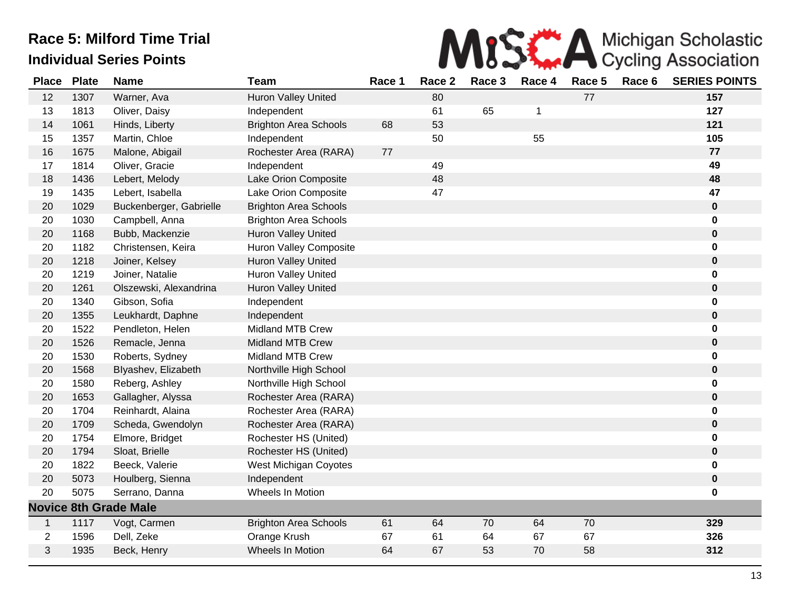

| <b>Place</b>   | <b>Plate</b> | <b>Name</b>                  | <b>Team</b>                   | Race 1 | Race 2 | Race 3 | Race 4 | Race 5 | Race 6 | <b>SERIES POINTS</b> |
|----------------|--------------|------------------------------|-------------------------------|--------|--------|--------|--------|--------|--------|----------------------|
| 12             | 1307         | Warner, Ava                  | <b>Huron Valley United</b>    |        | 80     |        |        | 77     |        | 157                  |
| 13             | 1813         | Oliver, Daisy                | Independent                   |        | 61     | 65     | 1      |        |        | 127                  |
| 14             | 1061         | Hinds, Liberty               | <b>Brighton Area Schools</b>  | 68     | 53     |        |        |        |        | 121                  |
| 15             | 1357         | Martin, Chloe                | Independent                   |        | 50     |        | 55     |        |        | 105                  |
| 16             | 1675         | Malone, Abigail              | Rochester Area (RARA)         | 77     |        |        |        |        |        | 77                   |
| 17             | 1814         | Oliver, Gracie               | Independent                   |        | 49     |        |        |        |        | 49                   |
| 18             | 1436         | Lebert, Melody               | Lake Orion Composite          |        | 48     |        |        |        |        | 48                   |
| 19             | 1435         | Lebert, Isabella             | Lake Orion Composite          |        | 47     |        |        |        |        | 47                   |
| 20             | 1029         | Buckenberger, Gabrielle      | <b>Brighton Area Schools</b>  |        |        |        |        |        |        | $\pmb{0}$            |
| 20             | 1030         | Campbell, Anna               | <b>Brighton Area Schools</b>  |        |        |        |        |        |        | 0                    |
| 20             | 1168         | Bubb, Mackenzie              | <b>Huron Valley United</b>    |        |        |        |        |        |        | $\pmb{0}$            |
| 20             | 1182         | Christensen, Keira           | <b>Huron Valley Composite</b> |        |        |        |        |        |        | 0                    |
| 20             | 1218         | Joiner, Kelsey               | Huron Valley United           |        |        |        |        |        |        | $\pmb{0}$            |
| 20             | 1219         | Joiner, Natalie              | Huron Valley United           |        |        |        |        |        |        | 0                    |
| 20             | 1261         | Olszewski, Alexandrina       | Huron Valley United           |        |        |        |        |        |        | $\pmb{0}$            |
| 20             | 1340         | Gibson, Sofia                | Independent                   |        |        |        |        |        |        | $\pmb{0}$            |
| 20             | 1355         | Leukhardt, Daphne            | Independent                   |        |        |        |        |        |        | $\pmb{0}$            |
| 20             | 1522         | Pendleton, Helen             | <b>Midland MTB Crew</b>       |        |        |        |        |        |        | 0                    |
| 20             | 1526         | Remacle, Jenna               | <b>Midland MTB Crew</b>       |        |        |        |        |        |        | $\pmb{0}$            |
| 20             | 1530         | Roberts, Sydney              | <b>Midland MTB Crew</b>       |        |        |        |        |        |        | 0                    |
| 20             | 1568         | Blyashev, Elizabeth          | Northville High School        |        |        |        |        |        |        | $\bf{0}$             |
| 20             | 1580         | Reberg, Ashley               | Northville High School        |        |        |        |        |        |        | 0                    |
| 20             | 1653         | Gallagher, Alyssa            | Rochester Area (RARA)         |        |        |        |        |        |        | $\pmb{0}$            |
| 20             | 1704         | Reinhardt, Alaina            | Rochester Area (RARA)         |        |        |        |        |        |        | 0                    |
| 20             | 1709         | Scheda, Gwendolyn            | Rochester Area (RARA)         |        |        |        |        |        |        | $\pmb{0}$            |
| 20             | 1754         | Elmore, Bridget              | Rochester HS (United)         |        |        |        |        |        |        | $\mathbf 0$          |
| 20             | 1794         | Sloat, Brielle               | Rochester HS (United)         |        |        |        |        |        |        | $\pmb{0}$            |
| 20             | 1822         | Beeck, Valerie               | West Michigan Coyotes         |        |        |        |        |        |        | 0                    |
| 20             | 5073         | Houlberg, Sienna             | Independent                   |        |        |        |        |        |        | $\pmb{0}$            |
| 20             | 5075         | Serrano, Danna               | Wheels In Motion              |        |        |        |        |        |        | 0                    |
|                |              | <b>Novice 8th Grade Male</b> |                               |        |        |        |        |        |        |                      |
| $\mathbf{1}$   | 1117         | Vogt, Carmen                 | <b>Brighton Area Schools</b>  | 61     | 64     | 70     | 64     | 70     |        | 329                  |
| $\overline{c}$ | 1596         | Dell, Zeke                   | Orange Krush                  | 67     | 61     | 64     | 67     | 67     |        | 326                  |
| 3              | 1935         | Beck, Henry                  | Wheels In Motion              | 64     | 67     | 53     | 70     | 58     |        | 312                  |
|                |              |                              |                               |        |        |        |        |        |        |                      |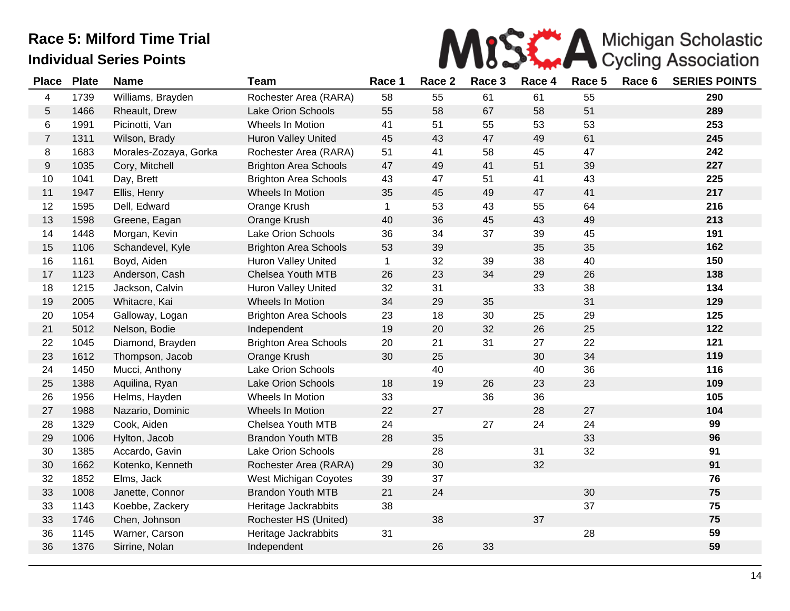

| <b>Place</b>   | <b>Plate</b> | <b>Name</b>           | <b>Team</b>                  | Race 1       | Race 2 | Race 3 | Race 4 | Race 5 | Race 6 | <b>SERIES POINTS</b> |
|----------------|--------------|-----------------------|------------------------------|--------------|--------|--------|--------|--------|--------|----------------------|
| 4              | 1739         | Williams, Brayden     | Rochester Area (RARA)        | 58           | 55     | 61     | 61     | 55     |        | 290                  |
| 5              | 1466         | Rheault, Drew         | Lake Orion Schools           | 55           | 58     | 67     | 58     | 51     |        | 289                  |
| 6              | 1991         | Picinotti, Van        | Wheels In Motion             | 41           | 51     | 55     | 53     | 53     |        | 253                  |
| $\overline{7}$ | 1311         | Wilson, Brady         | <b>Huron Valley United</b>   | 45           | 43     | 47     | 49     | 61     |        | 245                  |
| 8              | 1683         | Morales-Zozaya, Gorka | Rochester Area (RARA)        | 51           | 41     | 58     | 45     | 47     |        | 242                  |
| 9              | 1035         | Cory, Mitchell        | <b>Brighton Area Schools</b> | 47           | 49     | 41     | 51     | 39     |        | 227                  |
| 10             | 1041         | Day, Brett            | <b>Brighton Area Schools</b> | 43           | 47     | 51     | 41     | 43     |        | 225                  |
| 11             | 1947         | Ellis, Henry          | Wheels In Motion             | 35           | 45     | 49     | 47     | 41     |        | 217                  |
| 12             | 1595         | Dell, Edward          | Orange Krush                 | $\mathbf{1}$ | 53     | 43     | 55     | 64     |        | 216                  |
| 13             | 1598         | Greene, Eagan         | Orange Krush                 | 40           | 36     | 45     | 43     | 49     |        | 213                  |
| 14             | 1448         | Morgan, Kevin         | Lake Orion Schools           | 36           | 34     | 37     | 39     | 45     |        | 191                  |
| 15             | 1106         | Schandevel, Kyle      | <b>Brighton Area Schools</b> | 53           | 39     |        | 35     | 35     |        | 162                  |
| 16             | 1161         | Boyd, Aiden           | Huron Valley United          | $\mathbf{1}$ | 32     | 39     | 38     | 40     |        | 150                  |
| 17             | 1123         | Anderson, Cash        | Chelsea Youth MTB            | 26           | 23     | 34     | 29     | 26     |        | 138                  |
| 18             | 1215         | Jackson, Calvin       | Huron Valley United          | 32           | 31     |        | 33     | 38     |        | 134                  |
| 19             | 2005         | Whitacre, Kai         | Wheels In Motion             | 34           | 29     | 35     |        | 31     |        | 129                  |
| 20             | 1054         | Galloway, Logan       | <b>Brighton Area Schools</b> | 23           | 18     | 30     | 25     | 29     |        | 125                  |
| 21             | 5012         | Nelson, Bodie         | Independent                  | 19           | 20     | 32     | 26     | 25     |        | 122                  |
| 22             | 1045         | Diamond, Brayden      | <b>Brighton Area Schools</b> | 20           | 21     | 31     | 27     | 22     |        | 121                  |
| 23             | 1612         | Thompson, Jacob       | Orange Krush                 | 30           | 25     |        | 30     | 34     |        | 119                  |
| 24             | 1450         | Mucci, Anthony        | Lake Orion Schools           |              | 40     |        | 40     | 36     |        | 116                  |
| 25             | 1388         | Aquilina, Ryan        | <b>Lake Orion Schools</b>    | 18           | 19     | 26     | 23     | 23     |        | 109                  |
| 26             | 1956         | Helms, Hayden         | Wheels In Motion             | 33           |        | 36     | 36     |        |        | 105                  |
| 27             | 1988         | Nazario, Dominic      | Wheels In Motion             | 22           | 27     |        | 28     | 27     |        | 104                  |
| 28             | 1329         | Cook, Aiden           | Chelsea Youth MTB            | 24           |        | 27     | 24     | 24     |        | 99                   |
| 29             | 1006         | Hylton, Jacob         | <b>Brandon Youth MTB</b>     | 28           | 35     |        |        | 33     |        | 96                   |
| 30             | 1385         | Accardo, Gavin        | Lake Orion Schools           |              | 28     |        | 31     | 32     |        | 91                   |
| $30\,$         | 1662         | Kotenko, Kenneth      | Rochester Area (RARA)        | 29           | 30     |        | 32     |        |        | 91                   |
| 32             | 1852         | Elms, Jack            | West Michigan Coyotes        | 39           | 37     |        |        |        |        | 76                   |
| 33             | 1008         | Janette, Connor       | <b>Brandon Youth MTB</b>     | 21           | 24     |        |        | 30     |        | 75                   |
| 33             | 1143         | Koebbe, Zackery       | Heritage Jackrabbits         | 38           |        |        |        | 37     |        | 75                   |
| 33             | 1746         | Chen, Johnson         | Rochester HS (United)        |              | 38     |        | 37     |        |        | 75                   |
| 36             | 1145         | Warner, Carson        | Heritage Jackrabbits         | 31           |        |        |        | 28     |        | 59                   |
| 36             | 1376         | Sirrine, Nolan        | Independent                  |              | 26     | 33     |        |        |        | 59                   |
|                |              |                       |                              |              |        |        |        |        |        |                      |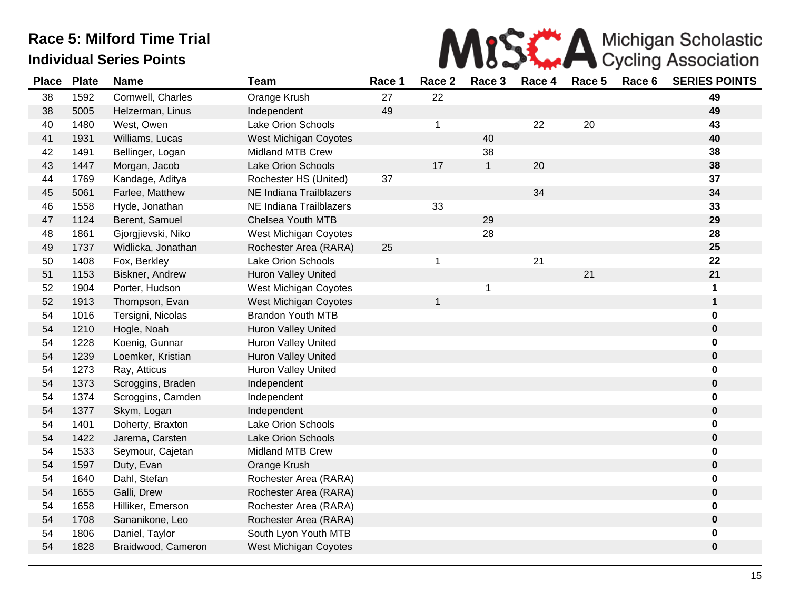

| <b>Place</b> | <b>Plate</b> | <b>Name</b>        | <b>Team</b>                  | Race 1 | Race 2       | Race 3       | Race 4 | Race 5 | Race 6 | <b>SERIES POINTS</b> |
|--------------|--------------|--------------------|------------------------------|--------|--------------|--------------|--------|--------|--------|----------------------|
| 38           | 1592         | Cornwell, Charles  | Orange Krush                 | 27     | 22           |              |        |        |        | 49                   |
| 38           | 5005         | Helzerman, Linus   | Independent                  | 49     |              |              |        |        |        | 49                   |
| 40           | 1480         | West, Owen         | Lake Orion Schools           |        | $\mathbf 1$  |              | 22     | 20     |        | 43                   |
| 41           | 1931         | Williams, Lucas    | West Michigan Coyotes        |        |              | 40           |        |        |        | 40                   |
| 42           | 1491         | Bellinger, Logan   | <b>Midland MTB Crew</b>      |        |              | 38           |        |        |        | 38                   |
| 43           | 1447         | Morgan, Jacob      | <b>Lake Orion Schools</b>    |        | 17           | $\mathbf{1}$ | 20     |        |        | 38                   |
| 44           | 1769         | Kandage, Aditya    | Rochester HS (United)        | 37     |              |              |        |        |        | 37                   |
| 45           | 5061         | Farlee, Matthew    | NE Indiana Trailblazers      |        |              |              | 34     |        |        | 34                   |
| 46           | 1558         | Hyde, Jonathan     | NE Indiana Trailblazers      |        | 33           |              |        |        |        | 33                   |
| 47           | 1124         | Berent, Samuel     | <b>Chelsea Youth MTB</b>     |        |              | 29           |        |        |        | 29                   |
| 48           | 1861         | Gjorgjievski, Niko | West Michigan Coyotes        |        |              | 28           |        |        |        | 28                   |
| 49           | 1737         | Widlicka, Jonathan | Rochester Area (RARA)        | 25     |              |              |        |        |        | 25                   |
| 50           | 1408         | Fox, Berkley       | Lake Orion Schools           |        | 1            |              | 21     |        |        | 22                   |
| 51           | 1153         | Biskner, Andrew    | <b>Huron Valley United</b>   |        |              |              |        | 21     |        | 21                   |
| 52           | 1904         | Porter, Hudson     | <b>West Michigan Coyotes</b> |        |              | 1            |        |        |        | 1                    |
| 52           | 1913         | Thompson, Evan     | West Michigan Coyotes        |        | $\mathbf{1}$ |              |        |        |        | $\mathbf 1$          |
| 54           | 1016         | Tersigni, Nicolas  | <b>Brandon Youth MTB</b>     |        |              |              |        |        |        | 0                    |
| 54           | 1210         | Hogle, Noah        | Huron Valley United          |        |              |              |        |        |        | 0                    |
| 54           | 1228         | Koenig, Gunnar     | <b>Huron Valley United</b>   |        |              |              |        |        |        | 0                    |
| 54           | 1239         | Loemker, Kristian  | Huron Valley United          |        |              |              |        |        |        | 0                    |
| 54           | 1273         | Ray, Atticus       | Huron Valley United          |        |              |              |        |        |        | 0                    |
| 54           | 1373         | Scroggins, Braden  | Independent                  |        |              |              |        |        |        | $\pmb{0}$            |
| 54           | 1374         | Scroggins, Camden  | Independent                  |        |              |              |        |        |        | 0                    |
| 54           | 1377         | Skym, Logan        | Independent                  |        |              |              |        |        |        | 0                    |
| 54           | 1401         | Doherty, Braxton   | Lake Orion Schools           |        |              |              |        |        |        | 0                    |
| 54           | 1422         | Jarema, Carsten    | Lake Orion Schools           |        |              |              |        |        |        | 0                    |
| 54           | 1533         | Seymour, Cajetan   | <b>Midland MTB Crew</b>      |        |              |              |        |        |        | 0                    |
| 54           | 1597         | Duty, Evan         | Orange Krush                 |        |              |              |        |        |        | 0                    |
| 54           | 1640         | Dahl, Stefan       | Rochester Area (RARA)        |        |              |              |        |        |        | 0                    |
| 54           | 1655         | Galli, Drew        | Rochester Area (RARA)        |        |              |              |        |        |        | 0                    |
| 54           | 1658         | Hilliker, Emerson  | Rochester Area (RARA)        |        |              |              |        |        |        | 0                    |
| 54           | 1708         | Sananikone, Leo    | Rochester Area (RARA)        |        |              |              |        |        |        | 0                    |
| 54           | 1806         | Daniel, Taylor     | South Lyon Youth MTB         |        |              |              |        |        |        | 0                    |
| 54           | 1828         | Braidwood, Cameron | <b>West Michigan Coyotes</b> |        |              |              |        |        |        | $\mathbf 0$          |
|              |              |                    |                              |        |              |              |        |        |        |                      |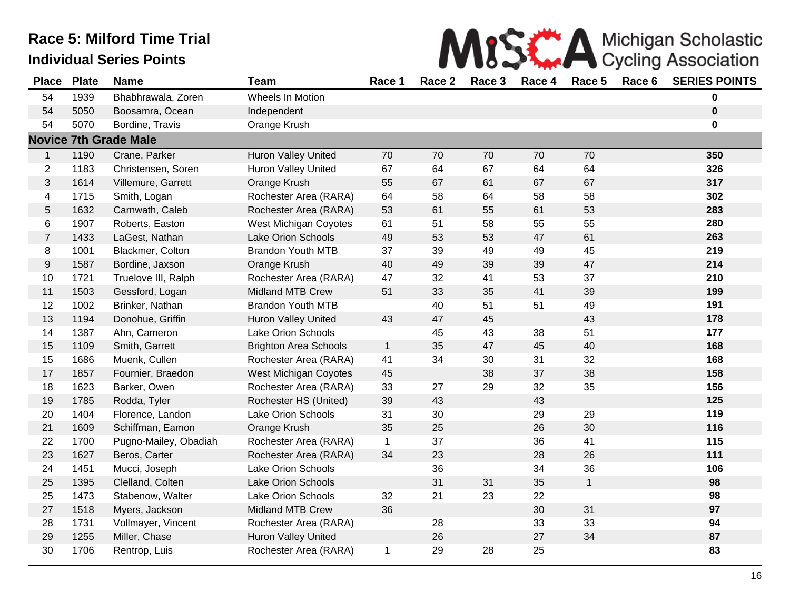|  |  | MISS A Michigan Scholastic |
|--|--|----------------------------|
|  |  |                            |

| <b>Place</b>     | <b>Plate</b> | <b>Name</b>                  | <b>Team</b>                  | Race 1       | Race 2 | Race 3 | Race 4 | Race 5       | Race 6 | <b>SERIES POINTS</b> |
|------------------|--------------|------------------------------|------------------------------|--------------|--------|--------|--------|--------------|--------|----------------------|
| 54               | 1939         | Bhabhrawala, Zoren           | Wheels In Motion             |              |        |        |        |              |        | $\bf{0}$             |
| 54               | 5050         | Boosamra, Ocean              | Independent                  |              |        |        |        |              |        | $\bf{0}$             |
| 54               | 5070         | Bordine, Travis              | Orange Krush                 |              |        |        |        |              |        | $\mathbf 0$          |
|                  |              | <b>Novice 7th Grade Male</b> |                              |              |        |        |        |              |        |                      |
| $\mathbf{1}$     | 1190         | Crane, Parker                | Huron Valley United          | 70           | 70     | 70     | 70     | 70           |        | 350                  |
| $\overline{2}$   | 1183         | Christensen, Soren           | Huron Valley United          | 67           | 64     | 67     | 64     | 64           |        | 326                  |
| 3                | 1614         | Villemure, Garrett           | Orange Krush                 | 55           | 67     | 61     | 67     | 67           |        | 317                  |
| 4                | 1715         | Smith, Logan                 | Rochester Area (RARA)        | 64           | 58     | 64     | 58     | 58           |        | 302                  |
| 5                | 1632         | Carnwath, Caleb              | Rochester Area (RARA)        | 53           | 61     | 55     | 61     | 53           |        | 283                  |
| 6                | 1907         | Roberts, Easton              | West Michigan Coyotes        | 61           | 51     | 58     | 55     | 55           |        | 280                  |
| $\overline{7}$   | 1433         | LaGest, Nathan               | <b>Lake Orion Schools</b>    | 49           | 53     | 53     | 47     | 61           |        | 263                  |
| 8                | 1001         | Blackmer, Colton             | <b>Brandon Youth MTB</b>     | 37           | 39     | 49     | 49     | 45           |        | 219                  |
| $\boldsymbol{9}$ | 1587         | Bordine, Jaxson              | Orange Krush                 | 40           | 49     | 39     | 39     | 47           |        | 214                  |
| 10               | 1721         | Truelove III, Ralph          | Rochester Area (RARA)        | 47           | 32     | 41     | 53     | 37           |        | 210                  |
| 11               | 1503         | Gessford, Logan              | <b>Midland MTB Crew</b>      | 51           | 33     | 35     | 41     | 39           |        | 199                  |
| 12               | 1002         | Brinker, Nathan              | <b>Brandon Youth MTB</b>     |              | 40     | 51     | 51     | 49           |        | 191                  |
| 13               | 1194         | Donohue, Griffin             | <b>Huron Valley United</b>   | 43           | 47     | 45     |        | 43           |        | 178                  |
| 14               | 1387         | Ahn, Cameron                 | Lake Orion Schools           |              | 45     | 43     | 38     | 51           |        | 177                  |
| 15               | 1109         | Smith, Garrett               | <b>Brighton Area Schools</b> | $\mathbf{1}$ | 35     | 47     | 45     | 40           |        | 168                  |
| 15               | 1686         | Muenk, Cullen                | Rochester Area (RARA)        | 41           | 34     | 30     | 31     | 32           |        | 168                  |
| 17               | 1857         | Fournier, Braedon            | <b>West Michigan Coyotes</b> | 45           |        | 38     | 37     | 38           |        | 158                  |
| 18               | 1623         | Barker, Owen                 | Rochester Area (RARA)        | 33           | 27     | 29     | 32     | 35           |        | 156                  |
| 19               | 1785         | Rodda, Tyler                 | Rochester HS (United)        | 39           | 43     |        | 43     |              |        | 125                  |
| 20               | 1404         | Florence, Landon             | Lake Orion Schools           | 31           | 30     |        | 29     | 29           |        | 119                  |
| 21               | 1609         | Schiffman, Eamon             | Orange Krush                 | 35           | 25     |        | 26     | 30           |        | 116                  |
| 22               | 1700         | Pugno-Mailey, Obadiah        | Rochester Area (RARA)        | $\mathbf 1$  | 37     |        | 36     | 41           |        | 115                  |
| 23               | 1627         | Beros, Carter                | Rochester Area (RARA)        | 34           | 23     |        | 28     | 26           |        | 111                  |
| 24               | 1451         | Mucci, Joseph                | Lake Orion Schools           |              | 36     |        | 34     | 36           |        | 106                  |
| 25               | 1395         | Clelland, Colten             | <b>Lake Orion Schools</b>    |              | 31     | 31     | 35     | $\mathbf{1}$ |        | 98                   |
| 25               | 1473         | Stabenow, Walter             | Lake Orion Schools           | 32           | 21     | 23     | 22     |              |        | 98                   |
| 27               | 1518         | Myers, Jackson               | <b>Midland MTB Crew</b>      | 36           |        |        | 30     | 31           |        | 97                   |
| 28               | 1731         | Vollmayer, Vincent           | Rochester Area (RARA)        |              | 28     |        | 33     | 33           |        | 94                   |
| 29               | 1255         | Miller, Chase                | Huron Valley United          |              | 26     |        | 27     | 34           |        | 87                   |
| 30               | 1706         | Rentrop, Luis                | Rochester Area (RARA)        | 1            | 29     | 28     | 25     |              |        | 83                   |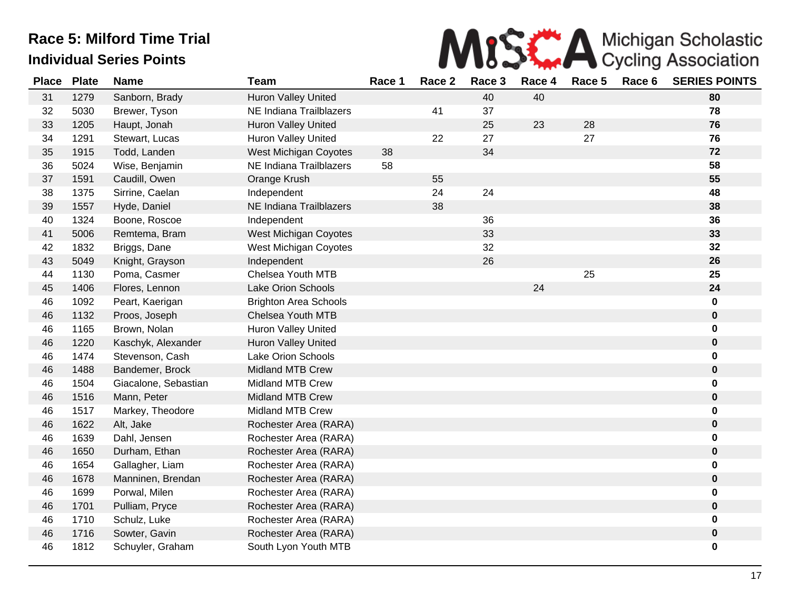

| <b>Place</b> | <b>Plate</b> | <b>Name</b>          | <b>Team</b>                  | Race 1 | Race 2 | Race 3 | Race 4 | Race 5 | Race 6 | <b>SERIES POINTS</b> |
|--------------|--------------|----------------------|------------------------------|--------|--------|--------|--------|--------|--------|----------------------|
| 31           | 1279         | Sanborn, Brady       | Huron Valley United          |        |        | 40     | 40     |        |        | 80                   |
| 32           | 5030         | Brewer, Tyson        | NE Indiana Trailblazers      |        | 41     | 37     |        |        |        | 78                   |
| 33           | 1205         | Haupt, Jonah         | Huron Valley United          |        |        | 25     | 23     | 28     |        | 76                   |
| 34           | 1291         | Stewart, Lucas       | <b>Huron Valley United</b>   |        | 22     | 27     |        | 27     |        | 76                   |
| 35           | 1915         | Todd, Landen         | West Michigan Coyotes        | 38     |        | 34     |        |        |        | 72                   |
| 36           | 5024         | Wise, Benjamin       | NE Indiana Trailblazers      | 58     |        |        |        |        |        | 58                   |
| 37           | 1591         | Caudill, Owen        | Orange Krush                 |        | 55     |        |        |        |        | 55                   |
| 38           | 1375         | Sirrine, Caelan      | Independent                  |        | 24     | 24     |        |        |        | 48                   |
| 39           | 1557         | Hyde, Daniel         | NE Indiana Trailblazers      |        | 38     |        |        |        |        | 38                   |
| 40           | 1324         | Boone, Roscoe        | Independent                  |        |        | 36     |        |        |        | 36                   |
| 41           | 5006         | Remtema, Bram        | West Michigan Coyotes        |        |        | 33     |        |        |        | 33                   |
| 42           | 1832         | Briggs, Dane         | West Michigan Coyotes        |        |        | 32     |        |        |        | 32                   |
| 43           | 5049         | Knight, Grayson      | Independent                  |        |        | 26     |        |        |        | 26                   |
| 44           | 1130         | Poma, Casmer         | Chelsea Youth MTB            |        |        |        |        | 25     |        | 25                   |
| 45           | 1406         | Flores, Lennon       | <b>Lake Orion Schools</b>    |        |        |        | 24     |        |        | 24                   |
| 46           | 1092         | Peart, Kaerigan      | <b>Brighton Area Schools</b> |        |        |        |        |        |        | 0                    |
| 46           | 1132         | Proos, Joseph        | <b>Chelsea Youth MTB</b>     |        |        |        |        |        |        | 0                    |
| 46           | 1165         | Brown, Nolan         | <b>Huron Valley United</b>   |        |        |        |        |        |        | 0                    |
| 46           | 1220         | Kaschyk, Alexander   | Huron Valley United          |        |        |        |        |        |        | $\pmb{0}$            |
| 46           | 1474         | Stevenson, Cash      | <b>Lake Orion Schools</b>    |        |        |        |        |        |        | 0                    |
| 46           | 1488         | Bandemer, Brock      | <b>Midland MTB Crew</b>      |        |        |        |        |        |        | $\mathbf 0$          |
| 46           | 1504         | Giacalone, Sebastian | <b>Midland MTB Crew</b>      |        |        |        |        |        |        | 0                    |
| 46           | 1516         | Mann, Peter          | <b>Midland MTB Crew</b>      |        |        |        |        |        |        | $\mathbf 0$          |
| 46           | 1517         | Markey, Theodore     | <b>Midland MTB Crew</b>      |        |        |        |        |        |        | 0                    |
| 46           | 1622         | Alt, Jake            | Rochester Area (RARA)        |        |        |        |        |        |        | 0                    |
| 46           | 1639         | Dahl, Jensen         | Rochester Area (RARA)        |        |        |        |        |        |        | 0                    |
| 46           | 1650         | Durham, Ethan        | Rochester Area (RARA)        |        |        |        |        |        |        | 0                    |
| 46           | 1654         | Gallagher, Liam      | Rochester Area (RARA)        |        |        |        |        |        |        | 0                    |
| 46           | 1678         | Manninen, Brendan    | Rochester Area (RARA)        |        |        |        |        |        |        | $\pmb{0}$            |
| 46           | 1699         | Porwal, Milen        | Rochester Area (RARA)        |        |        |        |        |        |        | 0                    |
| 46           | 1701         | Pulliam, Pryce       | Rochester Area (RARA)        |        |        |        |        |        |        | 0                    |
| 46           | 1710         | Schulz, Luke         | Rochester Area (RARA)        |        |        |        |        |        |        | 0                    |
| 46           | 1716         | Sowter, Gavin        | Rochester Area (RARA)        |        |        |        |        |        |        | 0                    |
| 46           | 1812         | Schuyler, Graham     | South Lyon Youth MTB         |        |        |        |        |        |        | 0                    |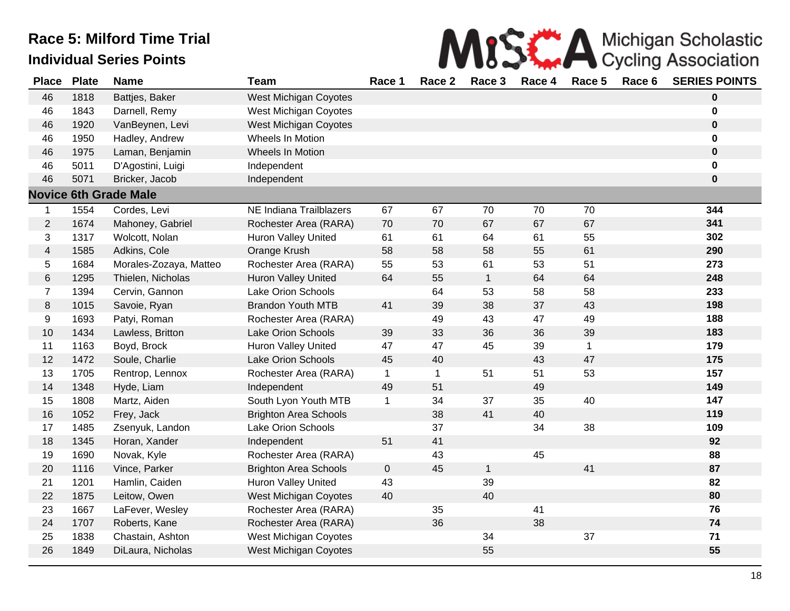|  | MISK A Michigan Scholastic |
|--|----------------------------|
|  |                            |

| <b>Place</b>             | <b>Plate</b> | <b>Name</b>                  | <b>Team</b>                  | Race 1       | Race 2      | Race 3       | Race 4 | Race 5       | Race 6 | <b>SERIES POINTS</b> |
|--------------------------|--------------|------------------------------|------------------------------|--------------|-------------|--------------|--------|--------------|--------|----------------------|
| 46                       | 1818         | Battjes, Baker               | <b>West Michigan Coyotes</b> |              |             |              |        |              |        | $\bf{0}$             |
| 46                       | 1843         | Darnell, Remy                | West Michigan Coyotes        |              |             |              |        |              |        | 0                    |
| 46                       | 1920         | VanBeynen, Levi              | <b>West Michigan Coyotes</b> |              |             |              |        |              |        | $\pmb{0}$            |
| 46                       | 1950         | Hadley, Andrew               | Wheels In Motion             |              |             |              |        |              |        | 0                    |
| 46                       | 1975         | Laman, Benjamin              | Wheels In Motion             |              |             |              |        |              |        | $\pmb{0}$            |
| 46                       | 5011         | D'Agostini, Luigi            | Independent                  |              |             |              |        |              |        | $\pmb{0}$            |
| 46                       | 5071         | Bricker, Jacob               | Independent                  |              |             |              |        |              |        | $\mathbf 0$          |
|                          |              | <b>Novice 6th Grade Male</b> |                              |              |             |              |        |              |        |                      |
| $\mathbf{1}$             | 1554         | Cordes, Levi                 | NE Indiana Trailblazers      | 67           | 67          | 70           | 70     | 70           |        | 344                  |
| $\overline{2}$           | 1674         | Mahoney, Gabriel             | Rochester Area (RARA)        | 70           | 70          | 67           | 67     | 67           |        | 341                  |
| 3                        | 1317         | Wolcott, Nolan               | <b>Huron Valley United</b>   | 61           | 61          | 64           | 61     | 55           |        | 302                  |
| $\overline{\mathcal{A}}$ | 1585         | Adkins, Cole                 | Orange Krush                 | 58           | 58          | 58           | 55     | 61           |        | 290                  |
| 5                        | 1684         | Morales-Zozaya, Matteo       | Rochester Area (RARA)        | 55           | 53          | 61           | 53     | 51           |        | 273                  |
| 6                        | 1295         | Thielen, Nicholas            | Huron Valley United          | 64           | 55          | $\mathbf{1}$ | 64     | 64           |        | 248                  |
| $\overline{7}$           | 1394         | Cervin, Gannon               | Lake Orion Schools           |              | 64          | 53           | 58     | 58           |        | 233                  |
| 8                        | 1015         | Savoie, Ryan                 | <b>Brandon Youth MTB</b>     | 41           | 39          | 38           | 37     | 43           |        | 198                  |
| 9                        | 1693         | Patyi, Roman                 | Rochester Area (RARA)        |              | 49          | 43           | 47     | 49           |        | 188                  |
| 10                       | 1434         | Lawless, Britton             | Lake Orion Schools           | 39           | 33          | 36           | 36     | 39           |        | 183                  |
| 11                       | 1163         | Boyd, Brock                  | <b>Huron Valley United</b>   | 47           | 47          | 45           | 39     | $\mathbf{1}$ |        | 179                  |
| 12                       | 1472         | Soule, Charlie               | Lake Orion Schools           | 45           | 40          |              | 43     | 47           |        | 175                  |
| 13                       | 1705         | Rentrop, Lennox              | Rochester Area (RARA)        | $\mathbf{1}$ | $\mathbf 1$ | 51           | 51     | 53           |        | 157                  |
| 14                       | 1348         | Hyde, Liam                   | Independent                  | 49           | 51          |              | 49     |              |        | 149                  |
| 15                       | 1808         | Martz, Aiden                 | South Lyon Youth MTB         | $\mathbf 1$  | 34          | 37           | 35     | 40           |        | 147                  |
| 16                       | 1052         | Frey, Jack                   | <b>Brighton Area Schools</b> |              | 38          | 41           | 40     |              |        | 119                  |
| 17                       | 1485         | Zsenyuk, Landon              | Lake Orion Schools           |              | 37          |              | 34     | 38           |        | 109                  |
| 18                       | 1345         | Horan, Xander                | Independent                  | 51           | 41          |              |        |              |        | 92                   |
| 19                       | 1690         | Novak, Kyle                  | Rochester Area (RARA)        |              | 43          |              | 45     |              |        | 88                   |
| 20                       | 1116         | Vince, Parker                | <b>Brighton Area Schools</b> | $\mathbf 0$  | 45          | $\mathbf{1}$ |        | 41           |        | 87                   |
| 21                       | 1201         | Hamlin, Caiden               | Huron Valley United          | 43           |             | 39           |        |              |        | 82                   |
| 22                       | 1875         | Leitow, Owen                 | <b>West Michigan Coyotes</b> | 40           |             | 40           |        |              |        | 80                   |
| 23                       | 1667         | LaFever, Wesley              | Rochester Area (RARA)        |              | 35          |              | 41     |              |        | 76                   |
| 24                       | 1707         | Roberts, Kane                | Rochester Area (RARA)        |              | 36          |              | 38     |              |        | 74                   |
| 25                       | 1838         | Chastain, Ashton             | West Michigan Coyotes        |              |             | 34           |        | 37           |        | $71$                 |
| 26                       | 1849         | DiLaura, Nicholas            | <b>West Michigan Coyotes</b> |              |             | 55           |        |              |        | 55                   |
|                          |              |                              |                              |              |             |              |        |              |        |                      |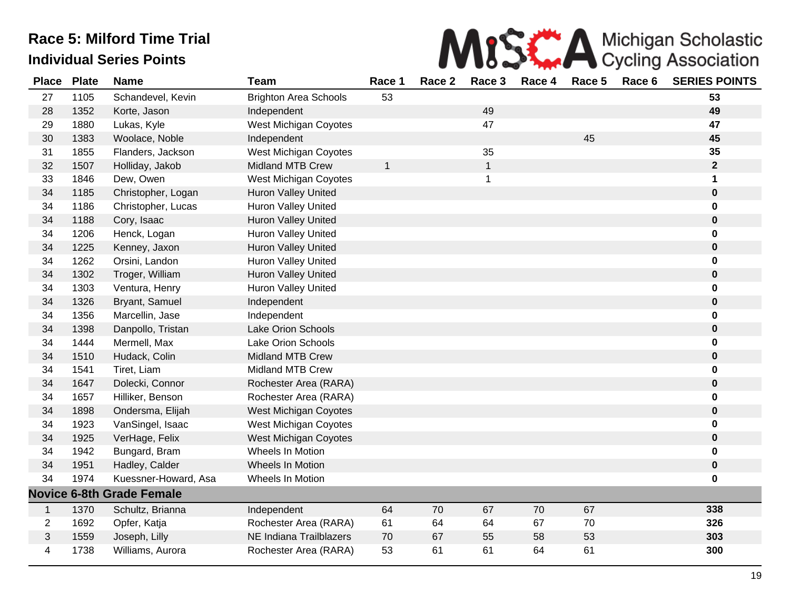

| <b>Place</b>   | <b>Plate</b> | <b>Name</b>                      | <b>Team</b>                  | Race 1       | Race 2 | Race 3         | Race 4 | Race 5 | Race 6 | <b>SERIES POINTS</b> |
|----------------|--------------|----------------------------------|------------------------------|--------------|--------|----------------|--------|--------|--------|----------------------|
| 27             | 1105         | Schandevel, Kevin                | <b>Brighton Area Schools</b> | 53           |        |                |        |        |        | 53                   |
| 28             | 1352         | Korte, Jason                     | Independent                  |              |        | 49             |        |        |        | 49                   |
| 29             | 1880         | Lukas, Kyle                      | West Michigan Coyotes        |              |        | 47             |        |        |        | 47                   |
| 30             | 1383         | Woolace, Noble                   | Independent                  |              |        |                |        | 45     |        | 45                   |
| 31             | 1855         | Flanders, Jackson                | West Michigan Coyotes        |              |        | 35             |        |        |        | 35                   |
| 32             | 1507         | Holliday, Jakob                  | <b>Midland MTB Crew</b>      | $\mathbf{1}$ |        | $\mathbf{1}$   |        |        |        | $\mathbf{2}$         |
| 33             | 1846         | Dew, Owen                        | West Michigan Coyotes        |              |        | $\overline{1}$ |        |        |        | 1                    |
| 34             | 1185         | Christopher, Logan               | <b>Huron Valley United</b>   |              |        |                |        |        |        | $\pmb{0}$            |
| 34             | 1186         | Christopher, Lucas               | Huron Valley United          |              |        |                |        |        |        | 0                    |
| 34             | 1188         | Cory, Isaac                      | <b>Huron Valley United</b>   |              |        |                |        |        |        | $\mathbf 0$          |
| 34             | 1206         | Henck, Logan                     | Huron Valley United          |              |        |                |        |        |        | $\mathbf 0$          |
| 34             | 1225         | Kenney, Jaxon                    | <b>Huron Valley United</b>   |              |        |                |        |        |        | $\pmb{0}$            |
| 34             | 1262         | Orsini, Landon                   | <b>Huron Valley United</b>   |              |        |                |        |        |        | 0                    |
| 34             | 1302         | Troger, William                  | Huron Valley United          |              |        |                |        |        |        | $\pmb{0}$            |
| 34             | 1303         | Ventura, Henry                   | Huron Valley United          |              |        |                |        |        |        | 0                    |
| 34             | 1326         | Bryant, Samuel                   | Independent                  |              |        |                |        |        |        | $\mathbf 0$          |
| 34             | 1356         | Marcellin, Jase                  | Independent                  |              |        |                |        |        |        | $\mathbf 0$          |
| 34             | 1398         | Danpollo, Tristan                | <b>Lake Orion Schools</b>    |              |        |                |        |        |        | $\pmb{0}$            |
| 34             | 1444         | Mermell, Max                     | Lake Orion Schools           |              |        |                |        |        |        | $\mathbf 0$          |
| 34             | 1510         | Hudack, Colin                    | <b>Midland MTB Crew</b>      |              |        |                |        |        |        | $\bf{0}$             |
| 34             | 1541         | Tiret, Liam                      | <b>Midland MTB Crew</b>      |              |        |                |        |        |        | 0                    |
| 34             | 1647         | Dolecki, Connor                  | Rochester Area (RARA)        |              |        |                |        |        |        | $\pmb{0}$            |
| 34             | 1657         | Hilliker, Benson                 | Rochester Area (RARA)        |              |        |                |        |        |        | $\mathbf 0$          |
| 34             | 1898         | Ondersma, Elijah                 | West Michigan Coyotes        |              |        |                |        |        |        | $\mathbf 0$          |
| 34             | 1923         | VanSingel, Isaac                 | West Michigan Coyotes        |              |        |                |        |        |        | $\mathbf 0$          |
| 34             | 1925         | VerHage, Felix                   | West Michigan Coyotes        |              |        |                |        |        |        | $\pmb{0}$            |
| 34             | 1942         | Bungard, Bram                    | Wheels In Motion             |              |        |                |        |        |        | $\mathbf 0$          |
| 34             | 1951         | Hadley, Calder                   | Wheels In Motion             |              |        |                |        |        |        | $\pmb{0}$            |
| 34             | 1974         | Kuessner-Howard, Asa             | <b>Wheels In Motion</b>      |              |        |                |        |        |        | $\mathbf 0$          |
|                |              | <b>Novice 6-8th Grade Female</b> |                              |              |        |                |        |        |        |                      |
| $\mathbf{1}$   | 1370         | Schultz, Brianna                 | Independent                  | 64           | 70     | 67             | 70     | 67     |        | 338                  |
| $\overline{2}$ | 1692         | Opfer, Katja                     | Rochester Area (RARA)        | 61           | 64     | 64             | 67     | 70     |        | 326                  |
| 3              | 1559         | Joseph, Lilly                    | NE Indiana Trailblazers      | 70           | 67     | 55             | 58     | 53     |        | 303                  |
| 4              | 1738         | Williams, Aurora                 | Rochester Area (RARA)        | 53           | 61     | 61             | 64     | 61     |        | 300                  |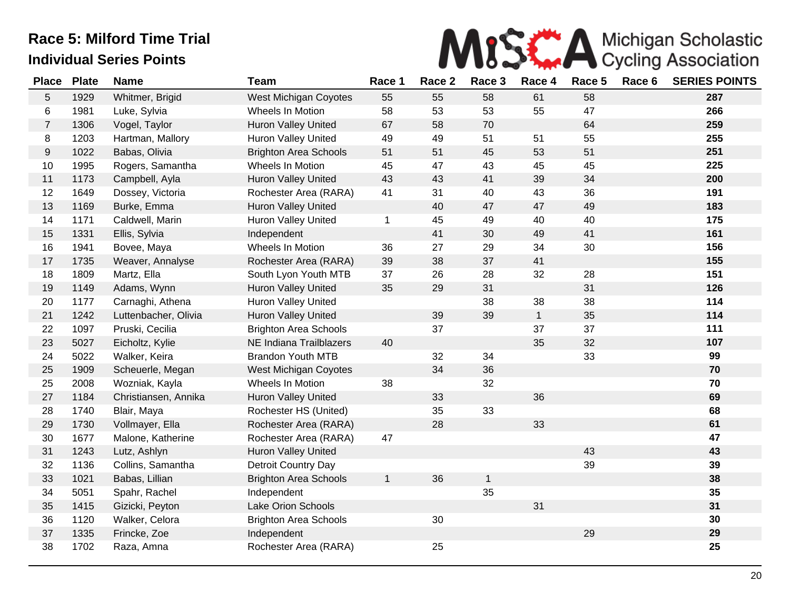

| <b>Place</b>     | <b>Plate</b> | <b>Name</b>          | <b>Team</b>                  | Race 1       | Race 2 | Race 3       | Race 4       | Race 5 | Race 6 | <b>SERIES POINTS</b> |
|------------------|--------------|----------------------|------------------------------|--------------|--------|--------------|--------------|--------|--------|----------------------|
| 5                | 1929         | Whitmer, Brigid      | West Michigan Coyotes        | 55           | 55     | 58           | 61           | 58     |        | 287                  |
| 6                | 1981         | Luke, Sylvia         | Wheels In Motion             | 58           | 53     | 53           | 55           | 47     |        | 266                  |
| $\overline{7}$   | 1306         | Vogel, Taylor        | <b>Huron Valley United</b>   | 67           | 58     | 70           |              | 64     |        | 259                  |
| 8                | 1203         | Hartman, Mallory     | <b>Huron Valley United</b>   | 49           | 49     | 51           | 51           | 55     |        | 255                  |
| $\boldsymbol{9}$ | 1022         | Babas, Olivia        | <b>Brighton Area Schools</b> | 51           | 51     | 45           | 53           | 51     |        | 251                  |
| 10               | 1995         | Rogers, Samantha     | Wheels In Motion             | 45           | 47     | 43           | 45           | 45     |        | 225                  |
| 11               | 1173         | Campbell, Ayla       | <b>Huron Valley United</b>   | 43           | 43     | 41           | 39           | 34     |        | 200                  |
| 12               | 1649         | Dossey, Victoria     | Rochester Area (RARA)        | 41           | 31     | 40           | 43           | 36     |        | 191                  |
| 13               | 1169         | Burke, Emma          | <b>Huron Valley United</b>   |              | 40     | 47           | 47           | 49     |        | 183                  |
| 14               | 1171         | Caldwell, Marin      | <b>Huron Valley United</b>   | $\mathbf 1$  | 45     | 49           | 40           | 40     |        | 175                  |
| 15               | 1331         | Ellis, Sylvia        | Independent                  |              | 41     | 30           | 49           | 41     |        | 161                  |
| 16               | 1941         | Bovee, Maya          | Wheels In Motion             | 36           | 27     | 29           | 34           | 30     |        | 156                  |
| 17               | 1735         | Weaver, Annalyse     | Rochester Area (RARA)        | 39           | 38     | 37           | 41           |        |        | 155                  |
| 18               | 1809         | Martz, Ella          | South Lyon Youth MTB         | 37           | 26     | 28           | 32           | 28     |        | 151                  |
| 19               | 1149         | Adams, Wynn          | Huron Valley United          | 35           | 29     | 31           |              | 31     |        | 126                  |
| 20               | 1177         | Carnaghi, Athena     | <b>Huron Valley United</b>   |              |        | 38           | 38           | 38     |        | 114                  |
| 21               | 1242         | Luttenbacher, Olivia | Huron Valley United          |              | 39     | 39           | $\mathbf{1}$ | 35     |        | 114                  |
| 22               | 1097         | Pruski, Cecilia      | <b>Brighton Area Schools</b> |              | 37     |              | 37           | 37     |        | 111                  |
| 23               | 5027         | Eicholtz, Kylie      | NE Indiana Trailblazers      | 40           |        |              | 35           | 32     |        | 107                  |
| 24               | 5022         | Walker, Keira        | <b>Brandon Youth MTB</b>     |              | 32     | 34           |              | 33     |        | 99                   |
| 25               | 1909         | Scheuerle, Megan     | West Michigan Coyotes        |              | 34     | 36           |              |        |        | 70                   |
| 25               | 2008         | Wozniak, Kayla       | Wheels In Motion             | 38           |        | 32           |              |        |        | 70                   |
| 27               | 1184         | Christiansen, Annika | <b>Huron Valley United</b>   |              | 33     |              | 36           |        |        | 69                   |
| 28               | 1740         | Blair, Maya          | Rochester HS (United)        |              | 35     | 33           |              |        |        | 68                   |
| 29               | 1730         | Vollmayer, Ella      | Rochester Area (RARA)        |              | 28     |              | 33           |        |        | 61                   |
| 30               | 1677         | Malone, Katherine    | Rochester Area (RARA)        | 47           |        |              |              |        |        | 47                   |
| 31               | 1243         | Lutz, Ashlyn         | <b>Huron Valley United</b>   |              |        |              |              | 43     |        | 43                   |
| 32               | 1136         | Collins, Samantha    | Detroit Country Day          |              |        |              |              | 39     |        | 39                   |
| 33               | 1021         | Babas, Lillian       | <b>Brighton Area Schools</b> | $\mathbf{1}$ | 36     | $\mathbf{1}$ |              |        |        | 38                   |
| 34               | 5051         | Spahr, Rachel        | Independent                  |              |        | 35           |              |        |        | 35                   |
| 35               | 1415         | Gizicki, Peyton      | Lake Orion Schools           |              |        |              | 31           |        |        | 31                   |
| 36               | 1120         | Walker, Celora       | <b>Brighton Area Schools</b> |              | 30     |              |              |        |        | 30                   |
| 37               | 1335         | Frincke, Zoe         | Independent                  |              |        |              |              | 29     |        | 29                   |
| 38               | 1702         | Raza, Amna           | Rochester Area (RARA)        |              | 25     |              |              |        |        | 25                   |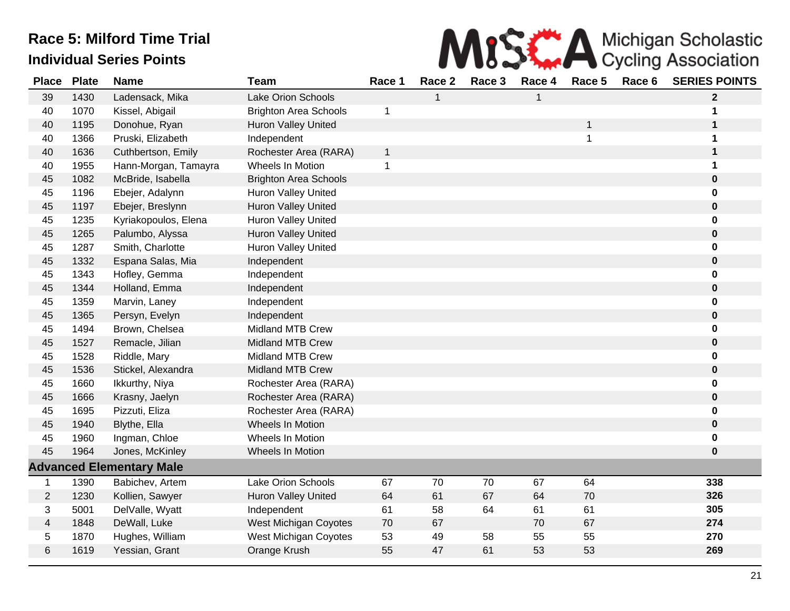

| <b>Place</b>   | <b>Plate</b> | <b>Name</b>                     | <b>Team</b>                  | Race 1       | Race 2       | Race 3 | Race 4 | Race 5 | Race 6 | <b>SERIES POINTS</b> |
|----------------|--------------|---------------------------------|------------------------------|--------------|--------------|--------|--------|--------|--------|----------------------|
| 39             | 1430         | Ladensack, Mika                 | Lake Orion Schools           |              | $\mathbf{1}$ |        | 1      |        |        | $\mathbf{2}$         |
| 40             | 1070         | Kissel, Abigail                 | <b>Brighton Area Schools</b> | 1            |              |        |        |        |        | 1                    |
| 40             | 1195         | Donohue, Ryan                   | Huron Valley United          |              |              |        |        | 1      |        | 1                    |
| 40             | 1366         | Pruski, Elizabeth               | Independent                  |              |              |        |        | 1      |        | 1                    |
| 40             | 1636         | Cuthbertson, Emily              | Rochester Area (RARA)        | $\mathbf{1}$ |              |        |        |        |        | $\mathbf 1$          |
| 40             | 1955         | Hann-Morgan, Tamayra            | Wheels In Motion             | $\mathbf 1$  |              |        |        |        |        | 1                    |
| 45             | 1082         | McBride, Isabella               | <b>Brighton Area Schools</b> |              |              |        |        |        |        | $\bf{0}$             |
| 45             | 1196         | Ebejer, Adalynn                 | <b>Huron Valley United</b>   |              |              |        |        |        |        | $\bf{0}$             |
| 45             | 1197         | Ebejer, Breslynn                | Huron Valley United          |              |              |        |        |        |        | $\bf{0}$             |
| 45             | 1235         | Kyriakopoulos, Elena            | <b>Huron Valley United</b>   |              |              |        |        |        |        | $\mathbf 0$          |
| 45             | 1265         | Palumbo, Alyssa                 | Huron Valley United          |              |              |        |        |        |        | $\bf{0}$             |
| 45             | 1287         | Smith, Charlotte                | Huron Valley United          |              |              |        |        |        |        | 0                    |
| 45             | 1332         | Espana Salas, Mia               | Independent                  |              |              |        |        |        |        | $\bf{0}$             |
| 45             | 1343         | Hofley, Gemma                   | Independent                  |              |              |        |        |        |        | 0                    |
| 45             | 1344         | Holland, Emma                   | Independent                  |              |              |        |        |        |        | $\mathbf 0$          |
| 45             | 1359         | Marvin, Laney                   | Independent                  |              |              |        |        |        |        | 0                    |
| 45             | 1365         | Persyn, Evelyn                  | Independent                  |              |              |        |        |        |        | $\bf{0}$             |
| 45             | 1494         | Brown, Chelsea                  | <b>Midland MTB Crew</b>      |              |              |        |        |        |        | 0                    |
| 45             | 1527         | Remacle, Jilian                 | <b>Midland MTB Crew</b>      |              |              |        |        |        |        | $\bf{0}$             |
| 45             | 1528         | Riddle, Mary                    | <b>Midland MTB Crew</b>      |              |              |        |        |        |        | $\mathbf 0$          |
| 45             | 1536         | Stickel, Alexandra              | <b>Midland MTB Crew</b>      |              |              |        |        |        |        | $\bf{0}$             |
| 45             | 1660         | Ikkurthy, Niya                  | Rochester Area (RARA)        |              |              |        |        |        |        | $\bf{0}$             |
| 45             | 1666         | Krasny, Jaelyn                  | Rochester Area (RARA)        |              |              |        |        |        |        | $\bf{0}$             |
| 45             | 1695         | Pizzuti, Eliza                  | Rochester Area (RARA)        |              |              |        |        |        |        | 0                    |
| 45             | 1940         | Blythe, Ella                    | Wheels In Motion             |              |              |        |        |        |        | $\mathbf 0$          |
| 45             | 1960         | Ingman, Chloe                   | Wheels In Motion             |              |              |        |        |        |        | 0                    |
| 45             | 1964         | Jones, McKinley                 | Wheels In Motion             |              |              |        |        |        |        | $\bf{0}$             |
|                |              | <b>Advanced Elementary Male</b> |                              |              |              |        |        |        |        |                      |
| $\mathbf{1}$   | 1390         | Babichev, Artem                 | Lake Orion Schools           | 67           | 70           | 70     | 67     | 64     |        | 338                  |
| $\overline{2}$ | 1230         | Kollien, Sawyer                 | <b>Huron Valley United</b>   | 64           | 61           | 67     | 64     | 70     |        | 326                  |
| 3              | 5001         | DelValle, Wyatt                 | Independent                  | 61           | 58           | 64     | 61     | 61     |        | 305                  |
| 4              | 1848         | DeWall, Luke                    | West Michigan Coyotes        | 70           | 67           |        | 70     | 67     |        | 274                  |
| 5              | 1870         | Hughes, William                 | West Michigan Coyotes        | 53           | 49           | 58     | 55     | 55     |        | 270                  |
| 6              | 1619         | Yessian, Grant                  | Orange Krush                 | 55           | 47           | 61     | 53     | 53     |        | 269                  |
|                |              |                                 |                              |              |              |        |        |        |        |                      |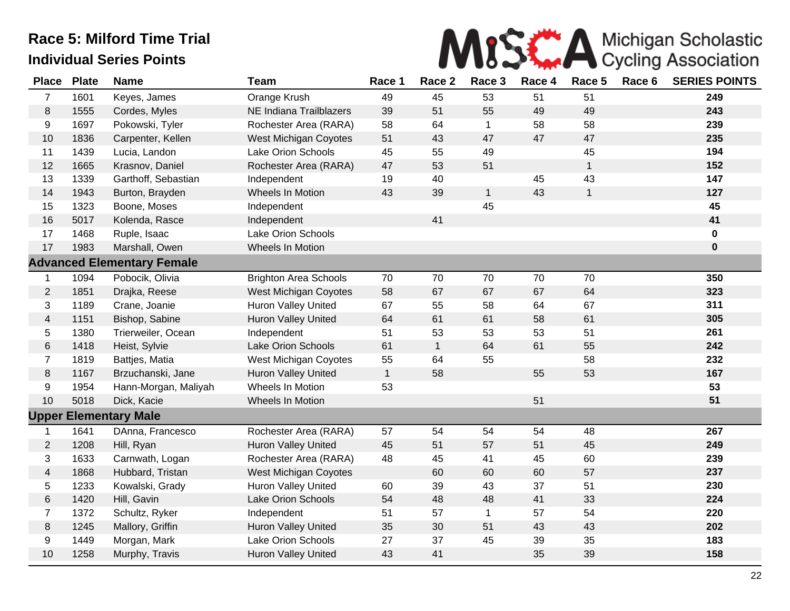

| <b>Place</b>   | <b>Plate</b> | <b>Name</b>                       | <b>Team</b>                  | Race 1       | Race 2       | Race 3       | Race 4 | Race 5       | Race 6 | <b>SERIES POINTS</b> |
|----------------|--------------|-----------------------------------|------------------------------|--------------|--------------|--------------|--------|--------------|--------|----------------------|
| $\overline{7}$ | 1601         | Keyes, James                      | Orange Krush                 | 49           | 45           | 53           | 51     | 51           |        | 249                  |
| 8              | 1555         | Cordes, Myles                     | NE Indiana Trailblazers      | 39           | 51           | 55           | 49     | 49           |        | 243                  |
| 9              | 1697         | Pokowski, Tyler                   | Rochester Area (RARA)        | 58           | 64           | $\mathbf{1}$ | 58     | 58           |        | 239                  |
| 10             | 1836         | Carpenter, Kellen                 | <b>West Michigan Coyotes</b> | 51           | 43           | 47           | 47     | 47           |        | 235                  |
| 11             | 1439         | Lucia, Landon                     | Lake Orion Schools           | 45           | 55           | 49           |        | 45           |        | 194                  |
| 12             | 1665         | Krasnov, Daniel                   | Rochester Area (RARA)        | 47           | 53           | 51           |        | $\mathbf{1}$ |        | 152                  |
| 13             | 1339         | Garthoff, Sebastian               | Independent                  | 19           | 40           |              | 45     | 43           |        | 147                  |
| 14             | 1943         | Burton, Brayden                   | Wheels In Motion             | 43           | 39           | $\mathbf{1}$ | 43     | $\mathbf{1}$ |        | 127                  |
| 15             | 1323         | Boone, Moses                      | Independent                  |              |              | 45           |        |              |        | 45                   |
| 16             | 5017         | Kolenda, Rasce                    | Independent                  |              | 41           |              |        |              |        | 41                   |
| 17             | 1468         | Ruple, Isaac                      | Lake Orion Schools           |              |              |              |        |              |        | $\bf{0}$             |
| 17             | 1983         | Marshall, Owen                    | <b>Wheels In Motion</b>      |              |              |              |        |              |        | $\bf{0}$             |
|                |              | <b>Advanced Elementary Female</b> |                              |              |              |              |        |              |        |                      |
| 1              | 1094         | Pobocik, Olivia                   | <b>Brighton Area Schools</b> | 70           | 70           | 70           | 70     | 70           |        | 350                  |
| $\overline{2}$ | 1851         | Drajka, Reese                     | <b>West Michigan Coyotes</b> | 58           | 67           | 67           | 67     | 64           |        | 323                  |
| 3              | 1189         | Crane, Joanie                     | Huron Valley United          | 67           | 55           | 58           | 64     | 67           |        | 311                  |
| 4              | 1151         | Bishop, Sabine                    | <b>Huron Valley United</b>   | 64           | 61           | 61           | 58     | 61           |        | 305                  |
| 5              | 1380         | Trierweiler, Ocean                | Independent                  | 51           | 53           | 53           | 53     | 51           |        | 261                  |
| 6              | 1418         | Heist, Sylvie                     | Lake Orion Schools           | 61           | $\mathbf{1}$ | 64           | 61     | 55           |        | 242                  |
| $\overline{7}$ | 1819         | Battjes, Matia                    | West Michigan Coyotes        | 55           | 64           | 55           |        | 58           |        | 232                  |
| 8              | 1167         | Brzuchanski, Jane                 | <b>Huron Valley United</b>   | $\mathbf{1}$ | 58           |              | 55     | 53           |        | 167                  |
| 9              | 1954         | Hann-Morgan, Maliyah              | Wheels In Motion             | 53           |              |              |        |              |        | 53                   |
| 10             | 5018         | Dick, Kacie                       | Wheels In Motion             |              |              |              | 51     |              |        | 51                   |
|                |              | <b>Upper Elementary Male</b>      |                              |              |              |              |        |              |        |                      |
| $\mathbf 1$    | 1641         | DAnna, Francesco                  | Rochester Area (RARA)        | 57           | 54           | 54           | 54     | 48           |        | 267                  |
| $\overline{2}$ | 1208         | Hill, Ryan                        | Huron Valley United          | 45           | 51           | 57           | 51     | 45           |        | 249                  |
| 3              | 1633         | Carnwath, Logan                   | Rochester Area (RARA)        | 48           | 45           | 41           | 45     | 60           |        | 239                  |
| 4              | 1868         | Hubbard, Tristan                  | <b>West Michigan Coyotes</b> |              | 60           | 60           | 60     | 57           |        | 237                  |
| 5              | 1233         | Kowalski, Grady                   | Huron Valley United          | 60           | 39           | 43           | 37     | 51           |        | 230                  |
| 6              | 1420         | Hill, Gavin                       | Lake Orion Schools           | 54           | 48           | 48           | 41     | 33           |        | 224                  |
| $\overline{7}$ | 1372         | Schultz, Ryker                    | Independent                  | 51           | 57           | $\mathbf{1}$ | 57     | 54           |        | 220                  |
| 8              | 1245         | Mallory, Griffin                  | Huron Valley United          | 35           | 30           | 51           | 43     | 43           |        | 202                  |
| 9              | 1449         | Morgan, Mark                      | Lake Orion Schools           | 27           | 37           | 45           | 39     | 35           |        | 183                  |
| 10             | 1258         | Murphy, Travis                    | Huron Valley United          | 43           | 41           |              | 35     | 39           |        | 158                  |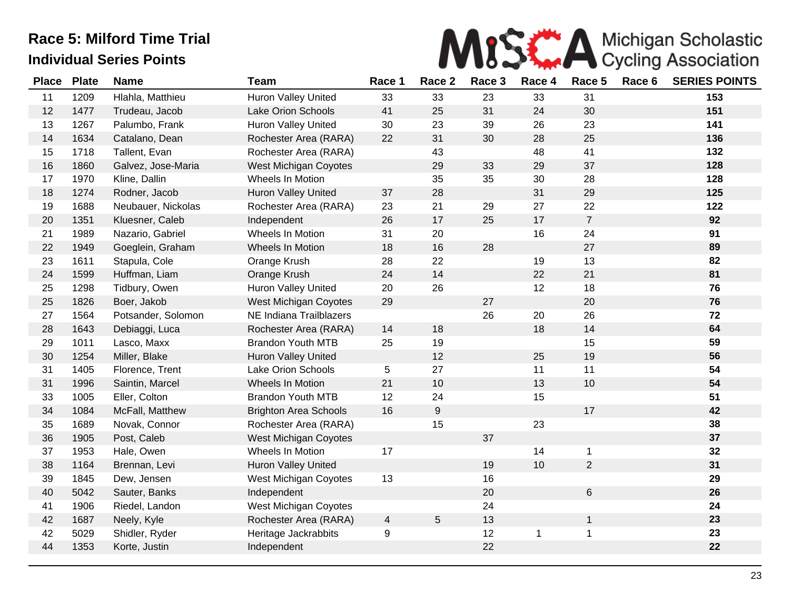

| <b>Place</b> | <b>Plate</b> | <b>Name</b>        | <b>Team</b>                  | Race 1         | Race 2           | Race 3 | Race 4 | Race 5         | Race 6 | <b>SERIES POINTS</b> |
|--------------|--------------|--------------------|------------------------------|----------------|------------------|--------|--------|----------------|--------|----------------------|
| 11           | 1209         | Hlahla, Matthieu   | Huron Valley United          | 33             | 33               | 23     | 33     | 31             |        | 153                  |
| 12           | 1477         | Trudeau, Jacob     | Lake Orion Schools           | 41             | 25               | 31     | 24     | 30             |        | 151                  |
| 13           | 1267         | Palumbo, Frank     | <b>Huron Valley United</b>   | 30             | 23               | 39     | 26     | 23             |        | 141                  |
| 14           | 1634         | Catalano, Dean     | Rochester Area (RARA)        | 22             | 31               | 30     | 28     | 25             |        | 136                  |
| 15           | 1718         | Tallent, Evan      | Rochester Area (RARA)        |                | 43               |        | 48     | 41             |        | 132                  |
| 16           | 1860         | Galvez, Jose-Maria | West Michigan Coyotes        |                | 29               | 33     | 29     | 37             |        | 128                  |
| 17           | 1970         | Kline, Dallin      | Wheels In Motion             |                | 35               | 35     | 30     | 28             |        | 128                  |
| 18           | 1274         | Rodner, Jacob      | Huron Valley United          | 37             | 28               |        | 31     | 29             |        | 125                  |
| 19           | 1688         | Neubauer, Nickolas | Rochester Area (RARA)        | 23             | 21               | 29     | 27     | 22             |        | 122                  |
| 20           | 1351         | Kluesner, Caleb    | Independent                  | 26             | 17               | 25     | 17     | $\overline{7}$ |        | 92                   |
| 21           | 1989         | Nazario, Gabriel   | Wheels In Motion             | 31             | 20               |        | 16     | 24             |        | 91                   |
| 22           | 1949         | Goeglein, Graham   | Wheels In Motion             | 18             | 16               | 28     |        | 27             |        | 89                   |
| 23           | 1611         | Stapula, Cole      | Orange Krush                 | 28             | 22               |        | 19     | 13             |        | 82                   |
| 24           | 1599         | Huffman, Liam      | Orange Krush                 | 24             | 14               |        | 22     | 21             |        | 81                   |
| 25           | 1298         | Tidbury, Owen      | Huron Valley United          | 20             | 26               |        | 12     | 18             |        | 76                   |
| 25           | 1826         | Boer, Jakob        | <b>West Michigan Coyotes</b> | 29             |                  | 27     |        | 20             |        | 76                   |
| 27           | 1564         | Potsander, Solomon | NE Indiana Trailblazers      |                |                  | 26     | 20     | 26             |        | 72                   |
| 28           | 1643         | Debiaggi, Luca     | Rochester Area (RARA)        | 14             | 18               |        | 18     | 14             |        | 64                   |
| 29           | 1011         | Lasco, Maxx        | <b>Brandon Youth MTB</b>     | 25             | 19               |        |        | 15             |        | 59                   |
| 30           | 1254         | Miller, Blake      | Huron Valley United          |                | 12               |        | 25     | 19             |        | 56                   |
| 31           | 1405         | Florence, Trent    | Lake Orion Schools           | 5              | 27               |        | 11     | 11             |        | 54                   |
| 31           | 1996         | Saintin, Marcel    | Wheels In Motion             | 21             | 10               |        | 13     | 10             |        | 54                   |
| 33           | 1005         | Eller, Colton      | <b>Brandon Youth MTB</b>     | 12             | 24               |        | 15     |                |        | 51                   |
| 34           | 1084         | McFall, Matthew    | <b>Brighton Area Schools</b> | 16             | $\boldsymbol{9}$ |        |        | 17             |        | 42                   |
| 35           | 1689         | Novak, Connor      | Rochester Area (RARA)        |                | 15               |        | 23     |                |        | 38                   |
| 36           | 1905         | Post, Caleb        | <b>West Michigan Coyotes</b> |                |                  | 37     |        |                |        | 37                   |
| 37           | 1953         | Hale, Owen         | Wheels In Motion             | 17             |                  |        | 14     | $\mathbf{1}$   |        | 32                   |
| 38           | 1164         | Brennan, Levi      | Huron Valley United          |                |                  | 19     | 10     | $\overline{2}$ |        | 31                   |
| 39           | 1845         | Dew, Jensen        | <b>West Michigan Coyotes</b> | 13             |                  | 16     |        |                |        | 29                   |
| 40           | 5042         | Sauter, Banks      | Independent                  |                |                  | 20     |        | 6              |        | 26                   |
| 41           | 1906         | Riedel, Landon     | West Michigan Coyotes        |                |                  | 24     |        |                |        | 24                   |
| 42           | 1687         | Neely, Kyle        | Rochester Area (RARA)        | $\overline{4}$ | $5\,$            | 13     |        | 1              |        | 23                   |
| 42           | 5029         | Shidler, Ryder     | Heritage Jackrabbits         | 9              |                  | 12     |        | 1              |        | 23                   |
| 44           | 1353         | Korte, Justin      | Independent                  |                |                  | 22     |        |                |        | 22                   |
|              |              |                    |                              |                |                  |        |        |                |        |                      |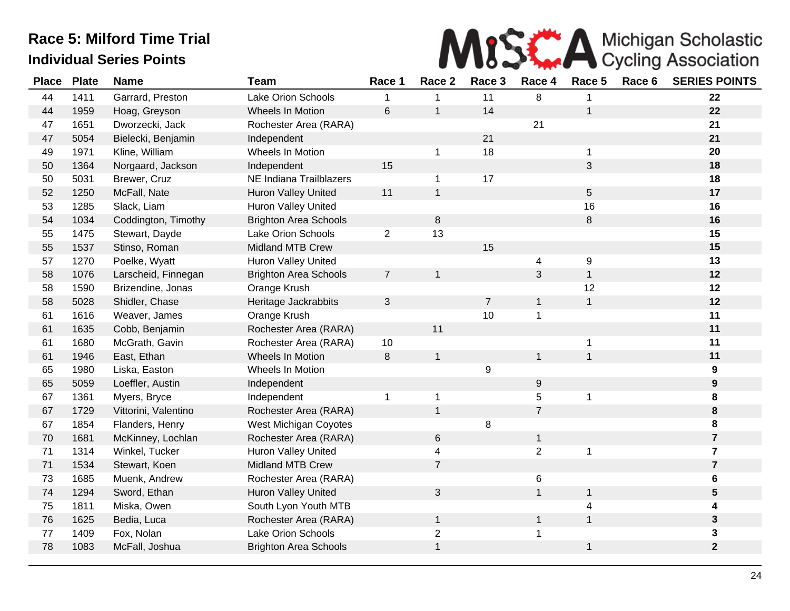

| <b>Place</b> | <b>Plate</b> | <b>Name</b>          | <b>Team</b>                  | Race 1         | Race 2         | Race 3           | Race 4         | Race 5       | Race 6 | <b>SERIES POINTS</b> |
|--------------|--------------|----------------------|------------------------------|----------------|----------------|------------------|----------------|--------------|--------|----------------------|
| 44           | 1411         | Garrard, Preston     | Lake Orion Schools           |                | 1              | 11               | 8              |              |        | 22                   |
| 44           | 1959         | Hoag, Greyson        | Wheels In Motion             | 6              | $\mathbf{1}$   | 14               |                | $\mathbf{1}$ |        | 22                   |
| 47           | 1651         | Dworzecki, Jack      | Rochester Area (RARA)        |                |                |                  | 21             |              |        | 21                   |
| 47           | 5054         | Bielecki, Benjamin   | Independent                  |                |                | 21               |                |              |        | 21                   |
| 49           | 1971         | Kline, William       | Wheels In Motion             |                | 1              | 18               |                | 1            |        | 20                   |
| 50           | 1364         | Norgaard, Jackson    | Independent                  | 15             |                |                  |                | 3            |        | 18                   |
| 50           | 5031         | Brewer, Cruz         | NE Indiana Trailblazers      |                | $\mathbf 1$    | 17               |                |              |        | 18                   |
| 52           | 1250         | McFall, Nate         | Huron Valley United          | 11             | $\mathbf{1}$   |                  |                | $\sqrt{5}$   |        | 17                   |
| 53           | 1285         | Slack, Liam          | <b>Huron Valley United</b>   |                |                |                  |                | 16           |        | 16                   |
| 54           | 1034         | Coddington, Timothy  | <b>Brighton Area Schools</b> |                | 8              |                  |                | $\,8\,$      |        | 16                   |
| 55           | 1475         | Stewart, Dayde       | <b>Lake Orion Schools</b>    | $\overline{2}$ | 13             |                  |                |              |        | 15                   |
| 55           | 1537         | Stinso, Roman        | <b>Midland MTB Crew</b>      |                |                | 15               |                |              |        | 15                   |
| 57           | 1270         | Poelke, Wyatt        | Huron Valley United          |                |                |                  | 4              | 9            |        | 13                   |
| 58           | 1076         | Larscheid, Finnegan  | <b>Brighton Area Schools</b> | $\overline{7}$ | $\mathbf{1}$   |                  | 3              | $\mathbf{1}$ |        | $12$                 |
| 58           | 1590         | Brizendine, Jonas    | Orange Krush                 |                |                |                  |                | 12           |        | 12                   |
| 58           | 5028         | Shidler, Chase       | Heritage Jackrabbits         | $\sqrt{3}$     |                | $\overline{7}$   | $\mathbf{1}$   | $\mathbf{1}$ |        | $12$                 |
| 61           | 1616         | Weaver, James        | Orange Krush                 |                |                | 10               | $\mathbf 1$    |              |        | 11                   |
| 61           | 1635         | Cobb, Benjamin       | Rochester Area (RARA)        |                | 11             |                  |                |              |        | 11                   |
| 61           | 1680         | McGrath, Gavin       | Rochester Area (RARA)        | 10             |                |                  |                | $\mathbf 1$  |        | 11                   |
| 61           | 1946         | East, Ethan          | Wheels In Motion             | 8              | $\mathbf{1}$   |                  | $\mathbf{1}$   | $\mathbf{1}$ |        | 11                   |
| 65           | 1980         | Liska, Easton        | Wheels In Motion             |                |                | $\boldsymbol{9}$ |                |              |        | 9                    |
| 65           | 5059         | Loeffler, Austin     | Independent                  |                |                |                  | 9              |              |        | $\boldsymbol{9}$     |
| 67           | 1361         | Myers, Bryce         | Independent                  | 1              | $\mathbf 1$    |                  | 5              | 1            |        | 8                    |
| 67           | 1729         | Vittorini, Valentino | Rochester Area (RARA)        |                | $\mathbf{1}$   |                  | $\overline{7}$ |              |        | $\bf 8$              |
| 67           | 1854         | Flanders, Henry      | West Michigan Coyotes        |                |                | 8                |                |              |        | 8                    |
| 70           | 1681         | McKinney, Lochlan    | Rochester Area (RARA)        |                | 6              |                  | $\mathbf{1}$   |              |        | $\overline{7}$       |
| 71           | 1314         | Winkel, Tucker       | Huron Valley United          |                | 4              |                  | $\overline{2}$ | 1            |        | $\overline{7}$       |
| 71           | 1534         | Stewart, Koen        | Midland MTB Crew             |                | $\overline{7}$ |                  |                |              |        | $\overline{7}$       |
| 73           | 1685         | Muenk, Andrew        | Rochester Area (RARA)        |                |                |                  | 6              |              |        | 6                    |
| 74           | 1294         | Sword, Ethan         | Huron Valley United          |                | 3              |                  | 1              | $\mathbf{1}$ |        | 5                    |
| 75           | 1811         | Miska, Owen          | South Lyon Youth MTB         |                |                |                  |                | 4            |        | 4                    |
| 76           | 1625         | Bedia, Luca          | Rochester Area (RARA)        |                | $\mathbf{1}$   |                  | $\mathbf{1}$   | $\mathbf{1}$ |        | $\mathbf{3}$         |
| 77           | 1409         | Fox, Nolan           | <b>Lake Orion Schools</b>    |                | $\overline{2}$ |                  |                |              |        | 3                    |
| 78           | 1083         | McFall, Joshua       | <b>Brighton Area Schools</b> |                | $\mathbf{1}$   |                  |                | $\mathbf{1}$ |        | $\mathbf{2}$         |
|              |              |                      |                              |                |                |                  |                |              |        |                      |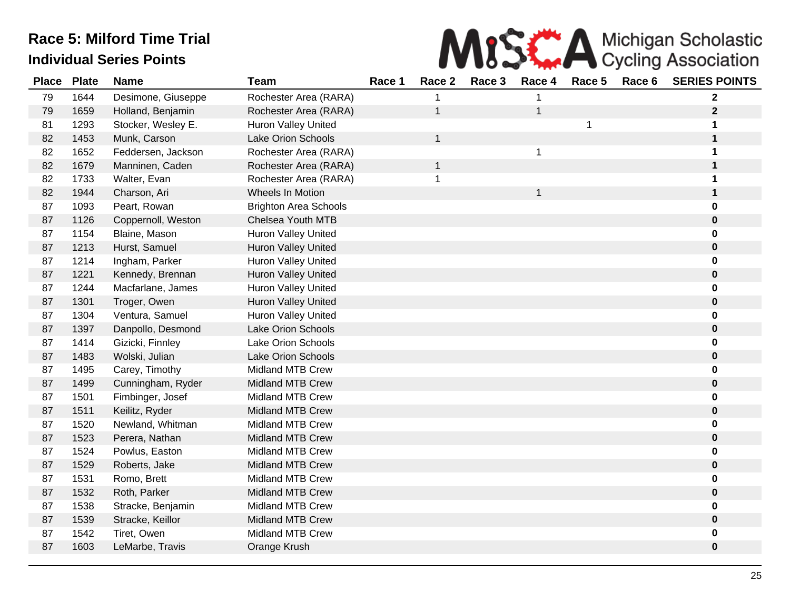

| <b>Place</b> | <b>Plate</b> | <b>Name</b>        | <b>Team</b>                  | Race 1 | Race 2       | Race 3 | Race 4 | Race 5       | Race 6 | <b>SERIES POINTS</b> |
|--------------|--------------|--------------------|------------------------------|--------|--------------|--------|--------|--------------|--------|----------------------|
| 79           | 1644         | Desimone, Giuseppe | Rochester Area (RARA)        |        |              |        |        |              |        | $\mathbf{2}$         |
| 79           | 1659         | Holland, Benjamin  | Rochester Area (RARA)        |        | $\mathbf{1}$ |        | 1      |              |        | $\mathbf{2}$         |
| 81           | 1293         | Stocker, Wesley E. | Huron Valley United          |        |              |        |        | $\mathbf{1}$ |        | 1                    |
| 82           | 1453         | Munk, Carson       | Lake Orion Schools           |        | $\mathbf{1}$ |        |        |              |        | $\mathbf{1}$         |
| 82           | 1652         | Feddersen, Jackson | Rochester Area (RARA)        |        |              |        | 1      |              |        | 1                    |
| 82           | 1679         | Manninen, Caden    | Rochester Area (RARA)        |        | $\mathbf 1$  |        |        |              |        | $\mathbf{1}$         |
| 82           | 1733         | Walter, Evan       | Rochester Area (RARA)        |        | 1            |        |        |              |        | 1                    |
| 82           | 1944         | Charson, Ari       | <b>Wheels In Motion</b>      |        |              |        | 1      |              |        | $\mathbf 1$          |
| 87           | 1093         | Peart, Rowan       | <b>Brighton Area Schools</b> |        |              |        |        |              |        | $\bf{0}$             |
| 87           | 1126         | Coppernoll, Weston | Chelsea Youth MTB            |        |              |        |        |              |        | $\bf{0}$             |
| 87           | 1154         | Blaine, Mason      | Huron Valley United          |        |              |        |        |              |        | 0                    |
| 87           | 1213         | Hurst, Samuel      | Huron Valley United          |        |              |        |        |              |        | $\pmb{0}$            |
| 87           | 1214         | Ingham, Parker     | Huron Valley United          |        |              |        |        |              |        | $\mathbf 0$          |
| 87           | 1221         | Kennedy, Brennan   | <b>Huron Valley United</b>   |        |              |        |        |              |        | $\pmb{0}$            |
| 87           | 1244         | Macfarlane, James  | <b>Huron Valley United</b>   |        |              |        |        |              |        | 0                    |
| 87           | 1301         | Troger, Owen       | Huron Valley United          |        |              |        |        |              |        | $\mathbf 0$          |
| 87           | 1304         | Ventura, Samuel    | <b>Huron Valley United</b>   |        |              |        |        |              |        | 0                    |
| 87           | 1397         | Danpollo, Desmond  | Lake Orion Schools           |        |              |        |        |              |        | $\bf{0}$             |
| 87           | 1414         | Gizicki, Finnley   | Lake Orion Schools           |        |              |        |        |              |        | 0                    |
| 87           | 1483         | Wolski, Julian     | <b>Lake Orion Schools</b>    |        |              |        |        |              |        | $\pmb{0}$            |
| 87           | 1495         | Carey, Timothy     | Midland MTB Crew             |        |              |        |        |              |        | $\pmb{0}$            |
| 87           | 1499         | Cunningham, Ryder  | <b>Midland MTB Crew</b>      |        |              |        |        |              |        | $\pmb{0}$            |
| 87           | 1501         | Fimbinger, Josef   | <b>Midland MTB Crew</b>      |        |              |        |        |              |        | 0                    |
| 87           | 1511         | Keilitz, Ryder     | <b>Midland MTB Crew</b>      |        |              |        |        |              |        | $\pmb{0}$            |
| 87           | 1520         | Newland, Whitman   | <b>Midland MTB Crew</b>      |        |              |        |        |              |        | 0                    |
| 87           | 1523         | Perera, Nathan     | <b>Midland MTB Crew</b>      |        |              |        |        |              |        | $\pmb{0}$            |
| 87           | 1524         | Powlus, Easton     | <b>Midland MTB Crew</b>      |        |              |        |        |              |        | 0                    |
| 87           | 1529         | Roberts, Jake      | <b>Midland MTB Crew</b>      |        |              |        |        |              |        | $\bf{0}$             |
| 87           | 1531         | Romo, Brett        | <b>Midland MTB Crew</b>      |        |              |        |        |              |        | 0                    |
| 87           | 1532         | Roth, Parker       | <b>Midland MTB Crew</b>      |        |              |        |        |              |        | $\bf{0}$             |
| 87           | 1538         | Stracke, Benjamin  | <b>Midland MTB Crew</b>      |        |              |        |        |              |        | 0                    |
| 87           | 1539         | Stracke, Keillor   | <b>Midland MTB Crew</b>      |        |              |        |        |              |        | $\pmb{0}$            |
| 87           | 1542         | Tiret, Owen        | <b>Midland MTB Crew</b>      |        |              |        |        |              |        | 0                    |
| 87           | 1603         | LeMarbe, Travis    | Orange Krush                 |        |              |        |        |              |        | $\pmb{0}$            |
|              |              |                    |                              |        |              |        |        |              |        |                      |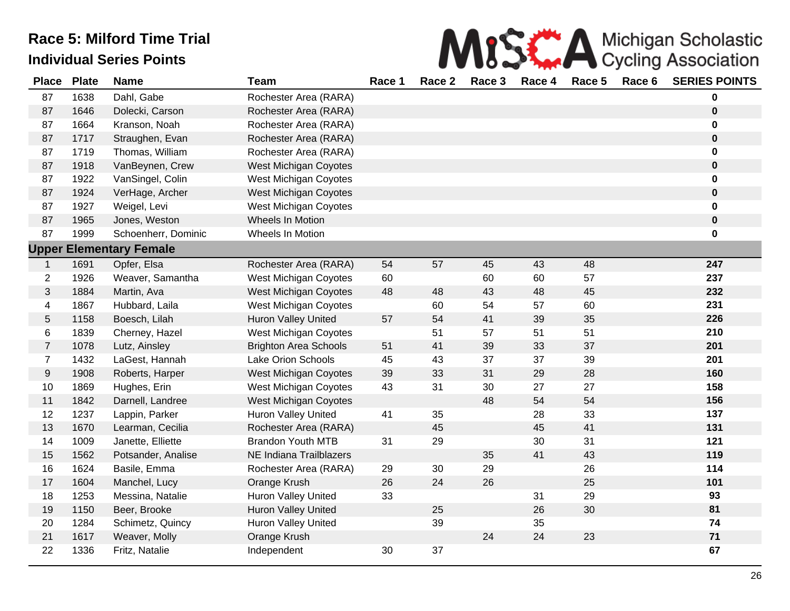

| <b>Place</b>            | <b>Plate</b> | <b>Name</b>                    | <b>Team</b>                  | Race 1 | Race 2 | Race 3 | Race 4 | Race 5 | Race 6 | <b>SERIES POINTS</b> |
|-------------------------|--------------|--------------------------------|------------------------------|--------|--------|--------|--------|--------|--------|----------------------|
| 87                      | 1638         | Dahl, Gabe                     | Rochester Area (RARA)        |        |        |        |        |        |        | 0                    |
| 87                      | 1646         | Dolecki, Carson                | Rochester Area (RARA)        |        |        |        |        |        |        | 0                    |
| 87                      | 1664         | Kranson, Noah                  | Rochester Area (RARA)        |        |        |        |        |        |        | 0                    |
| 87                      | 1717         | Straughen, Evan                | Rochester Area (RARA)        |        |        |        |        |        |        | $\pmb{0}$            |
| 87                      | 1719         | Thomas, William                | Rochester Area (RARA)        |        |        |        |        |        |        | 0                    |
| 87                      | 1918         | VanBeynen, Crew                | West Michigan Coyotes        |        |        |        |        |        |        | $\mathbf 0$          |
| 87                      | 1922         | VanSingel, Colin               | West Michigan Coyotes        |        |        |        |        |        |        | 0                    |
| 87                      | 1924         | VerHage, Archer                | West Michigan Coyotes        |        |        |        |        |        |        | $\mathbf 0$          |
| 87                      | 1927         | Weigel, Levi                   | West Michigan Coyotes        |        |        |        |        |        |        | $\mathbf 0$          |
| 87                      | 1965         | Jones, Weston                  | Wheels In Motion             |        |        |        |        |        |        | $\mathbf 0$          |
| 87                      | 1999         | Schoenherr, Dominic            | Wheels In Motion             |        |        |        |        |        |        | 0                    |
|                         |              | <b>Upper Elementary Female</b> |                              |        |        |        |        |        |        |                      |
| $\mathbf{1}$            | 1691         | Opfer, Elsa                    | Rochester Area (RARA)        | 54     | 57     | 45     | 43     | 48     |        | 247                  |
| $\overline{2}$          | 1926         | Weaver, Samantha               | West Michigan Coyotes        | 60     |        | 60     | 60     | 57     |        | 237                  |
| 3                       | 1884         | Martin, Ava                    | West Michigan Coyotes        | 48     | 48     | 43     | 48     | 45     |        | 232                  |
| $\overline{\mathbf{4}}$ | 1867         | Hubbard, Laila                 | West Michigan Coyotes        |        | 60     | 54     | 57     | 60     |        | 231                  |
| $\overline{5}$          | 1158         | Boesch, Lilah                  | <b>Huron Valley United</b>   | 57     | 54     | 41     | 39     | 35     |        | 226                  |
| 6                       | 1839         | Cherney, Hazel                 | West Michigan Coyotes        |        | 51     | 57     | 51     | 51     |        | 210                  |
| $\boldsymbol{7}$        | 1078         | Lutz, Ainsley                  | <b>Brighton Area Schools</b> | 51     | 41     | 39     | 33     | 37     |        | 201                  |
| $\overline{7}$          | 1432         | LaGest, Hannah                 | Lake Orion Schools           | 45     | 43     | 37     | 37     | 39     |        | 201                  |
| $9\,$                   | 1908         | Roberts, Harper                | West Michigan Coyotes        | 39     | 33     | 31     | 29     | 28     |        | 160                  |
| 10                      | 1869         | Hughes, Erin                   | West Michigan Coyotes        | 43     | 31     | 30     | 27     | 27     |        | 158                  |
| 11                      | 1842         | Darnell, Landree               | West Michigan Coyotes        |        |        | 48     | 54     | 54     |        | 156                  |
| 12                      | 1237         | Lappin, Parker                 | Huron Valley United          | 41     | 35     |        | 28     | 33     |        | 137                  |
| 13                      | 1670         | Learman, Cecilia               | Rochester Area (RARA)        |        | 45     |        | 45     | 41     |        | 131                  |
| 14                      | 1009         | Janette, Elliette              | <b>Brandon Youth MTB</b>     | 31     | 29     |        | 30     | 31     |        | 121                  |
| 15                      | 1562         | Potsander, Analise             | NE Indiana Trailblazers      |        |        | 35     | 41     | 43     |        | 119                  |
| 16                      | 1624         | Basile, Emma                   | Rochester Area (RARA)        | 29     | 30     | 29     |        | 26     |        | 114                  |
| 17                      | 1604         | Manchel, Lucy                  | Orange Krush                 | 26     | 24     | 26     |        | 25     |        | 101                  |
| 18                      | 1253         | Messina, Natalie               | Huron Valley United          | 33     |        |        | 31     | 29     |        | 93                   |
| 19                      | 1150         | Beer, Brooke                   | Huron Valley United          |        | 25     |        | 26     | 30     |        | 81                   |
| 20                      | 1284         | Schimetz, Quincy               | Huron Valley United          |        | 39     |        | 35     |        |        | 74                   |
| 21                      | 1617         | Weaver, Molly                  | Orange Krush                 |        |        | 24     | 24     | 23     |        | $71$                 |
| 22                      | 1336         | Fritz, Natalie                 | Independent                  | 30     | 37     |        |        |        |        | 67                   |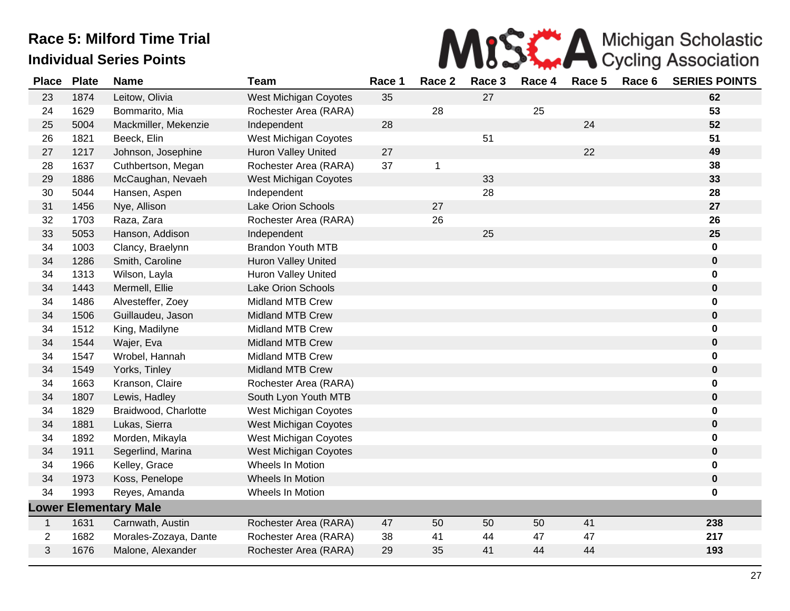

| <b>Place</b>   | <b>Plate</b> | <b>Name</b>                  | <b>Team</b>                  | Race 1 | Race 2 | Race 3 | Race 4 | Race 5 | Race 6 | <b>SERIES POINTS</b> |
|----------------|--------------|------------------------------|------------------------------|--------|--------|--------|--------|--------|--------|----------------------|
| 23             | 1874         | Leitow, Olivia               | West Michigan Coyotes        | 35     |        | 27     |        |        |        | 62                   |
| 24             | 1629         | Bommarito, Mia               | Rochester Area (RARA)        |        | 28     |        | 25     |        |        | 53                   |
| 25             | 5004         | Mackmiller, Mekenzie         | Independent                  | 28     |        |        |        | 24     |        | 52                   |
| 26             | 1821         | Beeck, Elin                  | <b>West Michigan Coyotes</b> |        |        | 51     |        |        |        | 51                   |
| 27             | 1217         | Johnson, Josephine           | <b>Huron Valley United</b>   | 27     |        |        |        | 22     |        | 49                   |
| 28             | 1637         | Cuthbertson, Megan           | Rochester Area (RARA)        | 37     | 1      |        |        |        |        | 38                   |
| 29             | 1886         | McCaughan, Nevaeh            | West Michigan Coyotes        |        |        | 33     |        |        |        | 33                   |
| 30             | 5044         | Hansen, Aspen                | Independent                  |        |        | 28     |        |        |        | 28                   |
| 31             | 1456         | Nye, Allison                 | Lake Orion Schools           |        | 27     |        |        |        |        | 27                   |
| 32             | 1703         | Raza, Zara                   | Rochester Area (RARA)        |        | 26     |        |        |        |        | 26                   |
| 33             | 5053         | Hanson, Addison              | Independent                  |        |        | 25     |        |        |        | 25                   |
| 34             | 1003         | Clancy, Braelynn             | <b>Brandon Youth MTB</b>     |        |        |        |        |        |        | 0                    |
| 34             | 1286         | Smith, Caroline              | <b>Huron Valley United</b>   |        |        |        |        |        |        | $\pmb{0}$            |
| 34             | 1313         | Wilson, Layla                | Huron Valley United          |        |        |        |        |        |        | 0                    |
| 34             | 1443         | Mermell, Ellie               | Lake Orion Schools           |        |        |        |        |        |        | $\bf{0}$             |
| 34             | 1486         | Alvesteffer, Zoey            | <b>Midland MTB Crew</b>      |        |        |        |        |        |        | 0                    |
| 34             | 1506         | Guillaudeu, Jason            | <b>Midland MTB Crew</b>      |        |        |        |        |        |        | $\bf{0}$             |
| 34             | 1512         | King, Madilyne               | Midland MTB Crew             |        |        |        |        |        |        | 0                    |
| 34             | 1544         | Wajer, Eva                   | Midland MTB Crew             |        |        |        |        |        |        | $\bf{0}$             |
| 34             | 1547         | Wrobel, Hannah               | Midland MTB Crew             |        |        |        |        |        |        | 0                    |
| 34             | 1549         | Yorks, Tinley                | <b>Midland MTB Crew</b>      |        |        |        |        |        |        | $\pmb{0}$            |
| 34             | 1663         | Kranson, Claire              | Rochester Area (RARA)        |        |        |        |        |        |        | 0                    |
| 34             | 1807         | Lewis, Hadley                | South Lyon Youth MTB         |        |        |        |        |        |        | $\pmb{0}$            |
| 34             | 1829         | Braidwood, Charlotte         | West Michigan Coyotes        |        |        |        |        |        |        | 0                    |
| 34             | 1881         | Lukas, Sierra                | West Michigan Coyotes        |        |        |        |        |        |        | $\mathbf 0$          |
| 34             | 1892         | Morden, Mikayla              | West Michigan Coyotes        |        |        |        |        |        |        | 0                    |
| 34             | 1911         | Segerlind, Marina            | West Michigan Coyotes        |        |        |        |        |        |        | $\pmb{0}$            |
| 34             | 1966         | Kelley, Grace                | Wheels In Motion             |        |        |        |        |        |        | 0                    |
| 34             | 1973         | Koss, Penelope               | Wheels In Motion             |        |        |        |        |        |        | $\mathbf 0$          |
| 34             | 1993         | Reyes, Amanda                | Wheels In Motion             |        |        |        |        |        |        | $\mathbf 0$          |
|                |              | <b>Lower Elementary Male</b> |                              |        |        |        |        |        |        |                      |
| $\mathbf{1}$   | 1631         | Carnwath, Austin             | Rochester Area (RARA)        | 47     | 50     | 50     | 50     | 41     |        | 238                  |
| $\overline{2}$ | 1682         | Morales-Zozaya, Dante        | Rochester Area (RARA)        | 38     | 41     | 44     | 47     | 47     |        | 217                  |
| 3              | 1676         | Malone, Alexander            | Rochester Area (RARA)        | 29     | 35     | 41     | 44     | 44     |        | 193                  |
|                |              |                              |                              |        |        |        |        |        |        |                      |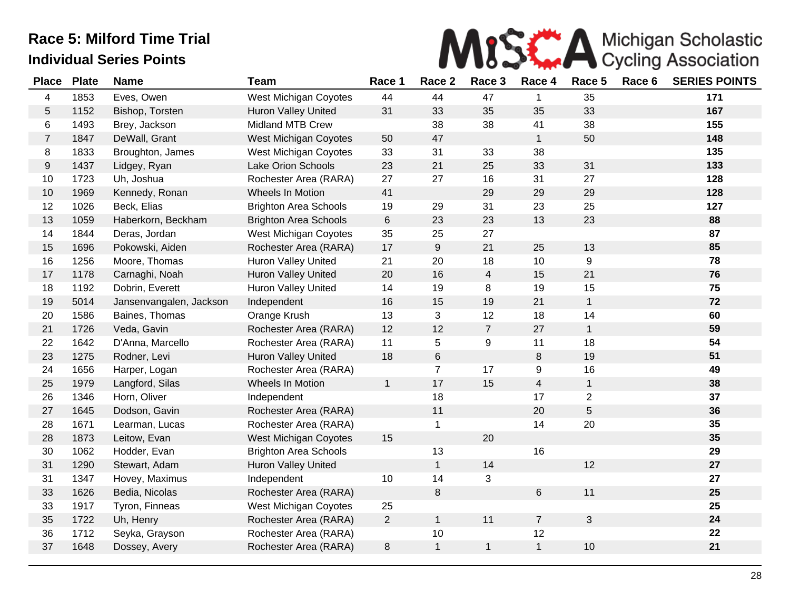

| <b>Place</b>   | <b>Plate</b> | <b>Name</b>             | <b>Team</b>                  | Race 1         | Race 2           | Race 3         | Race 4         | Race 5         | Race 6 | <b>SERIES POINTS</b> |
|----------------|--------------|-------------------------|------------------------------|----------------|------------------|----------------|----------------|----------------|--------|----------------------|
| 4              | 1853         | Eves, Owen              | West Michigan Coyotes        | 44             | 44               | 47             | 1              | 35             |        | 171                  |
| 5              | 1152         | Bishop, Torsten         | Huron Valley United          | 31             | 33               | 35             | 35             | 33             |        | 167                  |
| 6              | 1493         | Brey, Jackson           | <b>Midland MTB Crew</b>      |                | 38               | 38             | 41             | 38             |        | 155                  |
| $\overline{7}$ | 1847         | DeWall, Grant           | West Michigan Coyotes        | 50             | 47               |                | $\mathbf{1}$   | 50             |        | 148                  |
| 8              | 1833         | Broughton, James        | West Michigan Coyotes        | 33             | 31               | 33             | 38             |                |        | 135                  |
| 9              | 1437         | Lidgey, Ryan            | <b>Lake Orion Schools</b>    | 23             | 21               | 25             | 33             | 31             |        | 133                  |
| 10             | 1723         | Uh, Joshua              | Rochester Area (RARA)        | 27             | 27               | 16             | 31             | 27             |        | 128                  |
| 10             | 1969         | Kennedy, Ronan          | Wheels In Motion             | 41             |                  | 29             | 29             | 29             |        | 128                  |
| 12             | 1026         | Beck, Elias             | <b>Brighton Area Schools</b> | 19             | 29               | 31             | 23             | 25             |        | 127                  |
| 13             | 1059         | Haberkorn, Beckham      | <b>Brighton Area Schools</b> | $\,6$          | 23               | 23             | 13             | 23             |        | 88                   |
| 14             | 1844         | Deras, Jordan           | <b>West Michigan Coyotes</b> | 35             | 25               | 27             |                |                |        | 87                   |
| 15             | 1696         | Pokowski, Aiden         | Rochester Area (RARA)        | 17             | $\boldsymbol{9}$ | 21             | 25             | 13             |        | 85                   |
| 16             | 1256         | Moore, Thomas           | Huron Valley United          | 21             | 20               | 18             | 10             | 9              |        | 78                   |
| 17             | 1178         | Carnaghi, Noah          | Huron Valley United          | 20             | 16               | $\overline{4}$ | 15             | 21             |        | 76                   |
| 18             | 1192         | Dobrin, Everett         | <b>Huron Valley United</b>   | 14             | 19               | 8              | 19             | 15             |        | 75                   |
| 19             | 5014         | Jansenvangalen, Jackson | Independent                  | 16             | 15               | 19             | 21             | $\mathbf{1}$   |        | 72                   |
| 20             | 1586         | Baines, Thomas          | Orange Krush                 | 13             | 3                | 12             | 18             | 14             |        | 60                   |
| 21             | 1726         | Veda, Gavin             | Rochester Area (RARA)        | 12             | 12               | $\overline{7}$ | 27             | $\mathbf{1}$   |        | 59                   |
| 22             | 1642         | D'Anna, Marcello        | Rochester Area (RARA)        | 11             | 5                | 9              | 11             | 18             |        | 54                   |
| 23             | 1275         | Rodner, Levi            | <b>Huron Valley United</b>   | 18             | 6                |                | 8              | 19             |        | 51                   |
| 24             | 1656         | Harper, Logan           | Rochester Area (RARA)        |                | $\overline{7}$   | 17             | 9              | 16             |        | 49                   |
| 25             | 1979         | Langford, Silas         | Wheels In Motion             | $\mathbf{1}$   | 17               | 15             | 4              | $\mathbf{1}$   |        | 38                   |
| 26             | 1346         | Horn, Oliver            | Independent                  |                | 18               |                | 17             | $\overline{2}$ |        | 37                   |
| 27             | 1645         | Dodson, Gavin           | Rochester Area (RARA)        |                | 11               |                | 20             | 5              |        | 36                   |
| 28             | 1671         | Learman, Lucas          | Rochester Area (RARA)        |                | $\mathbf 1$      |                | 14             | 20             |        | 35                   |
| 28             | 1873         | Leitow, Evan            | West Michigan Coyotes        | 15             |                  | 20             |                |                |        | 35                   |
| 30             | 1062         | Hodder, Evan            | <b>Brighton Area Schools</b> |                | 13               |                | 16             |                |        | 29                   |
| 31             | 1290         | Stewart, Adam           | <b>Huron Valley United</b>   |                | $\mathbf{1}$     | 14             |                | 12             |        | 27                   |
| 31             | 1347         | Hovey, Maximus          | Independent                  | 10             | 14               | 3              |                |                |        | 27                   |
| 33             | 1626         | Bedia, Nicolas          | Rochester Area (RARA)        |                | $\,8\,$          |                | 6              | 11             |        | 25                   |
| 33             | 1917         | Tyron, Finneas          | West Michigan Coyotes        | 25             |                  |                |                |                |        | 25                   |
| 35             | 1722         | Uh, Henry               | Rochester Area (RARA)        | $\overline{2}$ | $\mathbf{1}$     | 11             | $\overline{7}$ | $\mathbf{3}$   |        | 24                   |
| 36             | 1712         | Seyka, Grayson          | Rochester Area (RARA)        |                | 10               |                | 12             |                |        | 22                   |
| 37             | 1648         | Dossey, Avery           | Rochester Area (RARA)        | $\,8\,$        | $\mathbf{1}$     | $\mathbf{1}$   | $\mathbf{1}$   | 10             |        | 21                   |
|                |              |                         |                              |                |                  |                |                |                |        |                      |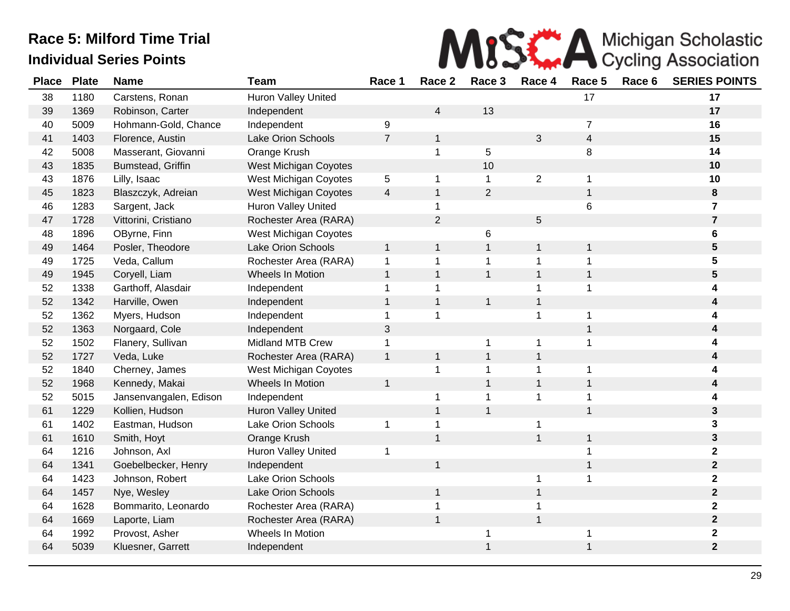

| <b>Place</b> | <b>Plate</b> | <b>Name</b>            | <b>Team</b>                | Race 1         | Race 2         | Race 3         | Race 4         | Race 5         | Race 6 | <b>SERIES POINTS</b> |
|--------------|--------------|------------------------|----------------------------|----------------|----------------|----------------|----------------|----------------|--------|----------------------|
| 38           | 1180         | Carstens, Ronan        | Huron Valley United        |                |                |                |                | 17             |        | 17                   |
| 39           | 1369         | Robinson, Carter       | Independent                |                | 4              | 13             |                |                |        | 17                   |
| 40           | 5009         | Hohmann-Gold, Chance   | Independent                | 9              |                |                |                | $\overline{7}$ |        | 16                   |
| 41           | 1403         | Florence, Austin       | <b>Lake Orion Schools</b>  | $\overline{7}$ | 1              |                | 3              | $\overline{4}$ |        | 15                   |
| 42           | 5008         | Masserant, Giovanni    | Orange Krush               |                | 1              | 5              |                | 8              |        | 14                   |
| 43           | 1835         | Bumstead, Griffin      | West Michigan Coyotes      |                |                | 10             |                |                |        | 10                   |
| 43           | 1876         | Lilly, Isaac           | West Michigan Coyotes      | 5              | 1              | $\mathbf{1}$   | $\overline{2}$ | 1              |        | 10                   |
| 45           | 1823         | Blaszczyk, Adreian     | West Michigan Coyotes      | 4              | $\mathbf{1}$   | $\overline{2}$ |                | $\mathbf{1}$   |        | 8                    |
| 46           | 1283         | Sargent, Jack          | Huron Valley United        |                | 1              |                |                | 6              |        | $\overline{7}$       |
| 47           | 1728         | Vittorini, Cristiano   | Rochester Area (RARA)      |                | $\overline{2}$ |                | 5              |                |        | $\overline{7}$       |
| 48           | 1896         | OByrne, Finn           | West Michigan Coyotes      |                |                | 6              |                |                |        | 6                    |
| 49           | 1464         | Posler, Theodore       | Lake Orion Schools         | $\mathbf{1}$   | $\mathbf{1}$   | $\overline{1}$ | 1              | 1              |        | 5                    |
| 49           | 1725         | Veda, Callum           | Rochester Area (RARA)      | $\mathbf{1}$   | 1              | 1              |                |                |        | 5                    |
| 49           | 1945         | Coryell, Liam          | Wheels In Motion           | $\mathbf{1}$   | $\mathbf{1}$   | $\mathbf{1}$   | 1              | $\mathbf{1}$   |        | 5                    |
| 52           | 1338         | Garthoff, Alasdair     | Independent                | $\mathbf 1$    | 1              |                |                |                |        |                      |
| 52           | 1342         | Harville, Owen         | Independent                | $\mathbf{1}$   | $\mathbf{1}$   | $\mathbf{1}$   | 1              |                |        |                      |
| 52           | 1362         | Myers, Hudson          | Independent                | 1              | 1              |                | 1              | 1              |        | 4                    |
| 52           | 1363         | Norgaard, Cole         | Independent                | 3              |                |                |                | 1              |        | 4                    |
| 52           | 1502         | Flanery, Sullivan      | <b>Midland MTB Crew</b>    | 1              |                | 1              | 1              | 1              |        | 4                    |
| 52           | 1727         | Veda, Luke             | Rochester Area (RARA)      | $\mathbf{1}$   | 1              | $\mathbf 1$    | 1              |                |        | 4                    |
| 52           | 1840         | Cherney, James         | West Michigan Coyotes      |                | 1              | 1              |                | 1              |        |                      |
| 52           | 1968         | Kennedy, Makai         | Wheels In Motion           | $\mathbf 1$    |                | $\mathbf{1}$   | 1              | $\mathbf{1}$   |        |                      |
| 52           | 5015         | Jansenvangalen, Edison | Independent                |                | 1              | 1              | 1              |                |        |                      |
| 61           | 1229         | Kollien, Hudson        | Huron Valley United        |                | $\mathbf{1}$   | $\mathbf{1}$   |                | $\mathbf{1}$   |        | 3                    |
| 61           | 1402         | Eastman, Hudson        | <b>Lake Orion Schools</b>  | 1              | 1              |                | 1              |                |        | 3                    |
| 61           | 1610         | Smith, Hoyt            | Orange Krush               |                | $\mathbf{1}$   |                | $\mathbf{1}$   | $\mathbf{1}$   |        | 3                    |
| 64           | 1216         | Johnson, Axl           | <b>Huron Valley United</b> | 1              |                |                |                |                |        | $\mathbf{2}$         |
| 64           | 1341         | Goebelbecker, Henry    | Independent                |                | $\mathbf{1}$   |                |                |                |        | $\mathbf{2}$         |
| 64           | 1423         | Johnson, Robert        | <b>Lake Orion Schools</b>  |                |                |                | 1              |                |        | $\mathbf 2$          |
| 64           | 1457         | Nye, Wesley            | <b>Lake Orion Schools</b>  |                | $\mathbf{1}$   |                | 1              |                |        | $\mathbf{2}$         |
| 64           | 1628         | Bommarito, Leonardo    | Rochester Area (RARA)      |                | 1              |                |                |                |        | $\mathbf{2}$         |
| 64           | 1669         | Laporte, Liam          | Rochester Area (RARA)      |                | 1              |                |                |                |        | $\mathbf{2}$         |
| 64           | 1992         | Provost, Asher         | Wheels In Motion           |                |                |                |                |                |        | $\mathbf 2$          |
| 64           | 5039         | Kluesner, Garrett      | Independent                |                |                |                |                |                |        | $\mathbf{2}$         |
|              |              |                        |                            |                |                |                |                |                |        |                      |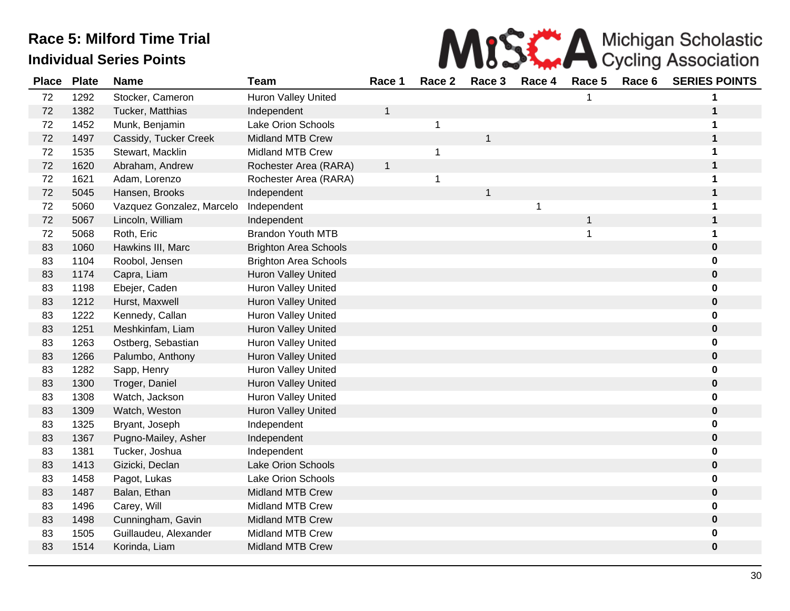

| <b>Place</b> | <b>Plate</b> | <b>Name</b>               | Team                         | Race 1       | Race 2      | Race 3                  | Race 4 | Race 5       | Race 6 | <b>SERIES POINTS</b> |
|--------------|--------------|---------------------------|------------------------------|--------------|-------------|-------------------------|--------|--------------|--------|----------------------|
| 72           | 1292         | Stocker, Cameron          | <b>Huron Valley United</b>   |              |             |                         |        |              |        | 1                    |
| 72           | 1382         | Tucker, Matthias          | Independent                  | 1            |             |                         |        |              |        | 1                    |
| 72           | 1452         | Munk, Benjamin            | <b>Lake Orion Schools</b>    |              | $\mathbf 1$ |                         |        |              |        | 1                    |
| 72           | 1497         | Cassidy, Tucker Creek     | <b>Midland MTB Crew</b>      |              |             | 1                       |        |              |        | $\mathbf 1$          |
| 72           | 1535         | Stewart, Macklin          | <b>Midland MTB Crew</b>      |              | 1           |                         |        |              |        | 1                    |
| 72           | 1620         | Abraham, Andrew           | Rochester Area (RARA)        | $\mathbf{1}$ |             |                         |        |              |        | $\mathbf 1$          |
| 72           | 1621         | Adam, Lorenzo             | Rochester Area (RARA)        |              | 1           |                         |        |              |        | 1                    |
| 72           | 5045         | Hansen, Brooks            | Independent                  |              |             | $\overline{\mathbf{1}}$ |        |              |        | 1                    |
| 72           | 5060         | Vazquez Gonzalez, Marcelo | Independent                  |              |             |                         | 1      |              |        | 1                    |
| 72           | 5067         | Lincoln, William          | Independent                  |              |             |                         |        | $\mathbf{1}$ |        | $\mathbf 1$          |
| 72           | 5068         | Roth, Eric                | <b>Brandon Youth MTB</b>     |              |             |                         |        | 1            |        | 1                    |
| 83           | 1060         | Hawkins III, Marc         | <b>Brighton Area Schools</b> |              |             |                         |        |              |        | $\bf{0}$             |
| 83           | 1104         | Roobol, Jensen            | <b>Brighton Area Schools</b> |              |             |                         |        |              |        | 0                    |
| 83           | 1174         | Capra, Liam               | <b>Huron Valley United</b>   |              |             |                         |        |              |        | $\mathbf 0$          |
| 83           | 1198         | Ebejer, Caden             | <b>Huron Valley United</b>   |              |             |                         |        |              |        | 0                    |
| 83           | 1212         | Hurst, Maxwell            | Huron Valley United          |              |             |                         |        |              |        | $\bf{0}$             |
| 83           | 1222         | Kennedy, Callan           | Huron Valley United          |              |             |                         |        |              |        | 0                    |
| 83           | 1251         | Meshkinfam, Liam          | <b>Huron Valley United</b>   |              |             |                         |        |              |        | $\mathbf 0$          |
| 83           | 1263         | Ostberg, Sebastian        | Huron Valley United          |              |             |                         |        |              |        | 0                    |
| 83           | 1266         | Palumbo, Anthony          | <b>Huron Valley United</b>   |              |             |                         |        |              |        | $\pmb{0}$            |
| 83           | 1282         | Sapp, Henry               | Huron Valley United          |              |             |                         |        |              |        | 0                    |
| 83           | 1300         | Troger, Daniel            | Huron Valley United          |              |             |                         |        |              |        | $\bf{0}$             |
| 83           | 1308         | Watch, Jackson            | Huron Valley United          |              |             |                         |        |              |        | 0                    |
| 83           | 1309         | Watch, Weston             | Huron Valley United          |              |             |                         |        |              |        | $\pmb{0}$            |
| 83           | 1325         | Bryant, Joseph            | Independent                  |              |             |                         |        |              |        | 0                    |
| 83           | 1367         | Pugno-Mailey, Asher       | Independent                  |              |             |                         |        |              |        | $\mathbf 0$          |
| 83           | 1381         | Tucker, Joshua            | Independent                  |              |             |                         |        |              |        | 0                    |
| 83           | 1413         | Gizicki, Declan           | <b>Lake Orion Schools</b>    |              |             |                         |        |              |        | $\mathbf 0$          |
| 83           | 1458         | Pagot, Lukas              | <b>Lake Orion Schools</b>    |              |             |                         |        |              |        | 0                    |
| 83           | 1487         | Balan, Ethan              | <b>Midland MTB Crew</b>      |              |             |                         |        |              |        | $\bf{0}$             |
| 83           | 1496         | Carey, Will               | <b>Midland MTB Crew</b>      |              |             |                         |        |              |        | 0                    |
| 83           | 1498         | Cunningham, Gavin         | <b>Midland MTB Crew</b>      |              |             |                         |        |              |        | $\pmb{0}$            |
| 83           | 1505         | Guillaudeu, Alexander     | <b>Midland MTB Crew</b>      |              |             |                         |        |              |        | $\bf{0}$             |
| 83           | 1514         | Korinda, Liam             | <b>Midland MTB Crew</b>      |              |             |                         |        |              |        | $\bf{0}$             |
|              |              |                           |                              |              |             |                         |        |              |        |                      |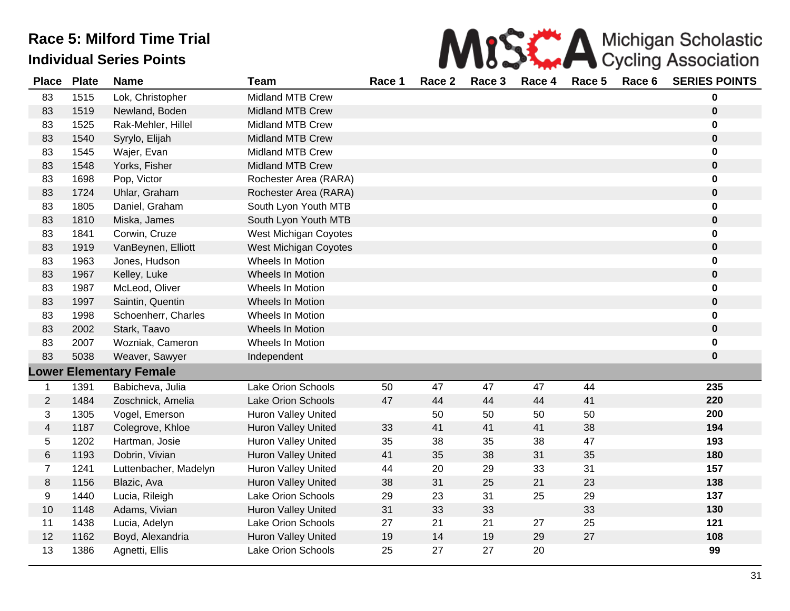| MISS A Michigan Scholastic                           |  |
|------------------------------------------------------|--|
| a 4 Desa 9 Desa 9 Desa 4 Desa 5 Desa 6 CEDIFO DOINTO |  |

| <b>Place</b>   | <b>Plate</b> | <b>Name</b>                    | <b>Team</b>                  | Race 1 | Race 2 | Race 3 | Race 4 | Race 5 | Race 6 | <b>SERIES POINTS</b> |
|----------------|--------------|--------------------------------|------------------------------|--------|--------|--------|--------|--------|--------|----------------------|
| 83             | 1515         | Lok, Christopher               | <b>Midland MTB Crew</b>      |        |        |        |        |        |        | 0                    |
| 83             | 1519         | Newland, Boden                 | <b>Midland MTB Crew</b>      |        |        |        |        |        |        | 0                    |
| 83             | 1525         | Rak-Mehler, Hillel             | <b>Midland MTB Crew</b>      |        |        |        |        |        |        | 0                    |
| 83             | 1540         | Syrylo, Elijah                 | <b>Midland MTB Crew</b>      |        |        |        |        |        |        | $\mathbf 0$          |
| 83             | 1545         | Wajer, Evan                    | <b>Midland MTB Crew</b>      |        |        |        |        |        |        | 0                    |
| 83             | 1548         | Yorks, Fisher                  | <b>Midland MTB Crew</b>      |        |        |        |        |        |        | $\pmb{0}$            |
| 83             | 1698         | Pop, Victor                    | Rochester Area (RARA)        |        |        |        |        |        |        | 0                    |
| 83             | 1724         | Uhlar, Graham                  | Rochester Area (RARA)        |        |        |        |        |        |        | 0                    |
| 83             | 1805         | Daniel, Graham                 | South Lyon Youth MTB         |        |        |        |        |        |        | 0                    |
| 83             | 1810         | Miska, James                   | South Lyon Youth MTB         |        |        |        |        |        |        | 0                    |
| 83             | 1841         | Corwin, Cruze                  | West Michigan Coyotes        |        |        |        |        |        |        | 0                    |
| 83             | 1919         | VanBeynen, Elliott             | <b>West Michigan Coyotes</b> |        |        |        |        |        |        | $\pmb{0}$            |
| 83             | 1963         | Jones, Hudson                  | Wheels In Motion             |        |        |        |        |        |        | 0                    |
| 83             | 1967         | Kelley, Luke                   | Wheels In Motion             |        |        |        |        |        |        | 0                    |
| 83             | 1987         | McLeod, Oliver                 | Wheels In Motion             |        |        |        |        |        |        | 0                    |
| 83             | 1997         | Saintin, Quentin               | Wheels In Motion             |        |        |        |        |        |        | $\mathbf 0$          |
| 83             | 1998         | Schoenherr, Charles            | Wheels In Motion             |        |        |        |        |        |        | 0                    |
| 83             | 2002         | Stark, Taavo                   | Wheels In Motion             |        |        |        |        |        |        | 0                    |
| 83             | 2007         | Wozniak, Cameron               | Wheels In Motion             |        |        |        |        |        |        | 0                    |
| 83             | 5038         | Weaver, Sawyer                 | Independent                  |        |        |        |        |        |        | 0                    |
|                |              | <b>Lower Elementary Female</b> |                              |        |        |        |        |        |        |                      |
| $\mathbf 1$    | 1391         | Babicheva, Julia               | Lake Orion Schools           | 50     | 47     | 47     | 47     | 44     |        | 235                  |
| $\sqrt{2}$     | 1484         | Zoschnick, Amelia              | Lake Orion Schools           | 47     | 44     | 44     | 44     | 41     |        | 220                  |
| 3              | 1305         | Vogel, Emerson                 | Huron Valley United          |        | 50     | 50     | 50     | 50     |        | 200                  |
| $\overline{4}$ | 1187         | Colegrove, Khloe               | Huron Valley United          | 33     | 41     | 41     | 41     | 38     |        | 194                  |
| 5              | 1202         | Hartman, Josie                 | <b>Huron Valley United</b>   | 35     | 38     | 35     | 38     | 47     |        | 193                  |
| 6              | 1193         | Dobrin, Vivian                 | <b>Huron Valley United</b>   | 41     | 35     | 38     | 31     | 35     |        | 180                  |
| $\overline{7}$ | 1241         | Luttenbacher, Madelyn          | Huron Valley United          | 44     | 20     | 29     | 33     | 31     |        | 157                  |
| $\bf 8$        | 1156         | Blazic, Ava                    | Huron Valley United          | 38     | 31     | 25     | 21     | 23     |        | 138                  |
| 9              | 1440         | Lucia, Rileigh                 | Lake Orion Schools           | 29     | 23     | 31     | 25     | 29     |        | 137                  |
| 10             | 1148         | Adams, Vivian                  | <b>Huron Valley United</b>   | 31     | 33     | 33     |        | 33     |        | 130                  |
| 11             | 1438         | Lucia, Adelyn                  | Lake Orion Schools           | 27     | 21     | 21     | 27     | 25     |        | 121                  |
| 12             | 1162         | Boyd, Alexandria               | <b>Huron Valley United</b>   | 19     | 14     | 19     | 29     | 27     |        | 108                  |
| 13             | 1386         | Agnetti, Ellis                 | Lake Orion Schools           | 25     | 27     | 27     | 20     |        |        | 99                   |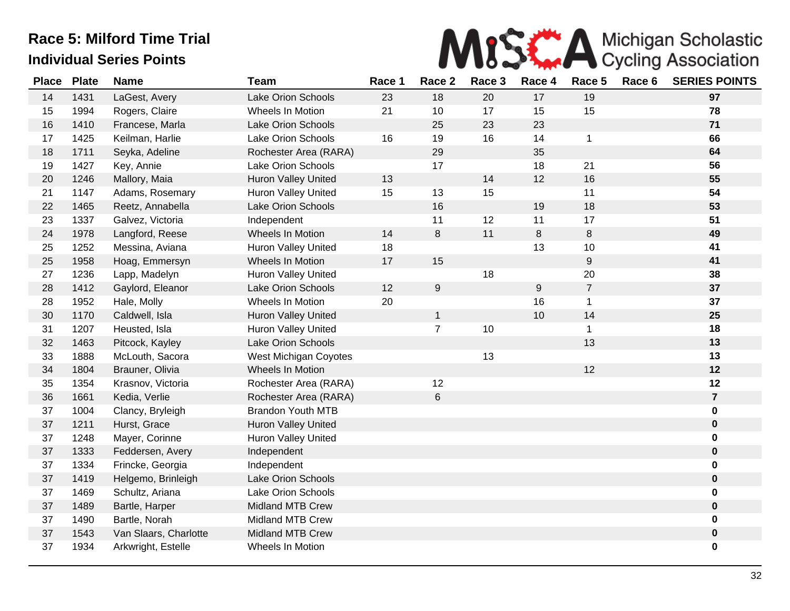

| <b>Place</b> | <b>Plate</b> | <b>Name</b>           | <b>Team</b>                | Race 1 | Race 2           | Race 3 | Race 4  | Race 5         | Race 6 | <b>SERIES POINTS</b> |
|--------------|--------------|-----------------------|----------------------------|--------|------------------|--------|---------|----------------|--------|----------------------|
| 14           | 1431         | LaGest, Avery         | Lake Orion Schools         | 23     | 18               | 20     | 17      | 19             |        | 97                   |
| 15           | 1994         | Rogers, Claire        | Wheels In Motion           | 21     | 10               | 17     | 15      | 15             |        | 78                   |
| 16           | 1410         | Francese, Marla       | Lake Orion Schools         |        | 25               | 23     | 23      |                |        | 71                   |
| 17           | 1425         | Keilman, Harlie       | Lake Orion Schools         | 16     | 19               | 16     | 14      | $\mathbf{1}$   |        | 66                   |
| 18           | 1711         | Seyka, Adeline        | Rochester Area (RARA)      |        | 29               |        | 35      |                |        | 64                   |
| 19           | 1427         | Key, Annie            | Lake Orion Schools         |        | 17               |        | 18      | 21             |        | 56                   |
| 20           | 1246         | Mallory, Maia         | Huron Valley United        | 13     |                  | 14     | 12      | 16             |        | 55                   |
| 21           | 1147         | Adams, Rosemary       | Huron Valley United        | 15     | 13               | 15     |         | 11             |        | 54                   |
| 22           | 1465         | Reetz, Annabella      | <b>Lake Orion Schools</b>  |        | 16               |        | 19      | 18             |        | 53                   |
| 23           | 1337         | Galvez, Victoria      | Independent                |        | 11               | 12     | 11      | 17             |        | 51                   |
| 24           | 1978         | Langford, Reese       | Wheels In Motion           | 14     | 8                | 11     | $\,8\,$ | 8              |        | 49                   |
| 25           | 1252         | Messina, Aviana       | <b>Huron Valley United</b> | 18     |                  |        | 13      | 10             |        | 41                   |
| 25           | 1958         | Hoag, Emmersyn        | Wheels In Motion           | 17     | 15               |        |         | 9              |        | 41                   |
| 27           | 1236         | Lapp, Madelyn         | <b>Huron Valley United</b> |        |                  | 18     |         | 20             |        | 38                   |
| 28           | 1412         | Gaylord, Eleanor      | Lake Orion Schools         | 12     | $\boldsymbol{9}$ |        | $9\,$   | $\overline{7}$ |        | 37                   |
| 28           | 1952         | Hale, Molly           | Wheels In Motion           | 20     |                  |        | 16      | $\mathbf{1}$   |        | 37                   |
| 30           | 1170         | Caldwell, Isla        | <b>Huron Valley United</b> |        | 1                |        | 10      | 14             |        | 25                   |
| 31           | 1207         | Heusted, Isla         | <b>Huron Valley United</b> |        | $\overline{7}$   | 10     |         | $\mathbf{1}$   |        | 18                   |
| 32           | 1463         | Pitcock, Kayley       | Lake Orion Schools         |        |                  |        |         | 13             |        | 13                   |
| 33           | 1888         | McLouth, Sacora       | West Michigan Coyotes      |        |                  | 13     |         |                |        | 13                   |
| 34           | 1804         | Brauner, Olivia       | Wheels In Motion           |        |                  |        |         | 12             |        | 12                   |
| 35           | 1354         | Krasnov, Victoria     | Rochester Area (RARA)      |        | 12               |        |         |                |        | 12                   |
| 36           | 1661         | Kedia, Verlie         | Rochester Area (RARA)      |        | $\,6\,$          |        |         |                |        | $\overline{7}$       |
| 37           | 1004         | Clancy, Bryleigh      | <b>Brandon Youth MTB</b>   |        |                  |        |         |                |        | 0                    |
| 37           | 1211         | Hurst, Grace          | Huron Valley United        |        |                  |        |         |                |        | $\boldsymbol{0}$     |
| 37           | 1248         | Mayer, Corinne        | <b>Huron Valley United</b> |        |                  |        |         |                |        | 0                    |
| 37           | 1333         | Feddersen, Avery      | Independent                |        |                  |        |         |                |        | $\mathbf 0$          |
| 37           | 1334         | Frincke, Georgia      | Independent                |        |                  |        |         |                |        | 0                    |
| 37           | 1419         | Helgemo, Brinleigh    | Lake Orion Schools         |        |                  |        |         |                |        | 0                    |
| 37           | 1469         | Schultz, Ariana       | Lake Orion Schools         |        |                  |        |         |                |        | 0                    |
| 37           | 1489         | Bartle, Harper        | <b>Midland MTB Crew</b>    |        |                  |        |         |                |        | 0                    |
| 37           | 1490         | Bartle, Norah         | <b>Midland MTB Crew</b>    |        |                  |        |         |                |        | 0                    |
| 37           | 1543         | Van Slaars, Charlotte | <b>Midland MTB Crew</b>    |        |                  |        |         |                |        | 0                    |
| 37           | 1934         | Arkwright, Estelle    | Wheels In Motion           |        |                  |        |         |                |        | 0                    |